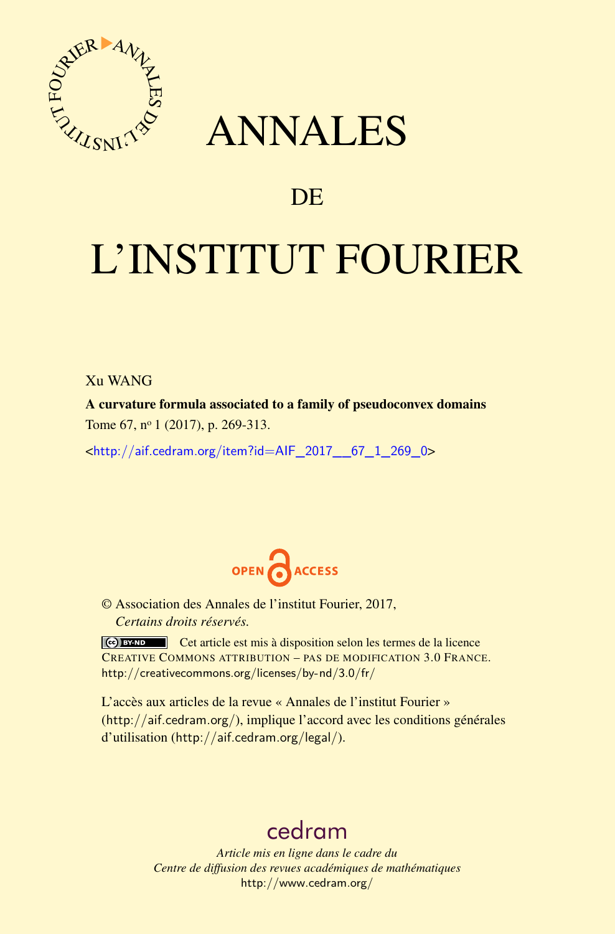

# ANNALES

# **DE**

# L'INSTITUT FOURIER

## Xu WANG

A curvature formula associated to a family of pseudoconvex domains Tome 67, nº 1 (2017), p. 269-313.

 $\kappa$ [http://aif.cedram.org/item?id=AIF\\_2017\\_\\_67\\_1\\_269\\_0](http://aif.cedram.org/item?id=AIF_2017__67_1_269_0)>



© Association des Annales de l'institut Fourier, 2017, *Certains droits réservés.*

Cet article est mis à disposition selon les termes de la licence CREATIVE COMMONS ATTRIBUTION – PAS DE MODIFICATION 3.0 FRANCE. <http://creativecommons.org/licenses/by-nd/3.0/fr/>

L'accès aux articles de la revue « Annales de l'institut Fourier » (<http://aif.cedram.org/>), implique l'accord avec les conditions générales d'utilisation (<http://aif.cedram.org/legal/>).

# [cedram](http://www.cedram.org/)

*Article mis en ligne dans le cadre du Centre de diffusion des revues académiques de mathématiques* <http://www.cedram.org/>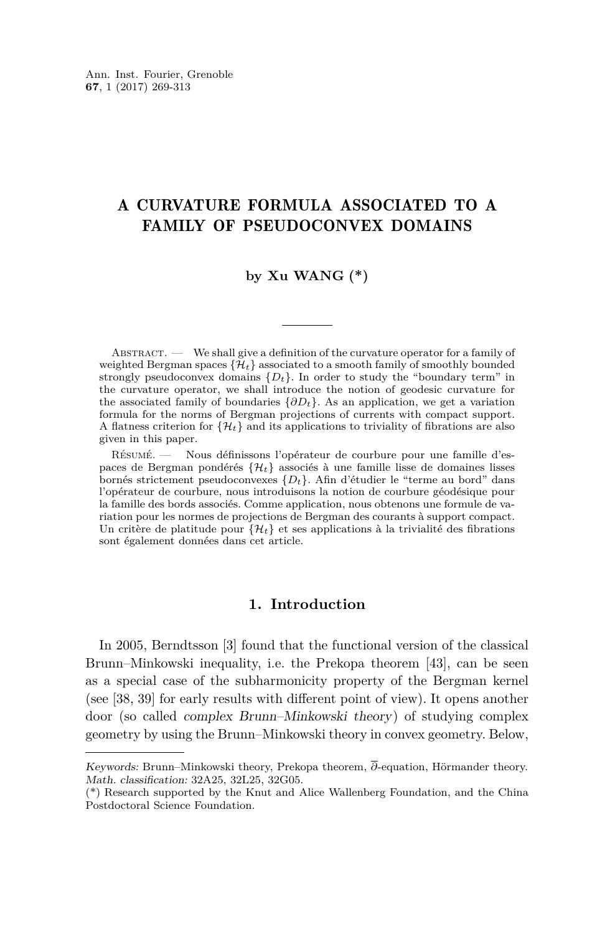# A CURVATURE FORMULA ASSOCIATED TO A FAMILY OF PSEUDOCONVEX DOMAINS

#### **by Xu WANG (\*)**

ABSTRACT. — We shall give a definition of the curvature operator for a family of weighted Bergman spaces  $\{\hat{\mathcal{H}}_t\}$  associated to a smooth family of smoothly bounded strongly pseudoconvex domains  $\{D_t\}$ . In order to study the "boundary term" in the curvature operator, we shall introduce the notion of geodesic curvature for the associated family of boundaries  $\{\partial D_t\}$ . As an application, we get a variation formula for the norms of Bergman projections of currents with compact support. A flatness criterion for  $\{\mathcal{H}_t\}$  and its applications to triviality of fibrations are also given in this paper.

Résumé. — Nous définissons l'opérateur de courbure pour une famille d'espaces de Bergman pondérés {H*t*} associés à une famille lisse de domaines lisses bornés strictement pseudoconvexes {*Dt*}. Afin d'étudier le "terme au bord" dans l'opérateur de courbure, nous introduisons la notion de courbure géodésique pour la famille des bords associés. Comme application, nous obtenons une formule de variation pour les normes de projections de Bergman des courants à support compact. Un critère de platitude pour  $\{\mathcal{H}_t\}$  et ses applications à la trivialité des fibrations sont également données dans cet article.

#### **1. Introduction**

In 2005, Berndtsson [\[3\]](#page-43-0) found that the functional version of the classical Brunn–Minkowski inequality, i.e. the Prekopa theorem [\[43\]](#page-44-0), can be seen as a special case of the subharmonicity property of the Bergman kernel (see [\[38,](#page-44-1) [39\]](#page-44-2) for early results with different point of view). It opens another door (so called complex Brunn–Minkowski theory) of studying complex geometry by using the Brunn–Minkowski theory in convex geometry. Below,

Keywords: Brunn–Minkowski theory, Prekopa theorem, *∂*-equation, Hörmander theory. Math. classification: 32A25, 32L25, 32G05.

<sup>(\*)</sup> Research supported by the Knut and Alice Wallenberg Foundation, and the China Postdoctoral Science Foundation.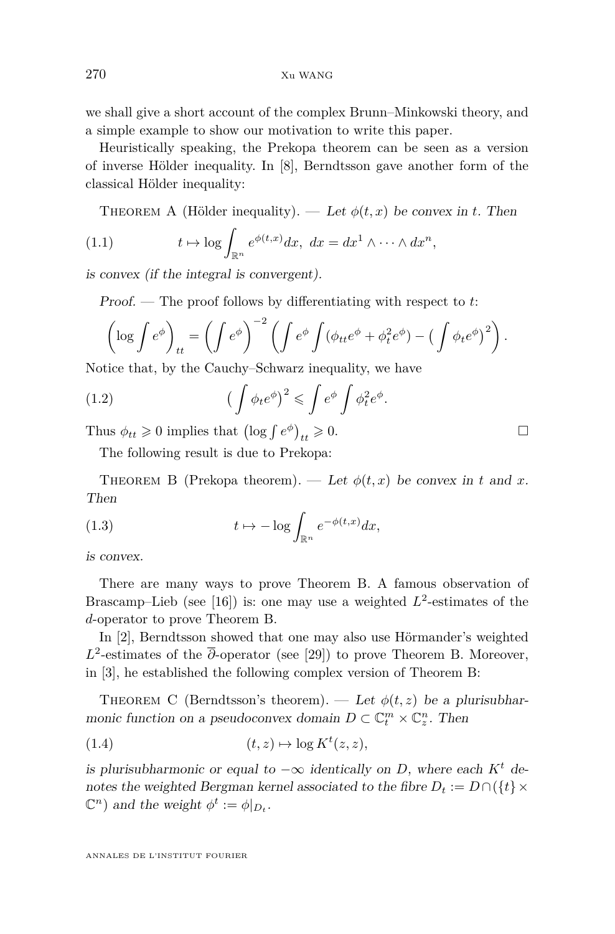we shall give a short account of the complex Brunn–Minkowski theory, and a simple example to show our motivation to write this paper.

Heuristically speaking, the Prekopa theorem can be seen as a version of inverse Hölder inequality. In [\[8\]](#page-43-1), Berndtsson gave another form of the classical Hölder inequality:

THEOREM A (Hölder inequality). — Let  $\phi(t, x)$  be convex in *t*. Then

(1.1) 
$$
t \mapsto \log \int_{\mathbb{R}^n} e^{\phi(t,x)} dx, \ dx = dx^1 \wedge \cdots \wedge dx^n,
$$

is convex (if the integral is convergent).

Proof. — The proof follows by differentiating with respect to *t*:

$$
\left(\log \int e^{\phi}\right)_{tt} = \left(\int e^{\phi}\right)^{-2} \left(\int e^{\phi}\int (\phi_{tt}e^{\phi} + \phi_t^2 e^{\phi}) - \left(\int \phi_t e^{\phi}\right)^2\right).
$$

Notice that, by the Cauchy–Schwarz inequality, we have

(1.2) 
$$
\left(\int \phi_t e^{\phi}\right)^2 \leqslant \int e^{\phi} \int \phi_t^2 e^{\phi}.
$$

Thus  $\phi_{tt} \geq 0$  implies that  $\left(\log \int e^{\phi}\right)_{tt} \geq 0$ .

The following result is due to Prekopa:

<span id="page-2-0"></span>THEOREM B (Prekopa theorem). — Let  $\phi(t, x)$  be convex in t and x. Then

(1.3) 
$$
t \mapsto -\log \int_{\mathbb{R}^n} e^{-\phi(t,x)} dx,
$$

is convex.

There are many ways to prove Theorem [B.](#page-2-0) A famous observation of Brascamp–Lieb (see [\[16\]](#page-43-2)) is: one may use a weighted  $L^2$ -estimates of the *d*-operator to prove Theorem [B.](#page-2-0)

In [\[2\]](#page-43-3), Berndtsson showed that one may also use Hörmander's weighted *L* 2 -estimates of the *∂*-operator (see [\[29\]](#page-44-3)) to prove Theorem [B.](#page-2-0) Moreover, in [\[3\]](#page-43-0), he established the following complex version of Theorem [B:](#page-2-0)

<span id="page-2-1"></span>THEOREM C (Berndtsson's theorem). — Let  $\phi(t, z)$  be a plurisubharmonic function on a pseudoconvex domain  $D \subset \mathbb{C}_t^m \times \mathbb{C}_z^n$ . Then

$$
(1.4) \t\t (t,z) \mapsto \log K^t(z,z),
$$

is plurisubharmonic or equal to  $-\infty$  identically on *D*, where each  $K^t$  denotes the weighted Bergman kernel associated to the fibre  $D_t := D \cap (\{t\} \times$  $\mathbb{C}^n$ ) and the weight  $\phi^t := \phi|_{D_t}$ .

$$
\qquad \qquad \Box
$$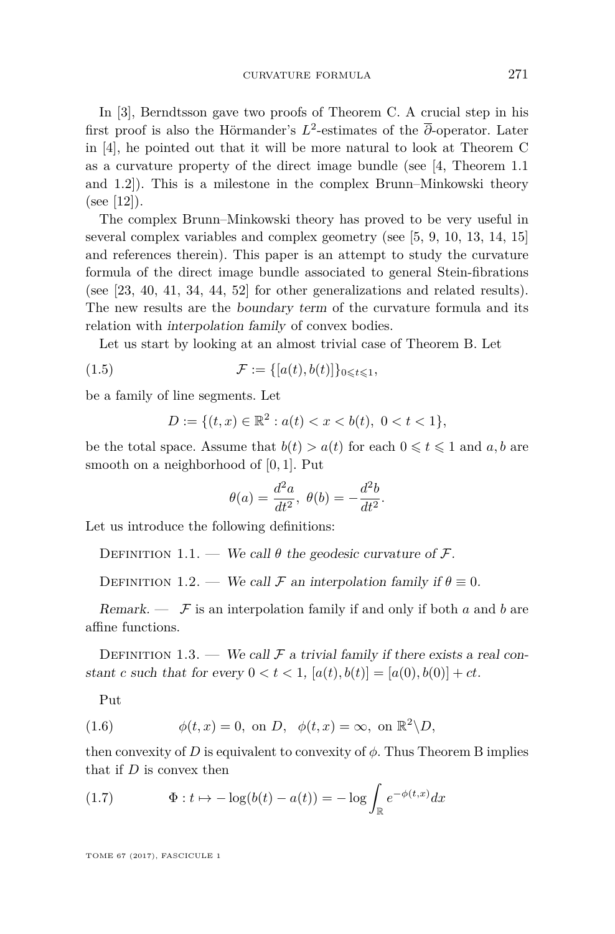In [\[3\]](#page-43-0), Berndtsson gave two proofs of Theorem [C.](#page-2-1) A crucial step in his first proof is also the Hörmander's  $L^2$ -estimates of the  $\overline{\partial}$ -operator. Later in [\[4\]](#page-43-4), he pointed out that it will be more natural to look at Theorem [C](#page-2-1) as a curvature property of the direct image bundle (see [\[4,](#page-43-4) Theorem 1.1 and 1.2]). This is a milestone in the complex Brunn–Minkowski theory (see [\[12\]](#page-43-5)).

The complex Brunn–Minkowski theory has proved to be very useful in several complex variables and complex geometry (see [\[5,](#page-43-6) [9,](#page-43-7) [10,](#page-43-8) [13,](#page-43-9) [14,](#page-43-10) [15\]](#page-43-11) and references therein). This paper is an attempt to study the curvature formula of the direct image bundle associated to general Stein-fibrations (see [\[23,](#page-44-4) [40,](#page-44-5) [41,](#page-44-6) [34,](#page-44-7) [44,](#page-44-8) [52\]](#page-45-0) for other generalizations and related results). The new results are the boundary term of the curvature formula and its relation with interpolation family of convex bodies.

Let us start by looking at an almost trivial case of Theorem [B.](#page-2-0) Let

$$
(1.5) \qquad \qquad \mathcal{F} := \{ [a(t), b(t)] \}_{0 \leq t \leq 1},
$$

be a family of line segments. Let

$$
D := \{ (t, x) \in \mathbb{R}^2 : a(t) < x < b(t), \ 0 < t < 1 \},
$$

be the total space. Assume that  $b(t) > a(t)$  for each  $0 \leq t \leq 1$  and  $a, b$  are smooth on a neighborhood of [0*,* 1]. Put

$$
\theta(a) = \frac{d^2a}{dt^2}, \ \theta(b) = -\frac{d^2b}{dt^2}.
$$

Let us introduce the following definitions:

DEFINITION 1.1. — We call  $\theta$  the geodesic curvature of  $\mathcal{F}$ .

<span id="page-3-0"></span>DEFINITION 1.2. — We call F an interpolation family if  $\theta \equiv 0$ .

Remark.  $\mathcal{F}$  is an interpolation family if and only if both *a* and *b* are affine functions.

<span id="page-3-1"></span>DEFINITION 1.3. — We call  $\mathcal F$  a trivial family if there exists a real constant *c* such that for every  $0 < t < 1$ ,  $[a(t), b(t)] = [a(0), b(0)] + ct$ .

Put

(1.6) 
$$
\phi(t,x) = 0, \text{ on } D, \quad \phi(t,x) = \infty, \text{ on } \mathbb{R}^2 \backslash D,
$$

then convexity of *D* is equivalent to convexity of  $\phi$ . Thus Theorem B implies that if *D* is convex then

(1.7) 
$$
\Phi: t \mapsto -\log(b(t) - a(t)) = -\log \int_{\mathbb{R}} e^{-\phi(t,x)} dx
$$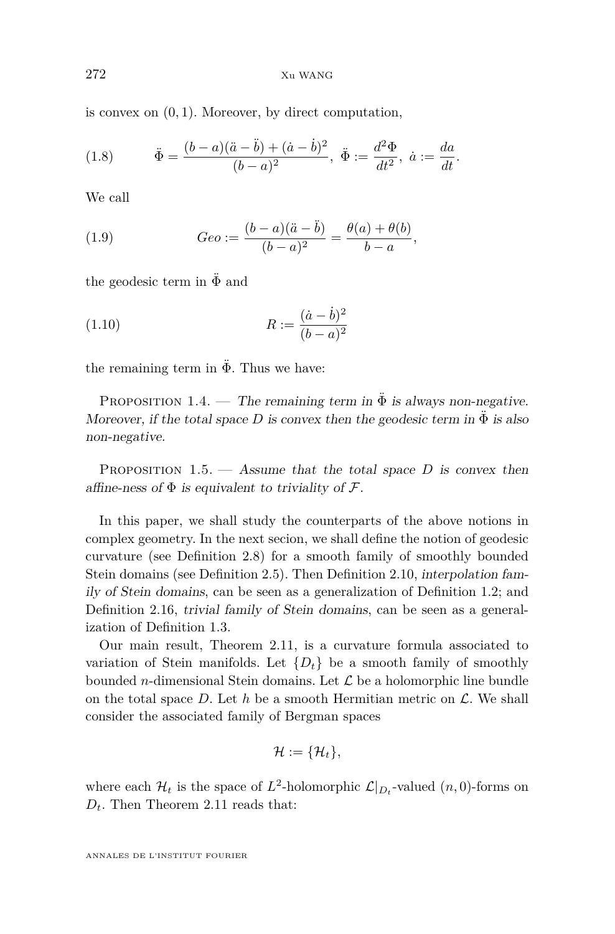is convex on (0*,* 1). Moreover, by direct computation,

(1.8) 
$$
\ddot{\Phi} = \frac{(b-a)(\ddot{a}-\ddot{b}) + (\dot{a}-\dot{b})^2}{(b-a)^2}, \ \ddot{\Phi} := \frac{d^2\Phi}{dt^2}, \ \dot{a} := \frac{da}{dt}.
$$

We call

(1.9) 
$$
Geo := \frac{(b-a)(\ddot{a}-\ddot{b})}{(b-a)^2} = \frac{\theta(a)+\theta(b)}{b-a},
$$

the geodesic term in  $\ddot{\Phi}$  and

(1.10) 
$$
R := \frac{(\dot{a} - \dot{b})^2}{(b - a)^2}
$$

the remaining term in  $\ddot{\Phi}$ . Thus we have:

<span id="page-4-0"></span>PROPOSITION 1.4. — The remaining term in  $\ddot{\Phi}$  is always non-negative. Moreover, if the total space *D* is convex then the geodesic term in  $\ddot{\Phi}$  is also non-negative.

<span id="page-4-1"></span>PROPOSITION  $1.5.$  — Assume that the total space *D* is convex then affine-ness of  $\Phi$  is equivalent to triviality of  $\mathcal{F}.$ 

In this paper, we shall study the counterparts of the above notions in complex geometry. In the next secion, we shall define the notion of geodesic curvature (see Definition [2.8\)](#page-13-0) for a smooth family of smoothly bounded Stein domains (see Definition [2.5\)](#page-9-0). Then Definition [2.10,](#page-13-1) interpolation family of Stein domains, can be seen as a generalization of Definition [1.2;](#page-3-0) and Definition [2.16,](#page-16-0) trivial family of Stein domains, can be seen as a generalization of Definition [1.3.](#page-3-1)

Our main result, Theorem [2.11,](#page-14-0) is a curvature formula associated to variation of Stein manifolds. Let  $\{D_t\}$  be a smooth family of smoothly bounded *n*-dimensional Stein domains. Let  $\mathcal L$  be a holomorphic line bundle on the total space  $D$ . Let  $h$  be a smooth Hermitian metric on  $\mathcal{L}$ . We shall consider the associated family of Bergman spaces

$$
\mathcal{H}:=\{\mathcal{H}_t\},
$$

where each  $\mathcal{H}_t$  is the space of  $L^2$ -holomorphic  $\mathcal{L}|_{D_t}$ -valued  $(n,0)$ -forms on *Dt*. Then Theorem [2.11](#page-14-0) reads that: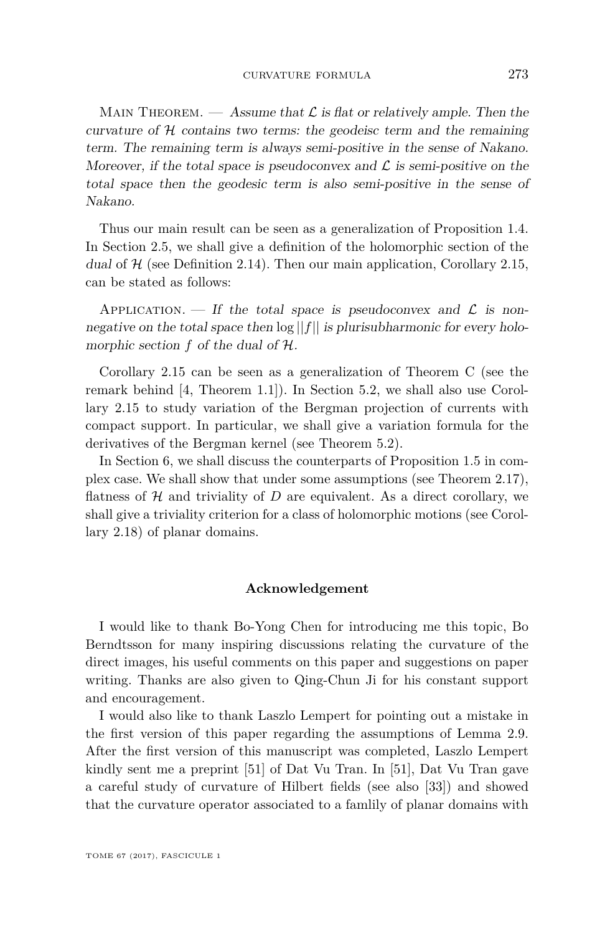MAIN THEOREM. — Assume that  $\mathcal L$  is flat or relatively ample. Then the curvature of  $H$  contains two terms: the geodeisc term and the remaining term. The remaining term is always semi-positive in the sense of Nakano. Moreover, if the total space is pseudoconvex and  $\mathcal L$  is semi-positive on the total space then the geodesic term is also semi-positive in the sense of Nakano.

Thus our main result can be seen as a generalization of Proposition [1.4.](#page-4-0) In Section [2.5,](#page-14-1) we shall give a definition of the holomorphic section of the dual of  $H$  (see Definition [2.14\)](#page-15-0). Then our main application, Corollary [2.15,](#page-16-1) can be stated as follows:

APPLICATION. — If the total space is pseudoconvex and  $\mathcal L$  is nonnegative on the total space then  $\log ||f||$  is plurisubharmonic for every holomorphic section *f* of the dual of H.

Corollary [2.15](#page-16-1) can be seen as a generalization of Theorem [C](#page-2-1) (see the remark behind [\[4,](#page-43-4) Theorem 1.1]). In Section [5.2,](#page-29-0) we shall also use Corollary [2.15](#page-16-1) to study variation of the Bergman projection of currents with compact support. In particular, we shall give a variation formula for the derivatives of the Bergman kernel (see Theorem [5.2\)](#page-31-0).

In Section [6,](#page-34-0) we shall discuss the counterparts of Proposition [1.5](#page-4-1) in complex case. We shall show that under some assumptions (see Theorem [2.17\)](#page-16-2), flatness of  $H$  and triviality of  $D$  are equivalent. As a direct corollary, we shall give a triviality criterion for a class of holomorphic motions (see Corollary [2.18\)](#page-16-3) of planar domains.

#### **Acknowledgement**

I would like to thank Bo-Yong Chen for introducing me this topic, Bo Berndtsson for many inspiring discussions relating the curvature of the direct images, his useful comments on this paper and suggestions on paper writing. Thanks are also given to Qing-Chun Ji for his constant support and encouragement.

I would also like to thank Laszlo Lempert for pointing out a mistake in the first version of this paper regarding the assumptions of Lemma [2.9.](#page-13-2) After the first version of this manuscript was completed, Laszlo Lempert kindly sent me a preprint [\[51\]](#page-45-1) of Dat Vu Tran. In [\[51\]](#page-45-1), Dat Vu Tran gave a careful study of curvature of Hilbert fields (see also [\[33\]](#page-44-9)) and showed that the curvature operator associated to a famlily of planar domains with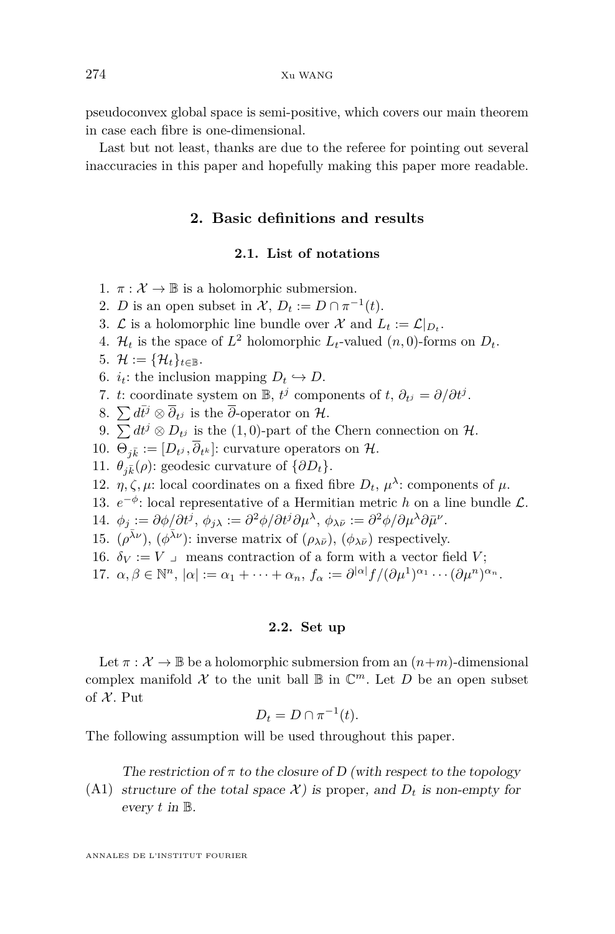pseudoconvex global space is semi-positive, which covers our main theorem in case each fibre is one-dimensional.

Last but not least, thanks are due to the referee for pointing out several inaccuracies in this paper and hopefully making this paper more readable.

#### **2. Basic definitions and results**

#### **2.1. List of notations**

- 1.  $\pi : \mathcal{X} \to \mathbb{B}$  is a holomorphic submersion.
- 2. *D* is an open subset in  $\mathcal{X}, D_t := D \cap \pi^{-1}(t)$ .
- 3.  $\mathcal{L}$  is a holomorphic line bundle over  $\mathcal{X}$  and  $L_t := \mathcal{L}|_{D_t}$ .
- 4.  $\mathcal{H}_t$  is the space of  $L^2$  holomorphic  $L_t$ -valued  $(n,0)$ -forms on  $D_t$ .
- 5.  $\mathcal{H} := {\mathcal{H}_t}_{t \in \mathbb{B}}$ .
- 6.  $i_t$ : the inclusion mapping  $D_t \hookrightarrow D$ .
- 7. *t*: coordinate system on  $\mathbb{B}$ ,  $t^j$  components of  $t$ ,  $\partial_{t^j} = \partial/\partial t^j$ .
- 8.  $\sum d\bar{t}^j \otimes \overline{\partial}_{t^j}$  is the  $\overline{\partial}$ -operator on H.
- 9.  $\sum dt^j \otimes D_{t^j}$  is the (1,0)-part of the Chern connection on  $\mathcal{H}$ .
- 10.  $\Theta_{j\bar{k}} := [D_{t^j}, \partial_{t^k}]$ : curvature operators on H.
- 11.  $\theta_{i\bar{k}}(\rho)$ : geodesic curvature of  $\{\partial D_t\}.$
- 12.  $\eta, \zeta, \mu$ : local coordinates on a fixed fibre  $D_t$ ,  $\mu^{\lambda}$ : components of  $\mu$ .
- 13.  $e^{-\phi}$ : local representative of a Hermitian metric *h* on a line bundle  $\mathcal{L}$ .
- 14.  $\phi_j := \partial \phi / \partial t^j$ ,  $\phi_{j\lambda} := \partial^2 \phi / \partial t^j \partial \mu^\lambda$ ,  $\phi_{\lambda \bar{\nu}} := \partial^2 \phi / \partial \mu^\lambda \partial \bar{\mu}^\nu$ .
- 15.  $(\rho^{\bar{\lambda}\nu})$ ,  $(\phi^{\bar{\lambda}\nu})$ : inverse matrix of  $(\rho_{\lambda\bar{\nu}})$ ,  $(\phi_{\lambda\bar{\nu}})$  respectively.
- 16.  $\delta_V := V$  y means contraction of a form with a vector field *V*;
- 17.  $\alpha, \beta \in \mathbb{N}^n$ ,  $|\alpha| := \alpha_1 + \cdots + \alpha_n$ ,  $f_\alpha := \partial^{|\alpha|} f / (\partial \mu^1)^{\alpha_1} \cdots (\partial \mu^n)^{\alpha_n}$ .

#### **2.2. Set up**

Let  $\pi : \mathcal{X} \to \mathbb{B}$  be a holomorphic submersion from an  $(n+m)$ -dimensional complex manifold  $\mathcal X$  to the unit ball  $\mathbb B$  in  $\mathbb C^m$ . Let  $D$  be an open subset of  $X$ . Put

$$
D_t = D \cap \pi^{-1}(t).
$$

The following assumption will be used throughout this paper.

The restriction of  $\pi$  to the closure of D (with respect to the topology

<span id="page-6-0"></span>(A1) structure of the total space  $\mathcal{X}$ ) is proper, and  $D_t$  is non-empty for every *t* in B.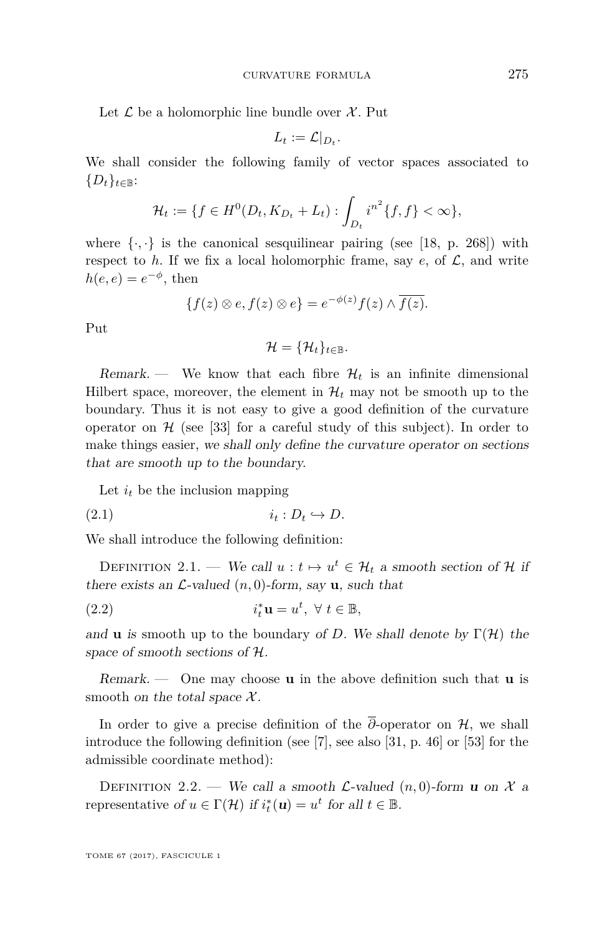Let  $\mathcal L$  be a holomorphic line bundle over  $\mathcal X$ . Put

$$
L_t := \mathcal{L}|_{D_t}.
$$

We shall consider the following family of vector spaces associated to  ${D_t}_{t\in\mathbb{B}}$ :

$$
\mathcal{H}_t := \{ f \in H^0(D_t, K_{D_t} + L_t) : \int_{D_t} i^{n^2} \{ f, f \} < \infty \},
$$

where  $\{\cdot,\cdot\}$  is the canonical sesquilinear pairing (see [\[18,](#page-43-12) p. 268]) with respect to  $h$ . If we fix a local holomorphic frame, say  $e$ , of  $\mathcal{L}$ , and write  $h(e,e) = e^{-\phi}$ , then

$$
\{f(z)\otimes e, f(z)\otimes e\} = e^{-\phi(z)}f(z)\wedge \overline{f(z)}.
$$

Put

 $\mathcal{H} = {\mathcal{H}_t}_{t \in \mathbb{R}}$ .

Remark. — We know that each fibre  $\mathcal{H}_t$  is an infinite dimensional Hilbert space, moreover, the element in  $\mathcal{H}_t$  may not be smooth up to the boundary. Thus it is not easy to give a good definition of the curvature operator on  $H$  (see [\[33\]](#page-44-9) for a careful study of this subject). In order to make things easier, we shall only define the curvature operator on sections that are smooth up to the boundary.

Let  $i_t$  be the inclusion mapping

 $i_t : D_t \hookrightarrow D.$ 

We shall introduce the following definition:

<span id="page-7-0"></span>DEFINITION 2.1. — We call  $u : t \mapsto u^t \in \mathcal{H}_t$  a smooth section of  $\mathcal{H}$  if there exists an  $\mathcal{L}\text{-valued } (n,0)\text{-form, say } \mathbf{u}$ , such that

(2.2) 
$$
i_t^* \mathbf{u} = u^t, \ \forall \ t \in \mathbb{B},
$$

and **u** is smooth up to the boundary of *D*. We shall denote by  $\Gamma(\mathcal{H})$  the space of smooth sections of H.

Remark. — One may choose **u** in the above definition such that **u** is smooth on the total space  $\mathcal{X}$ .

In order to give a precise definition of the  $\overline{\partial}$ -operator on H, we shall introduce the following definition (see [\[7\]](#page-43-13), see also [\[31,](#page-44-10) p. 46] or [\[53\]](#page-45-2) for the admissible coordinate method):

<span id="page-7-1"></span>DEFINITION 2.2. — We call a smooth *L*-valued  $(n, 0)$ -form **u** on X a representative of  $u \in \Gamma(\mathcal{H})$  if  $i_t^*(\mathbf{u}) = u^t$  for all  $t \in \mathbb{B}$ .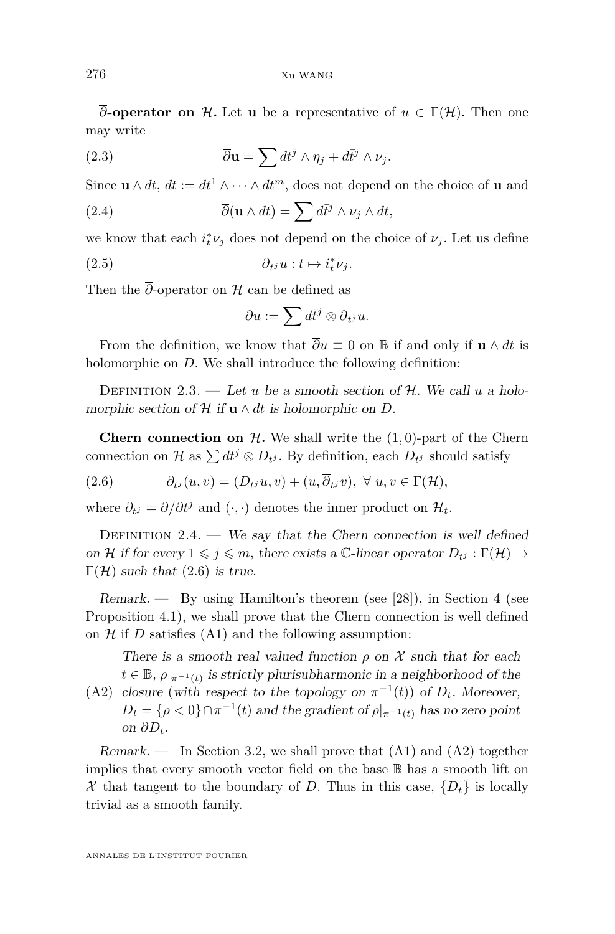$\overline{\partial}$ **-operator on** H. Let **u** be a representative of  $u \in \Gamma(\mathcal{H})$ . Then one may write

(2.3) 
$$
\overline{\partial} \mathbf{u} = \sum dt^j \wedge \eta_j + d\overline{t}^j \wedge \nu_j.
$$

Since  $\mathbf{u} \wedge dt$ ,  $dt := dt^1 \wedge \cdots \wedge dt^m$ , does not depend on the choice of **u** and

(2.4) 
$$
\overline{\partial}(\mathbf{u} \wedge dt) = \sum d\overline{t}^j \wedge \nu_j \wedge dt,
$$

we know that each  $i_t^* \nu_j$  does not depend on the choice of  $\nu_j$ . Let us define

$$
\overline{\partial}_{t^j} u : t \mapsto i_t^* \nu_j.
$$

Then the  $\overline{\partial}$ -operator on H can be defined as

<span id="page-8-3"></span>
$$
\overline{\partial} u := \sum d\overline{t}^j \otimes \overline{\partial}_{t^j} u.
$$

From the definition, we know that  $\overline{\partial}u \equiv 0$  on B if and only if **u**  $\wedge dt$  is holomorphic on *D*. We shall introduce the following definition:

<span id="page-8-4"></span>DEFINITION 2.3. — Let *u* be a smooth section of  $H$ . We call *u* a holomorphic section of  $H$  if  $\mathbf{u} \wedge dt$  is holomorphic on  $D$ .

**Chern connection on**  $H$ . We shall write the  $(1,0)$ -part of the Chern connection on  $\mathcal{H}$  as  $\sum dt^j \otimes D_t$ , By definition, each  $D_{t^j}$  should satisfy

<span id="page-8-0"></span>(2.6) 
$$
\partial_{t^j}(u,v)=(D_{t^j}u,v)+(u,\overline{\partial}_{t^j}v),\ \forall\ u,v\in\Gamma(\mathcal{H}),
$$

where  $\partial_{t} = \partial/\partial t^j$  and  $(\cdot, \cdot)$  denotes the inner product on  $\mathcal{H}_t$ .

<span id="page-8-2"></span>DEFINITION  $2.4.$  — We say that the Chern connection is well defined on H if for every  $1 \leq j \leq m$ , there exists a C-linear operator  $D_{t}$  :  $\Gamma(\mathcal{H}) \rightarrow$  $\Gamma(\mathcal{H})$  such that [\(2.6\)](#page-8-0) is true.

Remark. — By using Hamilton's theorem (see [\[28\]](#page-44-11)), in Section [4](#page-20-0) (see Proposition [4.1\)](#page-22-0), we shall prove that the Chern connection is well defined on  $H$  if  $D$  satisfies  $(A1)$  and the following assumption:

There is a smooth real valued function  $\rho$  on X such that for each  $t \in \mathbb{B}$ ,  $\rho|_{\pi^{-1}(t)}$  is strictly plurisubharmonic in a neighborhood of the

<span id="page-8-1"></span>(A2) closure (with respect to the topology on  $\pi^{-1}(t)$ ) of  $D_t$ . Moreover,  $D_t = \{ \rho < 0 \} \cap \pi^{-1}(t)$  and the gradient of  $\rho|_{\pi^{-1}(t)}$  has no zero point on  $\partial D_t$ .

Remark. — In Section [3.2,](#page-18-0) we shall prove that  $(A1)$  and  $(A2)$  together implies that every smooth vector field on the base B has a smooth lift on X that tangent to the boundary of D. Thus in this case,  $\{D_t\}$  is locally trivial as a smooth family.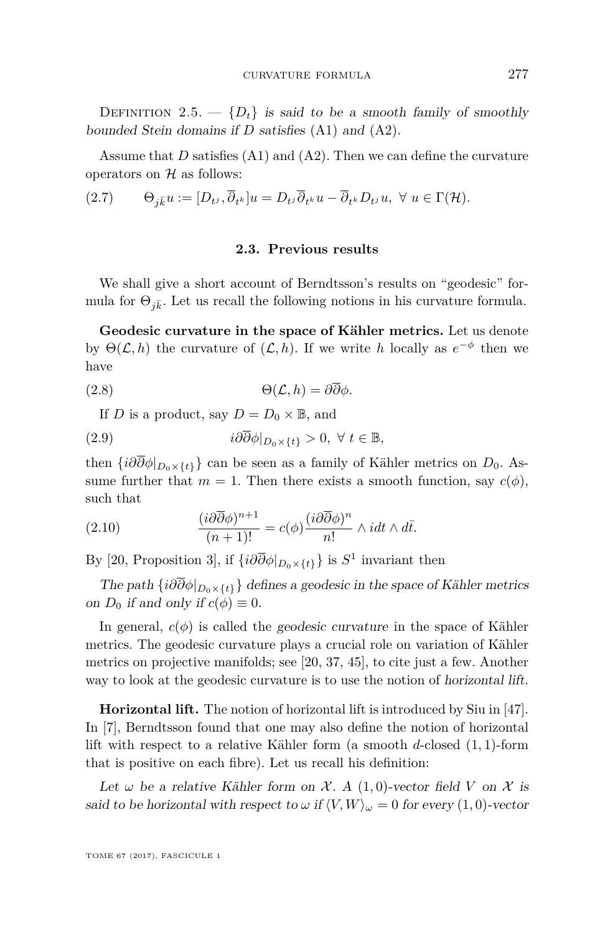<span id="page-9-0"></span>DEFINITION 2.5.  $\{D_t\}$  is said to be a smooth family of smoothly bounded Stein domains if *D* satisfies [\(A1\)](#page-6-0) and [\(A2\)](#page-8-1).

Assume that *D* satisfies [\(A1\)](#page-6-0) and [\(A2\)](#page-8-1). Then we can define the curvature operators on  $H$  as follows:

<span id="page-9-1"></span>
$$
(2.7) \qquad \Theta_{j\bar{k}}u := [D_{t^j}, \overline{\partial}_{t^k}]u = D_{t^j}\overline{\partial}_{t^k}u - \overline{\partial}_{t^k}D_{t^j}u, \ \forall \ u \in \Gamma(\mathcal{H}).
$$

#### **2.3. Previous results**

We shall give a short account of Berndtsson's results on "geodesic" formula for  $\Theta_{i\bar{k}}$ . Let us recall the following notions in his curvature formula.

**Geodesic curvature in the space of Kähler metrics.** Let us denote by  $\Theta(\mathcal{L}, h)$  the curvature of  $(\mathcal{L}, h)$ . If we write *h* locally as  $e^{-\phi}$  then we have

$$
\Theta(\mathcal{L}, h) = \partial \overline{\partial} \phi.
$$

If *D* is a product, say  $D = D_0 \times \mathbb{B}$ , and

(2.9) 
$$
i\partial\overline{\partial}\phi|_{D_0\times\{t\}} > 0, \ \forall \ t \in \mathbb{B},
$$

then  $\{i\partial\overline{\partial}\phi|_{D_0\times\{t\}}\}$  can be seen as a family of Kähler metrics on *D*<sub>0</sub>. Assume further that  $m = 1$ . Then there exists a smooth function, say  $c(\phi)$ , such that

(2.10) 
$$
\frac{(i\partial\overline{\partial}\phi)^{n+1}}{(n+1)!} = c(\phi)\frac{(i\partial\overline{\partial}\phi)^n}{n!} \wedge idt \wedge d\overline{t}.
$$

By [\[20,](#page-43-14) Proposition 3], if  $\{i\partial\overline{\partial}\phi|_{D_0\times\{t\}}\}$  is  $S^1$  invariant then

The path  $\{i\partial\overline{\partial}\phi|_{D_0\times\{t\}}\}$  defines a geodesic in the space of Kähler metrics on  $D_0$  if and only if  $c(\phi) \equiv 0$ .

In general,  $c(\phi)$  is called the *geodesic curvature* in the space of Kähler metrics. The geodesic curvature plays a crucial role on variation of Kähler metrics on projective manifolds; see [\[20,](#page-43-14) [37,](#page-44-12) [45\]](#page-45-3), to cite just a few. Another way to look at the geodesic curvature is to use the notion of horizontal lift.

**Horizontal lift.** The notion of horizontal lift is introduced by Siu in [\[47\]](#page-45-4). In [\[7\]](#page-43-13), Berndtsson found that one may also define the notion of horizontal lift with respect to a relative Kähler form (a smooth *d*-closed (1*,* 1)-form that is positive on each fibre). Let us recall his definition:

Let  $\omega$  be a relative Kähler form on  $\mathcal{X}$ . A (1,0)-vector field V on  $\mathcal{X}$  is said to be horizontal with respect to  $\omega$  if  $\langle V, W \rangle_{\omega} = 0$  for every (1,0)-vector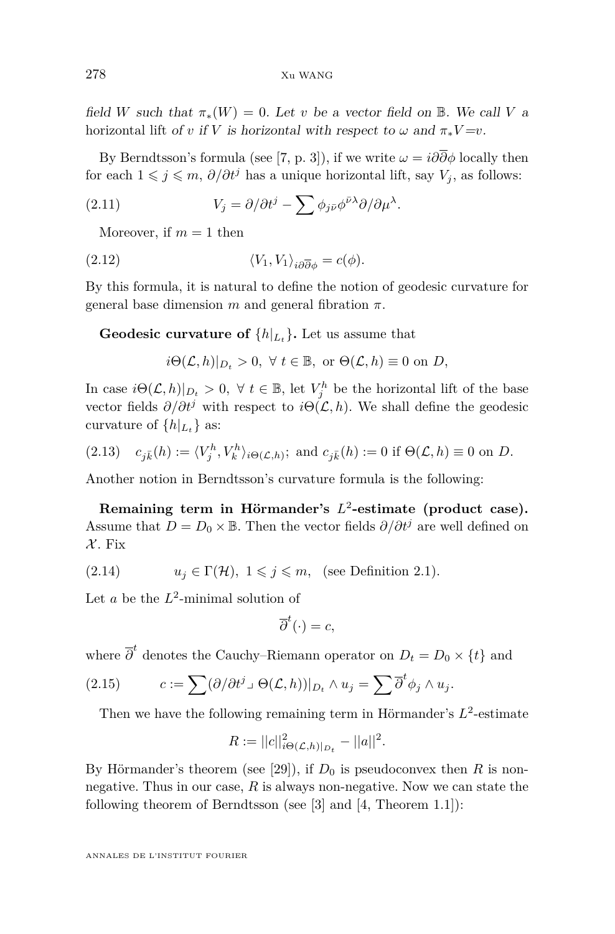field *W* such that  $\pi_*(W) = 0$ . Let *v* be a vector field on **B**. We call *V* a horizontal lift of *v* if *V* is horizontal with respect to  $\omega$  and  $\pi_* V = v$ .

By Berndtsson's formula (see [\[7,](#page-43-13) p. 3]), if we write  $\omega = i\partial\overline{\partial}\phi$  locally then for each  $1 \leq j \leq m$ ,  $\partial/\partial t^j$  has a unique horizontal lift, say  $V_j$ , as follows:

(2.11) 
$$
V_j = \partial/\partial t^j - \sum \phi_{j\bar{\nu}} \phi^{\bar{\nu}\lambda} \partial/\partial \mu^{\lambda}.
$$

Moreover, if  $m = 1$  then

(2.12) 
$$
\langle V_1, V_1 \rangle_{i \partial \overline{\partial} \phi} = c(\phi).
$$

By this formula, it is natural to define the notion of geodesic curvature for general base dimension *m* and general fibration *π*.

**Geodesic curvature of**  $\{h|_{L_t}\}$ . Let us assume that

 $i\Theta(\mathcal{L}, h)|_{D} > 0$ ,  $\forall t \in \mathbb{B}$ , or  $\Theta(\mathcal{L}, h) \equiv 0$  on *D*,

In case  $i\Theta(\mathcal{L}, h)|_{D_t} > 0$ ,  $\forall t \in \mathbb{B}$ , let  $V_j^h$  be the horizontal lift of the base vector fields  $\partial/\partial t^j$  with respect to  $i\Theta(\mathcal{L}, h)$ . We shall define the geodesic curvature of  $\{h|_{L_t}\}\$  as:

<span id="page-10-0"></span>(2.13) 
$$
c_{j\bar{k}}(h) := \langle V_j^h, V_k^h \rangle_{i\Theta(\mathcal{L},h)}; \text{ and } c_{j\bar{k}}(h) := 0 \text{ if } \Theta(\mathcal{L},h) \equiv 0 \text{ on } D.
$$

Another notion in Berndtsson's curvature formula is the following:

**Remaining term in Hörmander's** *L* 2 **-estimate (product case).** Assume that  $D = D_0 \times \mathbb{B}$ . Then the vector fields  $\partial/\partial t^j$  are well defined on  $\mathcal{X}$ . Fix

(2.14) 
$$
u_j \in \Gamma(\mathcal{H}), 1 \leq j \leq m
$$
, (see Definition 2.1).

Let  $a$  be the  $L^2$ -minimal solution of

$$
\overline{\partial}^t(\cdot) = c,
$$

where  $\overline{\partial}^t$  denotes the Cauchy–Riemann operator on  $D_t = D_0 \times \{t\}$  and

(2.15) 
$$
c := \sum (\partial/\partial t^j \cup \Theta(\mathcal{L}, h))|_{D_t} \wedge u_j = \sum \overline{\partial}^t \phi_j \wedge u_j.
$$

Then we have the following remaining term in Hörmander's  $L^2$ -estimate

$$
R := ||c||_{i\Theta(\mathcal{L},h)|_{D_t}}^2 - ||a||^2.
$$

By Hörmander's theorem (see [\[29\]](#page-44-3)), if  $D_0$  is pseudoconvex then  $R$  is nonnegative. Thus in our case, *R* is always non-negative. Now we can state the following theorem of Berndtsson (see [\[3\]](#page-43-0) and [\[4,](#page-43-4) Theorem 1.1]):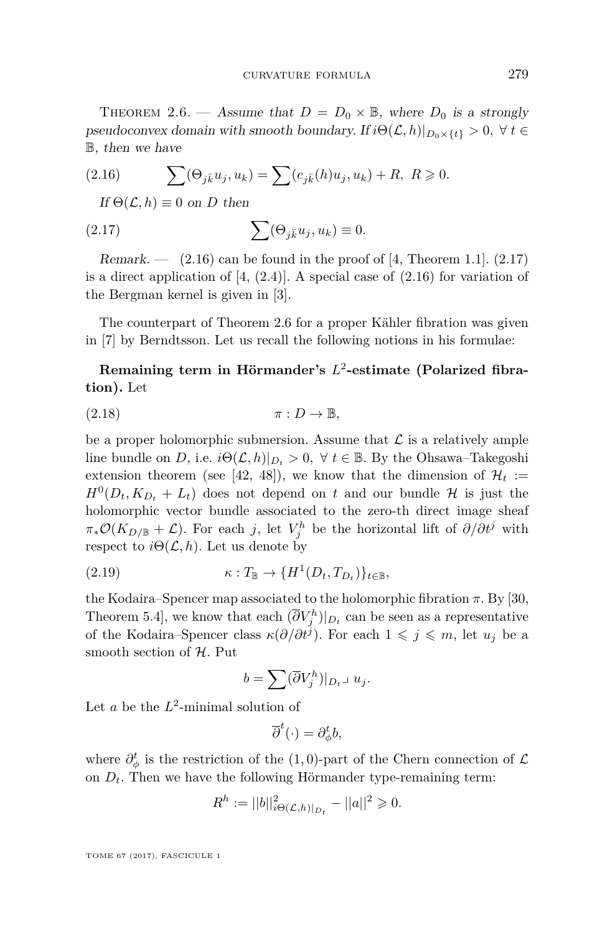<span id="page-11-2"></span>THEOREM 2.6. — Assume that  $D = D_0 \times \mathbb{B}$ , where  $D_0$  is a strongly pseudoconvex domain with smooth boundary. If  $i\Theta(\mathcal{L}, h)|_{D_0\times\{t\}} > 0$ ,  $\forall t \in$ B, then we have

(2.16) 
$$
\sum (\Theta_{j\bar{k}} u_j, u_k) = \sum (c_{j\bar{k}}(h) u_j, u_k) + R, \ R \geq 0.
$$

<span id="page-11-1"></span><span id="page-11-0"></span>If  $\Theta(\mathcal{L}, h) \equiv 0$  on *D* then

(2.17) 
$$
\sum (\Theta_{j\bar{k}} u_j, u_k) \equiv 0.
$$

Remark.  $-$  [\(2.16\)](#page-11-0) can be found in the proof of [\[4,](#page-43-4) Theorem 1.1]. [\(2.17\)](#page-11-1) is a direct application of  $[4, (2.4)]$  $[4, (2.4)]$ . A special case of  $(2.16)$  for variation of the Bergman kernel is given in [\[3\]](#page-43-0).

The counterpart of Theorem [2.6](#page-11-2) for a proper Kähler fibration was given in [\[7\]](#page-43-13) by Berndtsson. Let us recall the following notions in his formulae:

## **Remaining term in Hörmander's** *L* 2 **-estimate (Polarized fibration).** Let

$$
(2.18) \t\t \pi: D \to \mathbb{B},
$$

be a proper holomorphic submersion. Assume that  $\mathcal L$  is a relatively ample line bundle on *D*, i.e.  $i\Theta(\mathcal{L}, h)|_{D_t} > 0$ ,  $\forall t \in \mathbb{B}$ . By the Ohsawa–Takegoshi extension theorem (see [\[42,](#page-44-13) [48\]](#page-45-5)), we know that the dimension of  $\mathcal{H}_t$  :=  $H^0(D_t, K_{D_t} + L_t)$  does not depend on *t* and our bundle H is just the holomorphic vector bundle associated to the zero-th direct image sheaf  $\pi_*\mathcal{O}(K_{D/\mathbb{B}}+\mathcal{L})$ . For each *j*, let  $V_j^h$  be the horizontal lift of  $\partial/\partial t^j$  with respect to  $i\Theta(\mathcal{L}, h)$ . Let us denote by

(2.19) 
$$
\kappa: T_{\mathbb{B}} \to \{H^1(D_t, T_{D_t})\}_{t \in \mathbb{B}},
$$

the Kodaira–Spencer map associated to the holomorphic fibration  $\pi$ . By [\[30,](#page-44-14) Theorem 5.4, we know that each  $(\overline{\partial}V_j^h)|_{D_t}$  can be seen as a representative of the Kodaira–Spencer class  $\kappa(\partial/\partial t^j)$ . For each  $1 \leqslant j \leqslant m$ , let  $u_j$  be a smooth section of  $H$ . Put

$$
b = \sum (\overline{\partial} V_j^h)|_{D_t \cup u_j}.
$$

Let  $a$  be the  $L^2$ -minimal solution of

$$
\overline{\partial}^t(\cdot) = \partial_{\phi}^t b,
$$

where  $\partial_{\phi}^{t}$  is the restriction of the (1,0)-part of the Chern connection of  $\mathcal{L}$ on  $D_t$ . Then we have the following Hörmander type-remaining term:

$$
R^{h} := ||b||_{i\Theta(\mathcal{L},h)|_{D_t}}^2 - ||a||^2 \geq 0.
$$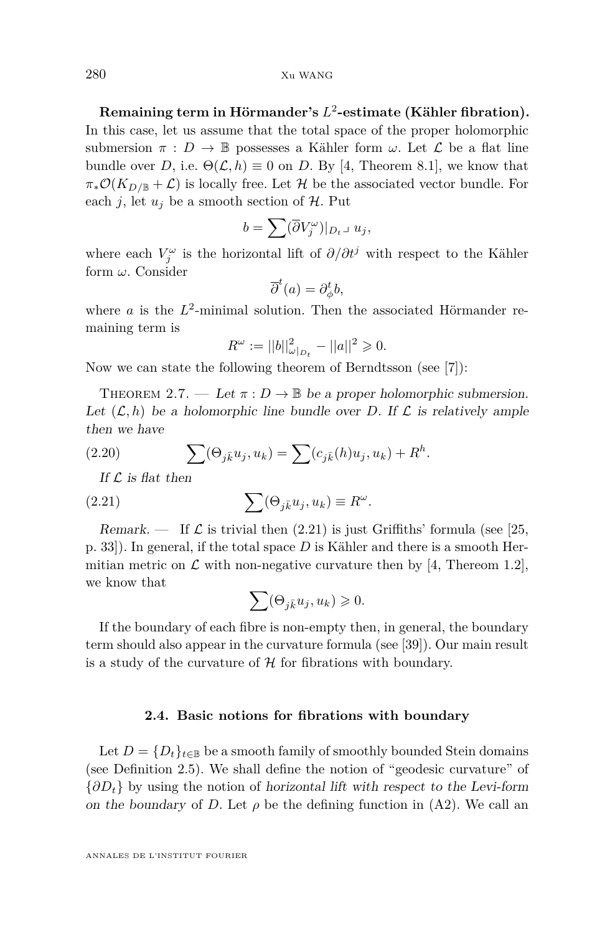**Remaining term in Hörmander's** *L* 2 **-estimate (Kähler fibration).** In this case, let us assume that the total space of the proper holomorphic submersion  $\pi : D \to \mathbb{B}$  possesses a Kähler form  $\omega$ . Let  $\mathcal L$  be a flat line bundle over *D*, i.e.  $\Theta(\mathcal{L}, h) \equiv 0$  on *D*. By [\[4,](#page-43-4) Theorem 8.1], we know that  $\pi_*\mathcal{O}(K_{D/\mathbb{B}}+\mathcal{L})$  is locally free. Let H be the associated vector bundle. For each *j*, let  $u_j$  be a smooth section of  $H$ . Put

$$
b = \sum (\overline{\partial} V_j^{\omega})|_{D_t} \text{, } u_j,
$$

where each  $V_j^{\omega}$  is the horizontal lift of  $\partial/\partial t^j$  with respect to the Kähler form *ω*. Consider

$$
\overline{\partial}^t(a) = \partial_{\phi}^t b,
$$

where  $a$  is the  $L^2$ -minimal solution. Then the associated Hörmander remaining term is

$$
R^{\omega} := ||b||_{\omega|_{D_t}}^2 - ||a||^2 \geq 0.
$$

Now we can state the following theorem of Berndtsson (see [\[7\]](#page-43-13)):

THEOREM 2.7. — Let  $\pi: D \to \mathbb{B}$  be a proper holomorphic submersion. Let  $(\mathcal{L}, h)$  be a holomorphic line bundle over *D*. If  $\mathcal L$  is relatively ample then we have

(2.20) 
$$
\sum (\Theta_{j\bar{k}} u_j, u_k) = \sum (c_{j\bar{k}}(h) u_j, u_k) + R^h.
$$

If  $\mathcal L$  is flat then

(2.21) 
$$
\sum (\Theta_{j\bar{k}} u_j, u_k) \equiv R^{\omega}
$$

Remark. — If  $\mathcal L$  is trivial then [\(2.21\)](#page-12-0) is just Griffiths' formula (see [\[25,](#page-44-15) p. 33]). In general, if the total space *D* is Kähler and there is a smooth Hermitian metric on  $\mathcal L$  with non-negative curvature then by [\[4,](#page-43-4) Thereom 1.2], we know that

*.*

<span id="page-12-0"></span>
$$
\sum (\Theta_{j\bar{k}} u_j, u_k) \geqslant 0.
$$

If the boundary of each fibre is non-empty then, in general, the boundary term should also appear in the curvature formula (see [\[39\]](#page-44-2)). Our main result is a study of the curvature of  $\mathcal H$  for fibrations with boundary.

#### **2.4. Basic notions for fibrations with boundary**

Let  $D = \{D_t\}_{t \in \mathbb{B}}$  be a smooth family of smoothly bounded Stein domains (see Definition [2.5\)](#page-9-0). We shall define the notion of "geodesic curvature" of {*∂Dt*} by using the notion of horizontal lift with respect to the Levi-form on the boundary of *D*. Let  $\rho$  be the defining function in [\(A2\)](#page-8-1). We call an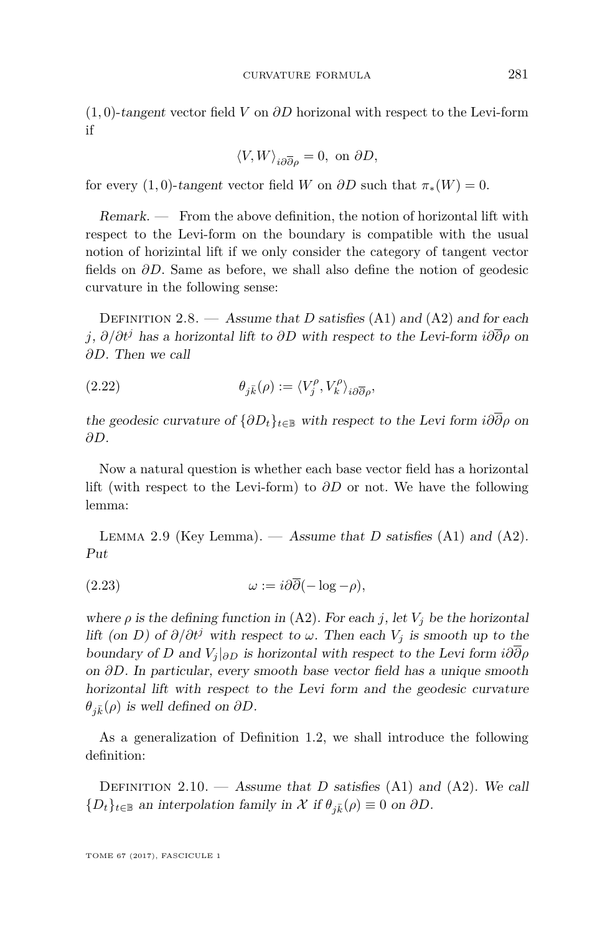(1*,* 0)-tangent vector field *V* on *∂D* horizonal with respect to the Levi-form if

$$
\langle V,W\rangle_{i\partial\overline\partial\rho}=0, \text{ on } \partial D,
$$

for every  $(1,0)$ -tangent vector field *W* on  $\partial D$  such that  $\pi_*(W) = 0$ .

Remark. — From the above definition, the notion of horizontal lift with respect to the Levi-form on the boundary is compatible with the usual notion of horizintal lift if we only consider the category of tangent vector fields on  $\partial D$ . Same as before, we shall also define the notion of geodesic curvature in the following sense:

<span id="page-13-0"></span>DEFINITION 2.8. — Assume that *D* satisfies [\(A1\)](#page-6-0) and [\(A2\)](#page-8-1) and for each *j*, *∂/∂t<sup>j</sup>* has a horizontal lift to *∂D* with respect to the Levi-form *i∂∂ρ* on *∂D*. Then we call

<span id="page-13-3"></span>(2.22) 
$$
\theta_{j\bar{k}}(\rho) := \langle V_j^{\rho}, V_k^{\rho} \rangle_{i\partial\overline{\partial}\rho},
$$

the geodesic curvature of  $\{\partial D_t\}_{t\in\mathbb{B}}$  with respect to the Levi form  $i\partial\overline{\partial}\rho$  on *∂D*.

Now a natural question is whether each base vector field has a horizontal lift (with respect to the Levi-form) to *∂D* or not. We have the following lemma:

<span id="page-13-2"></span>LEMMA 2.9 (Key Lemma). — Assume that *D* satisfies  $(A1)$  and  $(A2)$ . Put

$$
(2.23) \t\t \t\t \omega := i\partial\overline{\partial}(-\log - \rho),
$$

where  $\rho$  is the defining function in [\(A2\)](#page-8-1). For each *j*, let  $V_j$  be the horizontal lift (on *D*) of  $\partial/\partial t^j$  with respect to  $\omega$ . Then each  $V_j$  is smooth up to the boundary of *D* and  $V_i|_{\partial D}$  is horizontal with respect to the Levi form  $i\partial\overline{\partial}\rho$ on *∂D*. In particular, every smooth base vector field has a unique smooth horizontal lift with respect to the Levi form and the geodesic curvature  $\theta_{i\bar{k}}(\rho)$  is well defined on  $\partial D$ .

As a generalization of Definition [1.2,](#page-3-0) we shall introduce the following definition:

<span id="page-13-1"></span>DEFINITION 2.10. — Assume that *D* satisfies  $(A1)$  and  $(A2)$ . We call  ${D_t}_{t\in\mathbb{B}}$  an interpolation family in X if  $\theta_{i\bar{k}}(\rho) \equiv 0$  on  $\partial D$ .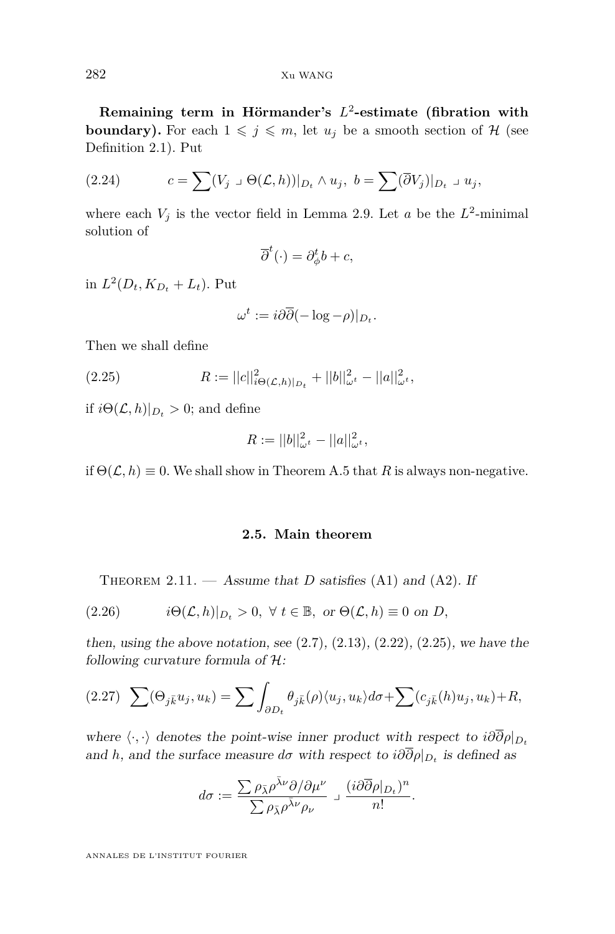**Remaining term in Hörmander's** *L* 2 **-estimate (fibration with boundary).** For each  $1 \leq j \leq m$ , let  $u_j$  be a smooth section of H (see Definition [2.1\)](#page-7-0). Put

<span id="page-14-3"></span>(2.24) 
$$
c = \sum (V_j \cup \Theta(\mathcal{L}, h))|_{D_t} \wedge u_j, \ b = \sum (\overline{\partial} V_j)|_{D_t} \cup u_j,
$$

where each  $V_j$  is the vector field in Lemma [2.9.](#page-13-2) Let *a* be the  $L^2$ -minimal solution of

$$
\overline{\partial}^t(\cdot) = \partial_{\phi}^t b + c,
$$

in  $L^2(D_t, K_{D_t} + L_t)$ . Put

<span id="page-14-2"></span>
$$
\omega^t := i\partial \overline{\partial} (-\log - \rho)|_{D_t}.
$$

Then we shall define

(2.25) 
$$
R := ||c||_{i\Theta(\mathcal{L},h)|_{D_t}}^2 + ||b||_{\omega^t}^2 - ||a||_{\omega^t}^2,
$$

if  $i\Theta(\mathcal{L}, h)|_{D_t} > 0$ ; and define

$$
R := ||b||_{\omega^t}^2 - ||a||_{\omega^t}^2,
$$

if  $\Theta(\mathcal{L}, h) \equiv 0$ . We shall show in Theorem [A.5](#page-42-0) that *R* is always non-negative.

#### **2.5. Main theorem**

<span id="page-14-1"></span><span id="page-14-0"></span>THEOREM 2.11.  $-$  Assume that *D* satisfies [\(A1\)](#page-6-0) and [\(A2\)](#page-8-1). If

(2.26) 
$$
i\Theta(\mathcal{L},h)|_{D_t} > 0, \ \forall \ t \in \mathbb{B}, \text{ or } \Theta(\mathcal{L},h) \equiv 0 \text{ on } D,
$$

then, using the above notation, see  $(2.7)$ ,  $(2.13)$ ,  $(2.22)$ ,  $(2.25)$ , we have the following curvature formula of  $H$ :

<span id="page-14-4"></span>
$$
(2.27)\quad \sum (\Theta_{j\bar{k}} u_j, u_k) = \sum \int_{\partial D_t} \theta_{j\bar{k}}(\rho) \langle u_j, u_k \rangle d\sigma + \sum (c_{j\bar{k}}(h) u_j, u_k) + R,
$$

where  $\langle \cdot, \cdot \rangle$  denotes the point-wise inner product with respect to  $i\partial \overline{\partial} \rho|_{D_t}$ and *h*, and the surface measure  $d\sigma$  with respect to  $i\partial\partial\rho|_{D_t}$  is defined as

$$
d\sigma := \frac{\sum \rho_{\bar{\lambda}} \rho^{\bar{\lambda}\nu} \partial/\partial \mu^{\nu}}{\sum \rho_{\bar{\lambda}} \rho^{\bar{\lambda}\nu} \rho_{\nu}} \mathop{\lrcorner} \frac{(i \partial \overline{\partial} \rho|_{D_t})^n}{n!}.
$$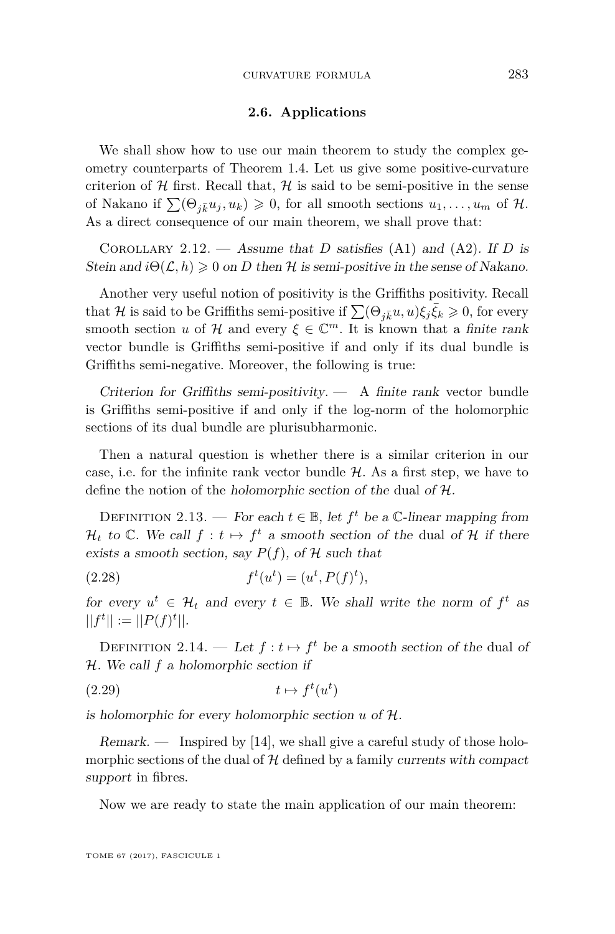#### **2.6. Applications**

We shall show how to use our main theorem to study the complex geometry counterparts of Theorem 1.4. Let us give some positive-curvature criterion of  $H$  first. Recall that,  $H$  is said to be semi-positive in the sense of Nakano if  $\sum (\Theta_{i\bar{k}} u_i, u_k) \geq 0$ , for all smooth sections  $u_1, \ldots, u_m$  of H. As a direct consequence of our main theorem, we shall prove that:

<span id="page-15-1"></span>COROLLARY 2.12. — Assume that *D* satisfies [\(A1\)](#page-6-0) and [\(A2\)](#page-8-1). If *D* is Stein and  $i\Theta(\mathcal{L}, h) \geq 0$  on D then H is semi-positive in the sense of Nakano.

Another very useful notion of positivity is the Griffiths positivity. Recall that H is said to be Griffiths semi-positive if  $\sum (\Theta_{j\bar{k}}u, u)\xi_j\bar{\xi}_k \geqslant 0$ , for every smooth section *u* of H and every  $\xi \in \mathbb{C}^m$ . It is known that a finite rank vector bundle is Griffiths semi-positive if and only if its dual bundle is Griffiths semi-negative. Moreover, the following is true:

Criterion for Griffiths semi-positivity.  $-$  A finite rank vector bundle is Griffiths semi-positive if and only if the log-norm of the holomorphic sections of its dual bundle are plurisubharmonic.

Then a natural question is whether there is a similar criterion in our case, i.e. for the infinite rank vector bundle  $H$ . As a first step, we have to define the notion of the holomorphic section of the dual of H.

<span id="page-15-2"></span>DEFINITION 2.13. — For each  $t \in \mathbb{B}$ , let  $f^t$  be a  $\mathbb{C}\text{-linear mapping from}$  $\mathcal{H}_t$  to  $\mathbb{C}$ . We call  $f : t \mapsto f^t$  a smooth section of the dual of  $\mathcal{H}$  if there exists a smooth section, say  $P(f)$ , of  $H$  such that

(2.28) 
$$
f^t(u^t) = (u^t, P(f)^t),
$$

for every  $u^t \in H_t$  and every  $t \in \mathbb{B}$ . We shall write the norm of  $f^t$  as  $||f^t|| := ||P(f)^t||.$ 

<span id="page-15-0"></span>DEFINITION 2.14. — Let  $f: t \mapsto f^t$  be a smooth section of the dual of H. We call *f* a holomorphic section if

$$
(2.29) \t t \mapsto f^t(u^t)
$$

is holomorphic for every holomorphic section *u* of H.

 $Remark.$  — Inspired by [\[14\]](#page-43-10), we shall give a careful study of those holomorphic sections of the dual of  $H$  defined by a family currents with compact support in fibres.

Now we are ready to state the main application of our main theorem: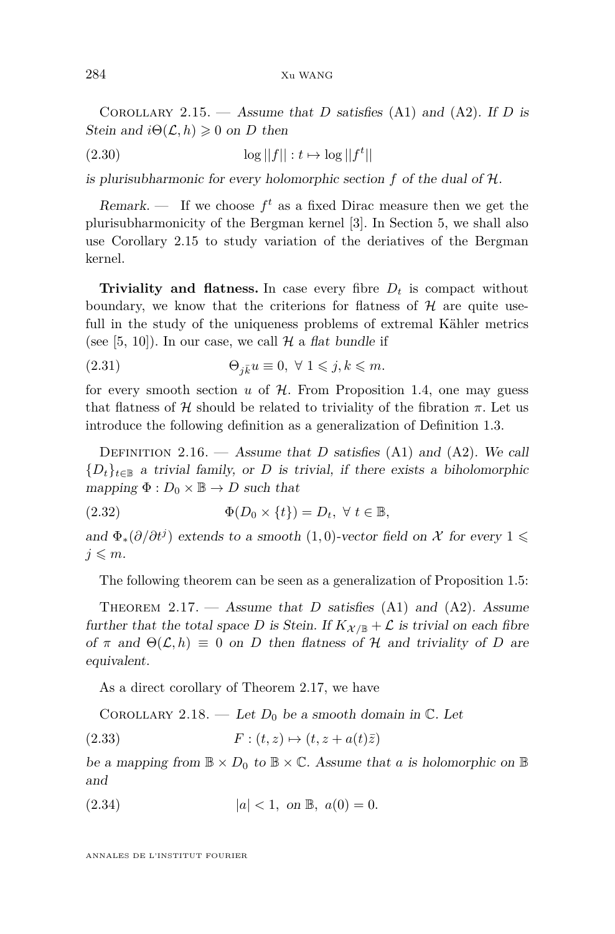<span id="page-16-1"></span>COROLLARY 2.15. — Assume that *D* satisfies [\(A1\)](#page-6-0) and [\(A2\)](#page-8-1). If *D* is Stein and  $i\Theta(\mathcal{L}, h) \geq 0$  on *D* then

$$
(2.30)\t\t \tlog||f||: t \mapsto \log||f^t|
$$

is plurisubharmonic for every holomorphic section *f* of the dual of H.

Remark.  $\cdots$  If we choose  $f^t$  as a fixed Dirac measure then we get the plurisubharmonicity of the Bergman kernel [\[3\]](#page-43-0). In Section [5,](#page-27-0) we shall also use Corollary [2.15](#page-16-1) to study variation of the deriatives of the Bergman kernel.

**Triviality and flatness.** In case every fibre  $D_t$  is compact without boundary, we know that the criterions for flatness of  $H$  are quite usefull in the study of the uniqueness problems of extremal Kähler metrics (see [\[5,](#page-43-6) [10\]](#page-43-8)). In our case, we call  $H$  a flat bundle if

(2.31) 
$$
\Theta_{j\bar{k}}u\equiv 0, \ \forall \ 1\leqslant j,k\leqslant m.
$$

for every smooth section  $u$  of  $H$ . From Proposition [1.4,](#page-4-0) one may guess that flatness of H should be related to triviality of the fibration  $\pi$ . Let us introduce the following definition as a generalization of Definition [1.3.](#page-3-1)

<span id="page-16-0"></span>DEFINITION 2.16. — Assume that *D* satisfies  $(A1)$  and  $(A2)$ . We call  ${D_t}_{t \in \mathbb{B}}$  a trivial family, or *D* is trivial, if there exists a biholomorphic mapping  $\Phi: D_0 \times \mathbb{B} \to D$  such that

(2.32) 
$$
\Phi(D_0 \times \{t\}) = D_t, \ \forall \ t \in \mathbb{B},
$$

and  $\Phi_*(\partial/\partial t^j)$  extends to a smooth (1,0)-vector field on X for every 1  $\leq$  $j \leqslant m$ .

The following theorem can be seen as a generalization of Proposition [1.5:](#page-4-1)

<span id="page-16-2"></span>THEOREM  $2.17.$   $-$  Assume that *D* satisfies [\(A1\)](#page-6-0) and [\(A2\)](#page-8-1). Assume further that the total space *D* is Stein. If  $K_{\mathcal{X}/\mathbb{B}} + \mathcal{L}$  is trivial on each fibre of  $\pi$  and  $\Theta(\mathcal{L}, h) \equiv 0$  on *D* then flatness of  $\mathcal{H}$  and triviality of *D* are equivalent.

As a direct corollary of Theorem [2.17,](#page-16-2) we have

<span id="page-16-3"></span>COROLLARY 2.18. — Let  $D_0$  be a smooth domain in  $\mathbb{C}$ . Let

$$
(2.33) \t\t\t F: (t, z) \mapsto (t, z + a(t)\overline{z})
$$

be a mapping from  $\mathbb{B} \times D_0$  to  $\mathbb{B} \times \mathbb{C}$ . Assume that a is holomorphic on  $\mathbb{B}$ and

(2.34) 
$$
|a| < 1
$$
, on  $\mathbb{B}$ ,  $a(0) = 0$ .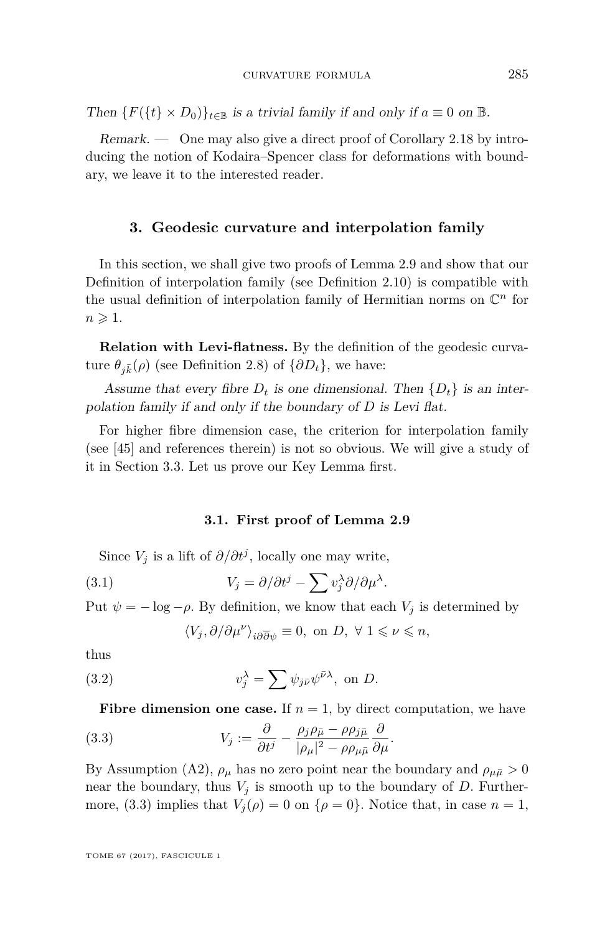Then  ${F({t \xrightarrow k B_0)}_{t \in \mathbb{B}}}$  is a trivial family if and only if  $a \equiv 0$  on  $\mathbb{B}$ .

Remark. — One may also give a direct proof of Corollary [2.18](#page-16-3) by introducing the notion of Kodaira–Spencer class for deformations with boundary, we leave it to the interested reader.

#### **3. Geodesic curvature and interpolation family**

In this section, we shall give two proofs of Lemma [2.9](#page-13-2) and show that our Definition of interpolation family (see Definition [2.10\)](#page-13-1) is compatible with the usual definition of interpolation family of Hermitian norms on  $\mathbb{C}^n$  for  $n \geqslant 1$ .

**Relation with Levi-flatness.** By the definition of the geodesic curvature  $\theta_{i\bar{k}}(\rho)$  (see Definition [2.8\)](#page-13-0) of  $\{\partial D_t\}$ , we have:

Assume that every fibre  $D_t$  is one dimensional. Then  $\{D_t\}$  is an interpolation family if and only if the boundary of *D* is Levi flat.

For higher fibre dimension case, the criterion for interpolation family (see [\[45\]](#page-45-3) and references therein) is not so obvious. We will give a study of it in Section [3.3.](#page-19-0) Let us prove our Key Lemma first.

#### <span id="page-17-1"></span>**3.1. First proof of Lemma [2.9](#page-13-2)**

Since  $V_j$  is a lift of  $\partial/\partial t^j$ , locally one may write,

(3.1) 
$$
V_j = \partial/\partial t^j - \sum v_j^{\lambda} \partial/\partial \mu^{\lambda}.
$$

Put  $\psi = -\log -\rho$ . By definition, we know that each  $V_i$  is determined by

<span id="page-17-2"></span><span id="page-17-0"></span>
$$
\langle V_j,\partial/\partial\mu^\nu\rangle_{i{\partial\overline\partial} \psi}\equiv 0, \text{ on } D, \; \forall \; 1\leqslant \nu\leqslant n,
$$

thus

(3.2) 
$$
v_j^{\lambda} = \sum \psi_{j\bar{\nu}} \psi^{\bar{\nu}\lambda}, \text{ on } D.
$$

**Fibre dimension one case.** If  $n = 1$ , by direct computation, we have

(3.3) 
$$
V_j := \frac{\partial}{\partial t^j} - \frac{\rho_j \rho_{\bar{\mu}} - \rho \rho_{j\bar{\mu}}}{|\rho_\mu|^2 - \rho \rho_{\mu \bar{\mu}}} \frac{\partial}{\partial \mu}.
$$

By Assumption [\(A2\)](#page-8-1),  $\rho_{\mu}$  has no zero point near the boundary and  $\rho_{\mu\bar{\mu}} > 0$ near the boundary, thus  $V_j$  is smooth up to the boundary of  $D$ . Further-more, [\(3.3\)](#page-17-0) implies that  $V_j(\rho) = 0$  on  $\{\rho = 0\}$ . Notice that, in case  $n = 1$ ,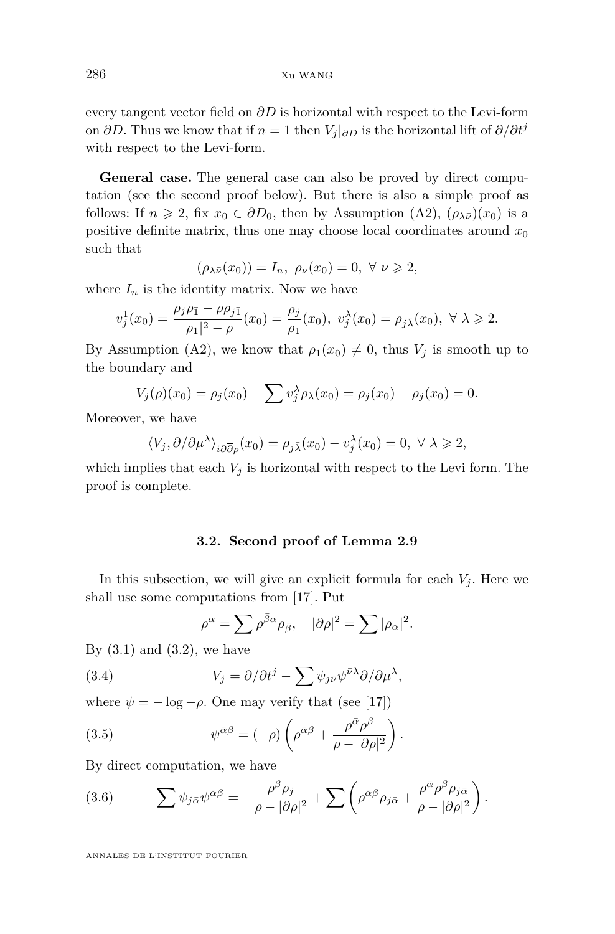every tangent vector field on *∂D* is horizontal with respect to the Levi-form on  $\partial D$ . Thus we know that if  $n = 1$  then  $V_i|_{\partial D}$  is the horizontal lift of  $\partial/\partial t^j$ with respect to the Levi-form.

**General case.** The general case can also be proved by direct computation (see the second proof below). But there is also a simple proof as follows: If  $n \ge 2$ , fix  $x_0 \in \partial D_0$ , then by Assumption [\(A2\)](#page-8-1),  $(\rho_{\lambda \bar{\nu}})(x_0)$  is a positive definite matrix, thus one may choose local coordinates around  $x_0$ such that

$$
(\rho_{\lambda\bar{\nu}}(x_0)) = I_n, \ \rho_{\nu}(x_0) = 0, \ \forall \ \nu \geq 2,
$$

where  $I_n$  is the identity matrix. Now we have

$$
v_j^1(x_0) = \frac{\rho_j \rho_{\bar{1}} - \rho \rho_{j\bar{1}}}{|\rho_1|^2 - \rho}(x_0) = \frac{\rho_j}{\rho_1}(x_0), \ v_j^\lambda(x_0) = \rho_{j\bar{\lambda}}(x_0), \ \forall \ \lambda \geq 2.
$$

By Assumption [\(A2\)](#page-8-1), we know that  $\rho_1(x_0) \neq 0$ , thus  $V_j$  is smooth up to the boundary and

$$
V_j(\rho)(x_0) = \rho_j(x_0) - \sum v_j^{\lambda} \rho_{\lambda}(x_0) = \rho_j(x_0) - \rho_j(x_0) = 0.
$$

Moreover, we have

$$
\langle V_j, \partial/\partial \mu^\lambda \rangle_{i\partial \overline{\partial} \rho}(x_0) = \rho_{j\overline{\lambda}}(x_0) - v_j^\lambda(x_0) = 0, \ \forall \ \lambda \geq 2,
$$

which implies that each  $V_j$  is horizontal with respect to the Levi form. The proof is complete.

#### **3.2. Second proof of Lemma [2.9](#page-13-2)**

<span id="page-18-0"></span>In this subsection, we will give an explicit formula for each  $V_j$ . Here we shall use some computations from [\[17\]](#page-43-15). Put

<span id="page-18-2"></span>
$$
\rho^{\alpha} = \sum \rho^{\bar{\beta}\alpha} \rho_{\bar{\beta}}, \quad |\partial \rho|^2 = \sum |\rho_{\alpha}|^2.
$$

By  $(3.1)$  and  $(3.2)$ , we have

(3.4) 
$$
V_j = \partial/\partial t^j - \sum \psi_{j\bar{\nu}} \psi^{\bar{\nu}\lambda} \partial/\partial \mu^{\lambda},
$$

where  $\psi = -\log -\rho$ . One may verify that (see [\[17\]](#page-43-15))

(3.5) 
$$
\psi^{\bar{\alpha}\beta} = (-\rho) \left( \rho^{\bar{\alpha}\beta} + \frac{\rho^{\bar{\alpha}}\rho^{\beta}}{\rho - |\partial \rho|^2} \right).
$$

By direct computation, we have

<span id="page-18-1"></span>(3.6) 
$$
\sum \psi_{j\bar{\alpha}} \psi^{\bar{\alpha}\beta} = -\frac{\rho^{\beta} \rho_j}{\rho - |\partial \rho|^2} + \sum \left( \rho^{\bar{\alpha}\beta} \rho_{j\bar{\alpha}} + \frac{\rho^{\bar{\alpha}} \rho^{\beta} \rho_{j\bar{\alpha}}}{\rho - |\partial \rho|^2} \right).
$$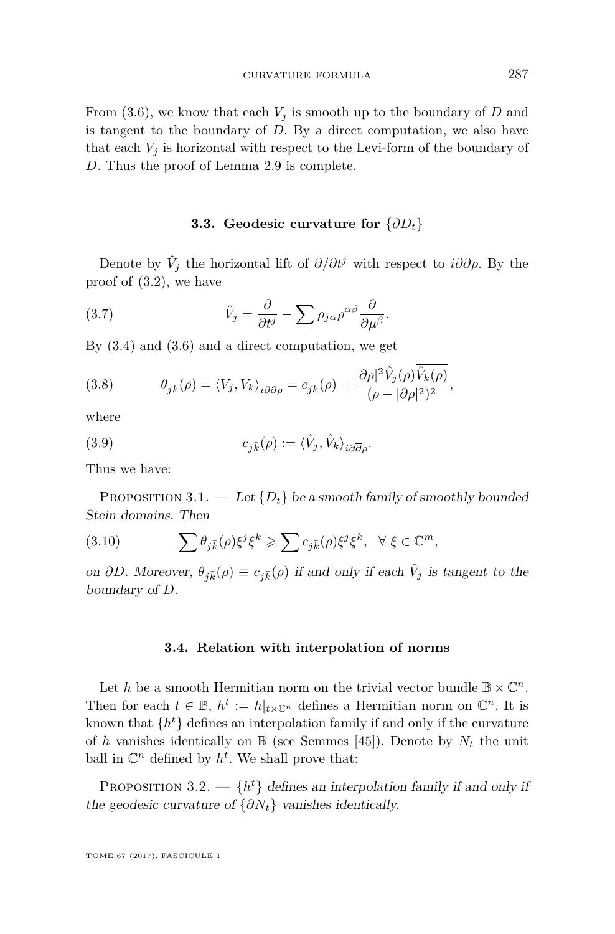From  $(3.6)$ , we know that each  $V_i$  is smooth up to the boundary of *D* and is tangent to the boundary of *D*. By a direct computation, we also have that each  $V_i$  is horizontal with respect to the Levi-form of the boundary of *D*. Thus the proof of Lemma [2.9](#page-13-2) is complete.

#### **3.3. Geodesic curvature for** {*∂Dt*}

<span id="page-19-0"></span>Denote by  $\hat{V}_j$  the horizontal lift of  $\partial/\partial t^j$  with respect to  $i\partial\overline{\partial}\rho$ . By the proof of [\(3.2\)](#page-17-2), we have

(3.7) 
$$
\hat{V}_j = \frac{\partial}{\partial t^j} - \sum \rho_{j\bar{\alpha}} \rho^{\bar{\alpha}\beta} \frac{\partial}{\partial \mu^{\beta}}.
$$

By [\(3.4\)](#page-18-2) and [\(3.6\)](#page-18-1) and a direct computation, we get

(3.8) 
$$
\theta_{j\bar{k}}(\rho) = \langle V_j, V_k \rangle_{i\partial \overline{\partial}\rho} = c_{j\bar{k}}(\rho) + \frac{|\partial \rho|^2 \hat{V}_j(\rho) \hat{V}_k(\rho)}{(\rho - |\partial \rho|^2)^2},
$$

where

<span id="page-19-2"></span>(3.9) 
$$
c_{j\bar{k}}(\rho) := \langle \hat{V}_j, \hat{V}_k \rangle_{i\partial \overline{\partial} \rho}.
$$

Thus we have:

<span id="page-19-1"></span>PROPOSITION 3.1. — Let  $\{D_t\}$  be a smooth family of smoothly bounded Stein domains. Then

(3.10) 
$$
\sum \theta_{j\bar{k}}(\rho)\xi^j\bar{\xi}^k \geq \sum c_{j\bar{k}}(\rho)\xi^j\bar{\xi}^k, \quad \forall \xi \in \mathbb{C}^m,
$$

on *∂D*. Moreover,  $\theta_{j\bar{k}}(\rho) \equiv c_{j\bar{k}}(\rho)$  if and only if each  $\hat{V}_j$  is tangent to the boundary of *D*.

#### **3.4. Relation with interpolation of norms**

Let *h* be a smooth Hermitian norm on the trivial vector bundle  $\mathbb{B} \times \mathbb{C}^n$ . Then for each  $t \in \mathbb{B}$ ,  $h^t := h|_{t \times \mathbb{C}^n}$  defines a Hermitian norm on  $\mathbb{C}^n$ . It is known that  $\{h^t\}$  defines an interpolation family if and only if the curvature of *h* vanishes identically on  $\mathbb{B}$  (see Semmes [\[45\]](#page-45-3)). Denote by  $N_t$  the unit ball in  $\mathbb{C}^n$  defined by  $h^t$ . We shall prove that:

PROPOSITION 3.2.  $\{-\}$   $\{h^t\}$  defines an interpolation family if and only if the geodesic curvature of  $\{\partial N_t\}$  vanishes identically.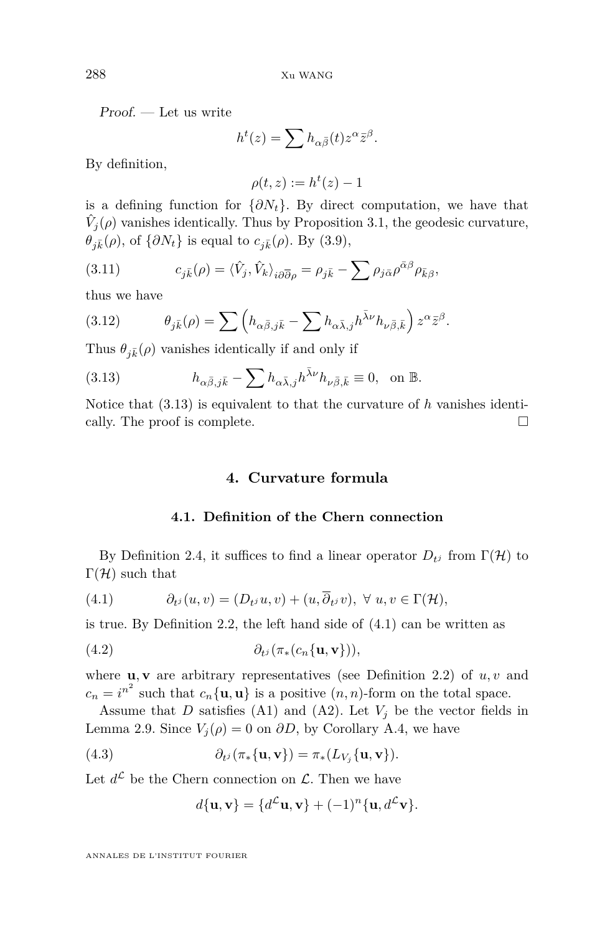Proof. — Let us write

$$
h^{t}(z) = \sum h_{\alpha\bar{\beta}}(t) z^{\alpha} \bar{z}^{\beta}.
$$

By definition,

$$
\rho(t,z) := h^t(z) - 1
$$

is a defining function for  $\{\partial N_t\}$ . By direct computation, we have that  $\hat{V}_j(\rho)$  vanishes identically. Thus by Proposition [3.1,](#page-19-1) the geodesic curvature,  $\theta_{i\bar{k}}(\rho)$ , of  $\{\partial N_t\}$  is equal to  $c_{i\bar{k}}(\rho)$ . By [\(3.9\)](#page-19-2),

(3.11) 
$$
c_{j\bar{k}}(\rho) = \langle \hat{V}_j, \hat{V}_k \rangle_{i\partial \overline{\partial}\rho} = \rho_{j\bar{k}} - \sum \rho_{j\bar{\alpha}} \rho^{\bar{\alpha}\beta} \rho_{\bar{k}\beta},
$$

thus we have

(3.12) 
$$
\theta_{j\bar{k}}(\rho) = \sum \left( h_{\alpha\bar{\beta},j\bar{k}} - \sum h_{\alpha\bar{\lambda},j} h^{\bar{\lambda}\nu} h_{\nu\bar{\beta},\bar{k}} \right) z^{\alpha} \bar{z}^{\beta}.
$$

Thus  $\theta_{j\bar{k}}(\rho)$  vanishes identically if and only if

<span id="page-20-1"></span>(3.13) 
$$
h_{\alpha\bar{\beta},j\bar{k}} - \sum h_{\alpha\bar{\lambda},j} h^{\bar{\lambda}\nu} h_{\nu\bar{\beta},\bar{k}} \equiv 0, \text{ on } \mathbb{B}.
$$

<span id="page-20-0"></span>Notice that [\(3.13\)](#page-20-1) is equivalent to that the curvature of *h* vanishes identically. The proof is complete.

### **4. Curvature formula**

#### <span id="page-20-2"></span>**4.1. Definition of the Chern connection**

By Definition [2.4,](#page-8-2) it suffices to find a linear operator  $D_{t_j}$  from  $\Gamma(\mathcal{H})$  to  $\Gamma(\mathcal{H})$  such that

(4.1) 
$$
\partial_{t^j}(u,v)=(D_{t^j}u,v)+(u,\overline{\partial}_{t^j}v), \ \forall \ u,v\in\Gamma(\mathcal{H}),
$$

is true. By Definition [2.2,](#page-7-1) the left hand side of [\(4.1\)](#page-20-2) can be written as

(4.2) *∂<sup>t</sup> <sup>j</sup>* (*π*∗(*cn*{**u***,* **v**}))*,*

where  $\mathbf{u}, \mathbf{v}$  are arbitrary representatives (see Definition [2.2\)](#page-7-1) of  $u, v$  and  $c_n = i^{n^2}$  such that  $c_n\{\mathbf{u}, \mathbf{u}\}\)$  is a positive  $(n, n)$ -form on the total space.

Assume that *D* satisfies [\(A1\)](#page-6-0) and [\(A2\)](#page-8-1). Let  $V_j$  be the vector fields in Lemma [2.9.](#page-13-2) Since  $V_j(\rho) = 0$  on  $\partial D$ , by Corollary [A.4,](#page-41-0) we have

(4.3) 
$$
\partial_{t^j}(\pi_*\{\mathbf{u}, \mathbf{v}\}) = \pi_* (L_{V_j}\{\mathbf{u}, \mathbf{v}\}).
$$

Let  $d^{\mathcal{L}}$  be the Chern connection on  $\mathcal{L}$ . Then we have

<span id="page-20-3"></span>
$$
d\{\mathbf{u},\mathbf{v}\} = \{d^{\mathcal{L}}\mathbf{u},\mathbf{v}\} + (-1)^n \{\mathbf{u}, d^{\mathcal{L}}\mathbf{v}\}.
$$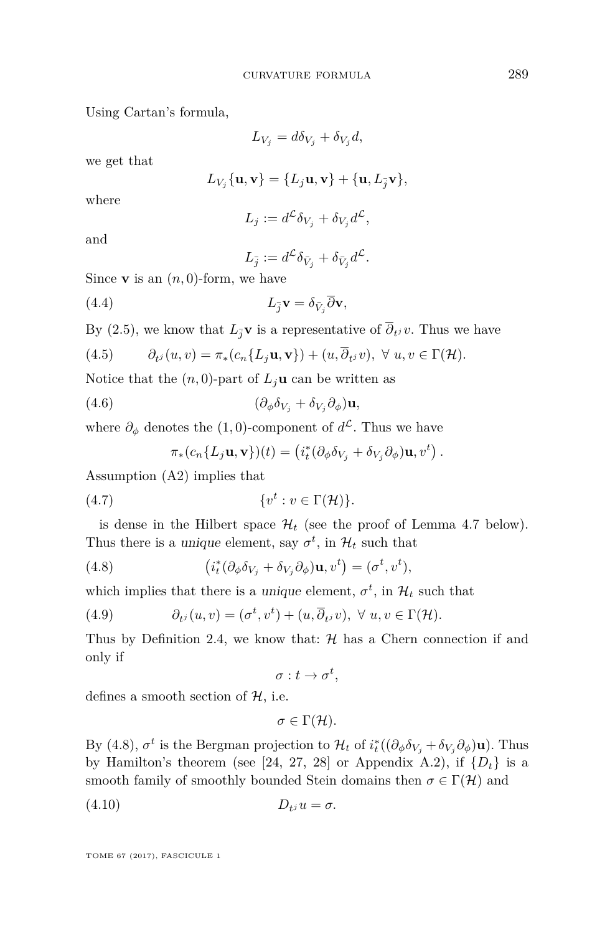Using Cartan's formula,

$$
L_{V_j} = d\delta_{V_j} + \delta_{V_j} d,
$$

we get that

$$
L_{V_j}\{\mathbf{u},\mathbf{v}\} = \{L_j\mathbf{u},\mathbf{v}\} + \{\mathbf{u},L_{\overline{j}}\mathbf{v}\},\
$$

where

$$
L_j := d^{\mathcal{L}} \delta_{V_j} + \delta_{V_j} d^{\mathcal{L}},
$$

and

$$
L_{\bar{j}} := d^{\mathcal{L}} \delta_{\bar{V}_j} + \delta_{\bar{V}_j} d^{\mathcal{L}}.
$$

Since **v** is an  $(n, 0)$ -form, we have

(4.4) 
$$
L_{\bar{j}}\mathbf{v} = \delta_{\bar{V}_j}\bar{\partial}\mathbf{v},
$$

By [\(2.5\)](#page-8-3), we know that  $L_{\bar{j}}\mathbf{v}$  is a representative of  $\partial_{t^j} v$ . Thus we have

<span id="page-21-1"></span>(4.5) 
$$
\partial_{t^j}(u,v) = \pi_*(c_n\{L_j\mathbf{u},\mathbf{v}\}) + (u,\overline{\partial}_{t^j}v), \ \forall \ u,v \in \Gamma(\mathcal{H}).
$$

Notice that the  $(n, 0)$ -part of  $L_j$ **u** can be written as

(4.6) 
$$
(\partial_{\phi} \delta_{V_j} + \delta_{V_j} \partial_{\phi}) \mathbf{u},
$$

where  $\partial_{\phi}$  denotes the (1,0)-component of  $d^{\mathcal{L}}$ . Thus we have

<span id="page-21-0"></span>
$$
\pi_*(c_n\{L_j\mathbf{u},\mathbf{v}\})(t) = \left(i_t^*(\partial_\phi\delta_{V_j} + \delta_{V_j}\partial_\phi)\mathbf{u},v^t\right).
$$

Assumption [\(A2\)](#page-8-1) implies that

$$
(4.7) \t\t \{v^t : v \in \Gamma(\mathcal{H})\}.
$$

is dense in the Hilbert space  $\mathcal{H}_t$  (see the proof of Lemma [4.7](#page-26-0) below). Thus there is a *unique* element, say  $\sigma^t$ , in  $\mathcal{H}_t$  such that

(4.8) 
$$
(i_t^*(\partial_\phi \delta_{V_j} + \delta_{V_j}\partial_\phi)\mathbf{u}, v^t) = (\sigma^t, v^t),
$$

which implies that there is a unique element,  $\sigma^t$ , in  $\mathcal{H}_t$  such that

(4.9) 
$$
\partial_{t^j}(u,v)=(\sigma^t,v^t)+(u,\overline{\partial}_{t^j}v), \ \forall \ u,v\in\Gamma(\mathcal{H}).
$$

Thus by Definition [2.4,](#page-8-2) we know that:  $H$  has a Chern connection if and only if

 $\sigma: t \to \sigma^t$ 

defines a smooth section of  $H$ , i.e.

<span id="page-21-2"></span>
$$
\sigma\in\Gamma(\mathcal{H}).
$$

By [\(4.8\)](#page-21-0),  $\sigma^t$  is the Bergman projection to  $\mathcal{H}_t$  of  $i_t^*( (\partial_\phi \delta_{V_j} + \delta_{V_j} \partial_\phi) \mathbf{u})$ . Thus by Hamilton's theorem (see [\[24,](#page-44-16) [27,](#page-44-17) [28\]](#page-44-11) or Appendix [A.2\)](#page-41-1), if  $\{D_t\}$  is a smooth family of smoothly bounded Stein domains then  $\sigma \in \Gamma(\mathcal{H})$  and

$$
(4.10) \t\t D_{tj}u = \sigma.
$$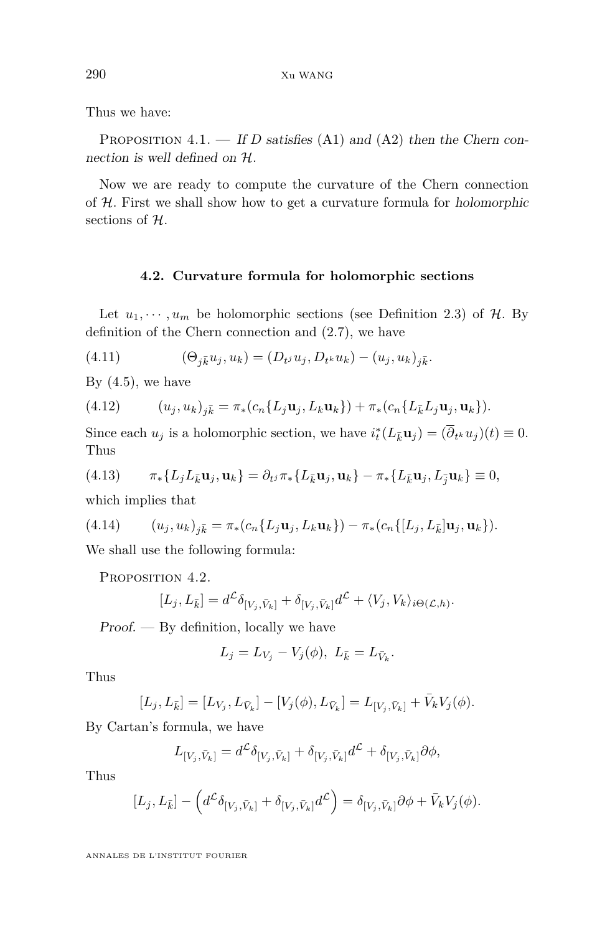Thus we have:

<span id="page-22-0"></span>PROPOSITION 4.1. — If *D* satisfies [\(A1\)](#page-6-0) and [\(A2\)](#page-8-1) then the Chern connection is well defined on H.

Now we are ready to compute the curvature of the Chern connection of  $H$ . First we shall show how to get a curvature formula for holomorphic sections of H.

#### <span id="page-22-1"></span>**4.2. Curvature formula for holomorphic sections**

Let  $u_1, \dots, u_m$  be holomorphic sections (see Definition [2.3\)](#page-8-4) of  $H$ . By definition of the Chern connection and [\(2.7\)](#page-9-1), we have

(4.11) 
$$
(\Theta_{j\bar{k}}u_j, u_k) = (D_{t^j}u_j, D_{t^k}u_k) - (u_j, u_k)_{j\bar{k}}.
$$

By  $(4.5)$ , we have

(4.12) 
$$
(u_j, u_k)_{j\bar{k}} = \pi_*(c_n\{L_j \mathbf{u}_j, L_k \mathbf{u}_k\}) + \pi_*(c_n\{L_{\bar{k}} L_j \mathbf{u}_j, \mathbf{u}_k\}).
$$

Since each  $u_j$  is a holomorphic section, we have  $i_t^*(L_{\bar{k}}\mathbf{u}_j) = (\overline{\partial}_{t^k}u_j)(t) \equiv 0$ . Thus

$$
(4.13) \qquad \pi_*\{L_jL_{\bar{k}}\mathbf{u}_j,\mathbf{u}_k\}=\partial_{t^j}\pi_*\{L_{\bar{k}}\mathbf{u}_j,\mathbf{u}_k\}-\pi_*\{L_{\bar{k}}\mathbf{u}_j,L_{\bar{j}}\mathbf{u}_k\}\equiv 0,
$$

which implies that

<span id="page-22-2"></span>(4.14) 
$$
(u_j, u_k)_{j\bar{k}} = \pi_* (c_n\{L_j \mathbf{u}_j, L_k \mathbf{u}_k\}) - \pi_* (c_n\{[L_j, L_{\bar{k}}] \mathbf{u}_j, \mathbf{u}_k\}).
$$

We shall use the following formula:

PROPOSITION 4.2.

$$
[L_j, L_{\bar{k}}] = d^{\mathcal{L}} \delta_{[V_j, \bar{V}_k]} + \delta_{[V_j, \bar{V}_k]} d^{\mathcal{L}} + \langle V_j, V_k \rangle_{i \Theta(\mathcal{L}, h)}.
$$

Proof. — By definition, locally we have

$$
L_j = L_{V_j} - V_j(\phi), \ L_{\bar{k}} = L_{\bar{V}_k}.
$$

Thus

$$
[L_j, L_{\bar{k}}]=[L_{V_j}, L_{\bar{V}_k}]-[V_j(\phi), L_{\bar{V}_k}]=L_{[V_j, \bar{V}_k]}+\bar{V}_k V_j(\phi).
$$

By Cartan's formula, we have

$$
L_{[V_j, \bar{V}_k]} = d^{\mathcal{L}} \delta_{[V_j, \bar{V}_k]} + \delta_{[V_j, \bar{V}_k]} d^{\mathcal{L}} + \delta_{[V_j, \bar{V}_k]} \partial \phi,
$$

Thus

$$
[L_j, L_{\bar{k}}] - \left(d^{\mathcal{L}} \delta_{[V_j, \bar{V}_k]} + \delta_{[V_j, \bar{V}_k]} d^{\mathcal{L}}\right) = \delta_{[V_j, \bar{V}_k]} \partial \phi + \bar{V}_k V_j(\phi).
$$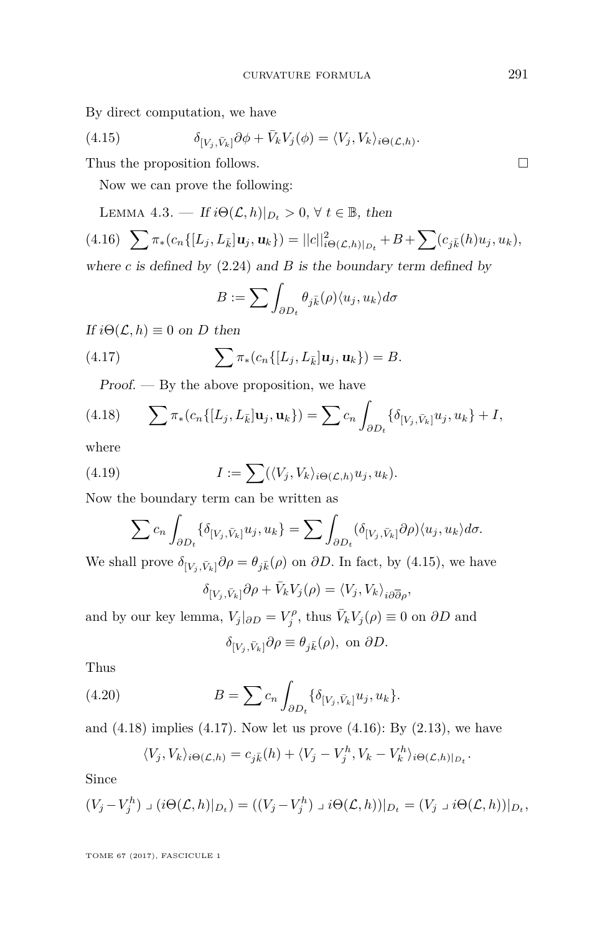By direct computation, we have

<span id="page-23-0"></span>(4.15) 
$$
\delta_{[V_j, \bar{V}_k]} \partial \phi + \bar{V}_k V_j(\phi) = \langle V_j, V_k \rangle_{i \Theta(\mathcal{L}, h)}.
$$

Thus the proposition follows.

Now we can prove the following:

<span id="page-23-4"></span><span id="page-23-3"></span>LEMMA 4.3. — If  $i\Theta(\mathcal{L}, h)|_{D_t} > 0$ ,  $\forall t \in \mathbb{B}$ , then

$$
(4.16)\quad \sum \pi_*(c_n\{[L_j, L_{\bar{k}}]u_j, u_k\}) = ||c||_{i\Theta(\mathcal{L},h)|_{D_t}}^2 + B + \sum (c_{j\bar{k}}(h)u_j, u_k),
$$

where  $c$  is defined by  $(2.24)$  and  $B$  is the boundary term defined by

<span id="page-23-2"></span>
$$
B := \sum \int_{\partial D_t} \theta_{j\bar{k}}(\rho) \langle u_j, u_k \rangle d\sigma
$$

If  $i\Theta(\mathcal{L}, h) \equiv 0$  on *D* then

(4.17) 
$$
\sum \pi_*(c_n\{[L_j, L_{\bar{k}}]u_j, u_k\}) = B.
$$

<span id="page-23-1"></span> $Proof.$  — By the above proposition, we have

(4.18) 
$$
\sum \pi_*(c_n\{[L_j, L_{\bar{k}}] \mathbf{u}_j, \mathbf{u}_k\}) = \sum c_n \int_{\partial D_t} {\delta}_{[V_j, \bar{V}_k]} u_j, u_k + I,
$$

where

(4.19) 
$$
I := \sum (\langle V_j, V_k \rangle_{i \Theta(\mathcal{L},h)} u_j, u_k).
$$

Now the boundary term can be written as

$$
\sum c_n \int_{\partial D_t} {\{\delta_{[V_j, \bar{V}_k]} u_j, u_k\}} = \sum \int_{\partial D_t} {\{\delta_{[V_j, \bar{V}_k]} \partial \rho \}\langle u_j, u_k \rangle d\sigma}.
$$

We shall prove  $\delta_{[V_j, \bar{V}_k]} \partial \rho = \theta_{j\bar{k}}(\rho)$  on  $\partial D$ . In fact, by [\(4.15\)](#page-23-0), we have

$$
\delta_{[V_j,\bar{V}_k]}\partial \rho + \bar{V}_k V_j(\rho) = \langle V_j, V_k \rangle_{i\partial \overline{\partial} \rho},
$$

and by our key lemma,  $V_j|_{\partial D} = V_j^{\rho}$ , thus  $\bar{V}_k V_j(\rho) \equiv 0$  on  $\partial D$  and

$$
\delta_{[V_j, \bar{V}_k]} \partial \rho \equiv \theta_{j\bar{k}}(\rho), \text{ on } \partial D.
$$

Thus

(4.20) 
$$
B = \sum c_n \int_{\partial D_t} \{ \delta_{[V_j, \bar{V}_k]} u_j, u_k \}.
$$

and  $(4.18)$  implies  $(4.17)$ . Now let us prove  $(4.16)$ : By  $(2.13)$ , we have

$$
\langle V_j, V_k \rangle_{i \Theta(\mathcal{L},h)} = c_{j\bar{k}}(h) + \langle V_j - V_j^h, V_k - V_k^h \rangle_{i \Theta(\mathcal{L},h)|_{D_t}}.
$$

Since

$$
(V_j - V_j^h) \mathbin{\lrcorner} (i\Theta(\mathcal{L}, h)|_{D_t}) = ((V_j - V_j^h) \mathbin{\lrcorner} i\Theta(\mathcal{L}, h))|_{D_t} = (V_j \mathbin{\lrcorner} i\Theta(\mathcal{L}, h))|_{D_t},
$$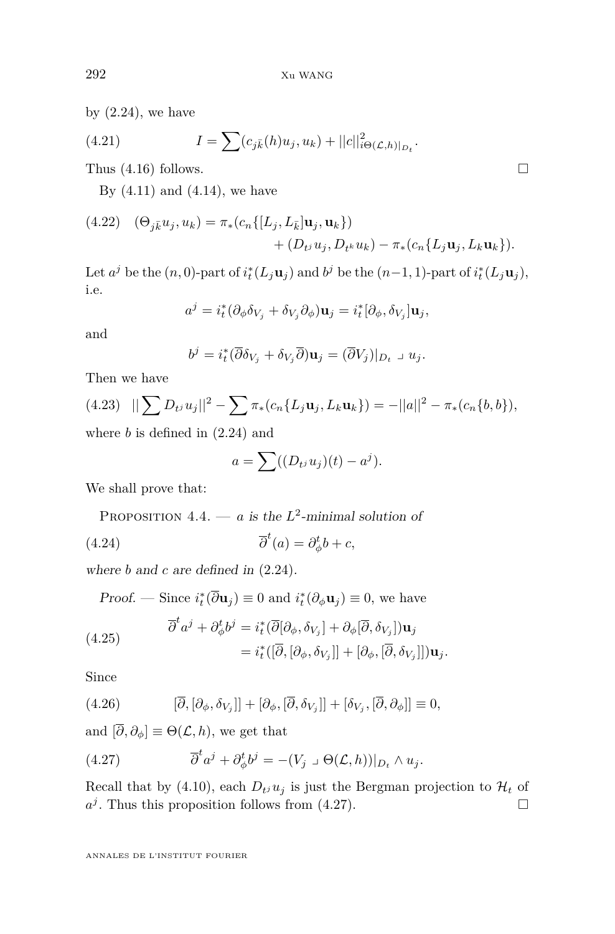by  $(2.24)$ , we have

(4.21) 
$$
I = \sum (c_{j\bar{k}}(h)u_j, u_k) + ||c||_{i\Theta(\mathcal{L},h)|_{D_t}}^2.
$$

Thus  $(4.16)$  follows.

By  $(4.11)$  and  $(4.14)$ , we have

<span id="page-24-1"></span>(4.22) 
$$
(\Theta_{j\bar{k}}u_j, u_k) = \pi_*(c_n\{[L_j, L_{\bar{k}}]u_j, u_k\})
$$
  
  $+ (D_{tj}u_j, D_{tk}u_k) - \pi_*(c_n\{L_ju_j, L_ku_k\}).$ 

Let  $a^j$  be the  $(n, 0)$ -part of  $i_t^*(L_j \mathbf{u}_j)$  and  $b^j$  be the  $(n-1, 1)$ -part of  $i_t^*(L_j \mathbf{u}_j)$ , i.e.

$$
a^{j} = i_{t}^{*}(\partial_{\phi}\delta_{V_{j}} + \delta_{V_{j}}\partial_{\phi})\mathbf{u}_{j} = i_{t}^{*}[\partial_{\phi}, \delta_{V_{j}}]\mathbf{u}_{j},
$$

and

$$
b^{j} = i_{t}^{*}(\overline{\partial} \delta_{V_{j}} + \delta_{V_{j}} \overline{\partial}) \mathbf{u}_{j} = (\overline{\partial} V_{j})|_{D_{t}} \mathbf{u}_{j}.
$$

Then we have

<span id="page-24-2"></span>(4.23) 
$$
||\sum D_{t}u_{j}||^{2} - \sum \pi_{*}(c_{n}\{L_{j}\mathbf{u}_{j}, L_{k}\mathbf{u}_{k}\}) = -||a||^{2} - \pi_{*}(c_{n}\{b, b\}),
$$
where *h* is defined in (2.24) and

where *b* is defined in [\(2.24\)](#page-14-3) and

$$
a = \sum ((D_{tj} uj)(t) - aj).
$$

We shall prove that:

PROPOSITION  $4.4. - a$  is the  $L^2$ -minimal solution of (4.24) *∂*  $t^{t}(a) = \partial_{\phi}^{t}b + c,$ 

where *b* and *c* are defined in [\(2.24\)](#page-14-3).

Proof. — Since  $i_t^*(\overline{\partial} \mathbf{u}_j) \equiv 0$  and  $i_t^*(\partial_\phi \mathbf{u}_j) \equiv 0$ , we have

(4.25) 
$$
\overline{\partial}^t a^j + \partial_{\phi}^t b^j = i_t^* (\overline{\partial} [\partial_{\phi}, \delta_{V_j}] + \partial_{\phi} [\overline{\partial}, \delta_{V_j}]) \mathbf{u}_j \n= i_t^* ([\overline{\partial}, [\partial_{\phi}, \delta_{V_j}]] + [\partial_{\phi}, [\overline{\partial}, \delta_{V_j}]]) \mathbf{u}_j.
$$

Since

(4.26) 
$$
[\overline{\partial}, [\partial_{\phi}, \delta_{V_j}]] + [\partial_{\phi}, [\overline{\partial}, \delta_{V_j}]] + [\delta_{V_j}, [\overline{\partial}, \partial_{\phi}]] \equiv 0,
$$

and  $[\overline{\partial}, \partial_{\phi}] \equiv \Theta(\mathcal{L}, h)$ , we get that

<span id="page-24-0"></span>(4.27) 
$$
\overline{\partial}^t a^j + \partial^t_\phi b^j = -(V_j \cup \Theta(\mathcal{L}, h))|_{D_t} \wedge u_j.
$$

Recall that by [\(4.10\)](#page-21-2), each  $D_t$ <sub>*j*</sub>  $u_j$  is just the Bergman projection to  $\mathcal{H}_t$  of  $a^j$ . Thus this proposition follows from [\(4.27\)](#page-24-0).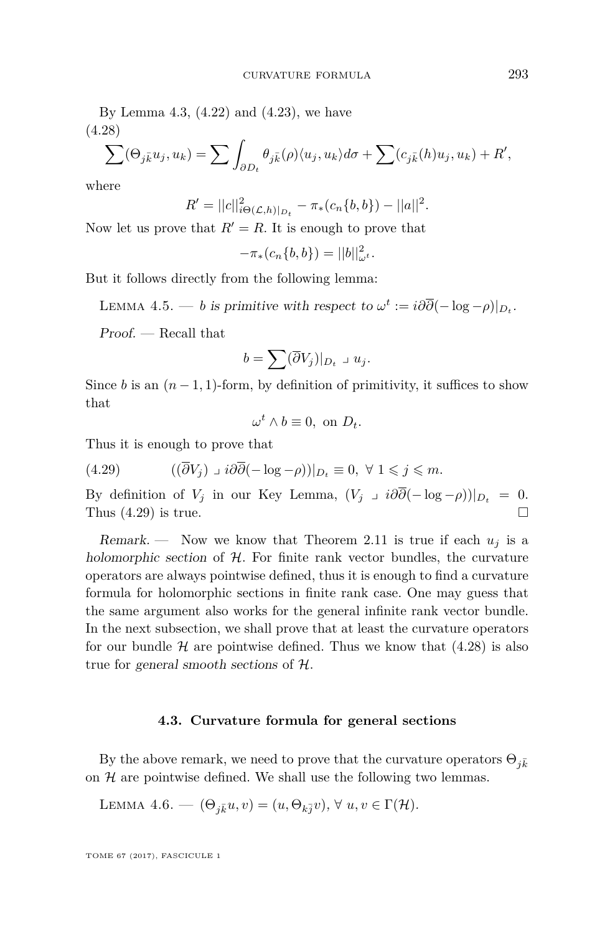By Lemma [4.3,](#page-23-4)  $(4.22)$  and  $(4.23)$ , we have (4.28)

<span id="page-25-1"></span>
$$
\sum (\Theta_{j\bar{k}} u_j, u_k) = \sum \int_{\partial D_t} \theta_{j\bar{k}}(\rho) \langle u_j, u_k \rangle d\sigma + \sum (c_{j\bar{k}}(h) u_j, u_k) + R',
$$

where

$$
R' = ||c||_{i\Theta(\mathcal{L},h)|_{D_t}}^2 - \pi_*(c_n\{b,b\}) - ||a||^2.
$$

Now let us prove that  $R' = R$ . It is enough to prove that

$$
-\pi_*(c_n\{b,b\}) = ||b||_{\omega^t}^2.
$$

But it follows directly from the following lemma:

LEMMA 4.5. — *b* is primitive with respect to  $\omega^t := i\partial\overline{\partial}(-\log - \rho)|_{D_t}$ .

Proof. — Recall that

$$
b=\sum (\overline{\partial}V_j)|_{D_t}\mathbin{\lrcorner} u_j.
$$

Since *b* is an  $(n-1, 1)$ -form, by definition of primitivity, it suffices to show that

$$
\omega^t \wedge b \equiv 0, \text{ on } D_t.
$$

Thus it is enough to prove that

<span id="page-25-0"></span>(4.29) 
$$
((\overline{\partial}V_j) \cup i\partial\overline{\partial}(-\log - \rho))|_{D_t} \equiv 0, \ \forall \ 1 \leq j \leq m.
$$

By definition of  $V_j$  in our Key Lemma,  $(V_j \cup i\partial \overline{\partial}(-\log -\rho))|_{D_t} = 0$ . Thus [\(4.29\)](#page-25-0) is true.

Remark. — Now we know that Theorem [2.11](#page-14-0) is true if each  $u_i$  is a holomorphic section of  $H$ . For finite rank vector bundles, the curvature operators are always pointwise defined, thus it is enough to find a curvature formula for holomorphic sections in finite rank case. One may guess that the same argument also works for the general infinite rank vector bundle. In the next subsection, we shall prove that at least the curvature operators for our bundle  $H$  are pointwise defined. Thus we know that  $(4.28)$  is also true for general smooth sections of H.

#### **4.3. Curvature formula for general sections**

By the above remark, we need to prove that the curvature operators  $\Theta_{i\bar{k}}$ on  $H$  are pointwise defined. We shall use the following two lemmas.

LEMMA 4.6. 
$$
(\Theta_{j\bar{k}}u,v)=(u,\Theta_{k\bar{j}}v), \forall u,v \in \Gamma(\mathcal{H}).
$$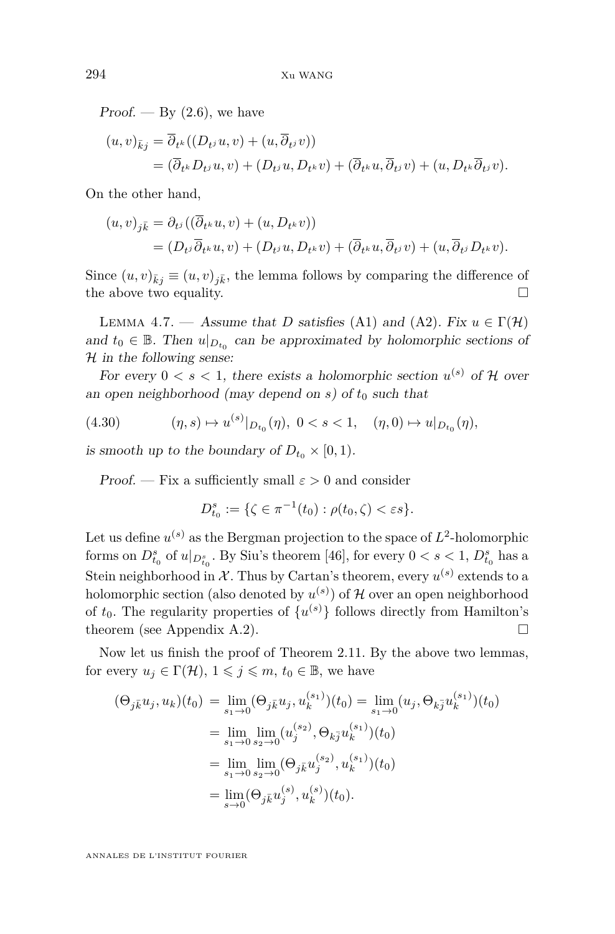$Proof. - By (2.6)$  $Proof. - By (2.6)$ , we have

$$
(u, v)_{\bar{k}j} = \overline{\partial}_{t^k}((D_{t^j}u, v) + (u, \overline{\partial}_{t^j}v))
$$
  
=  $(\overline{\partial}_{t^k}D_{t^j}u, v) + (D_{t^j}u, D_{t^k}v) + (\overline{\partial}_{t^k}u, \overline{\partial}_{t^j}v) + (u, D_{t^k}\overline{\partial}_{t^j}v).$ 

On the other hand,

$$
(u, v)_{j\overline{k}} = \partial_{t^{j}}((\partial_{t^{k}} u, v) + (u, D_{t^{k}} v))
$$
  
=  $(D_{t^{j}}\overline{\partial}_{t^{k}} u, v) + (D_{t^{j}} u, D_{t^{k}} v) + (\overline{\partial}_{t^{k}} u, \overline{\partial}_{t^{j}} v) + (u, \overline{\partial}_{t^{j}} D_{t^{k}} v).$ 

Since  $(u, v)_{\bar{k}j} \equiv (u, v)_{j\bar{k}}$ , the lemma follows by comparing the difference of the above two equality. the above two equality.

<span id="page-26-0"></span>LEMMA 4.7. — Assume that *D* satisfies [\(A1\)](#page-6-0) and [\(A2\)](#page-8-1). Fix  $u \in \Gamma(\mathcal{H})$ and  $t_0 \in \mathbb{B}$ . Then  $u|_{D_{t_0}}$  can be approximated by holomorphic sections of  $H$  in the following sense:

For every  $0 < s < 1$ , there exists a holomorphic section  $u^{(s)}$  of H over an open neighborhood (may depend on  $s$ ) of  $t_0$  such that

(4.30) 
$$
(\eta, s) \mapsto u^{(s)}|_{D_{t_0}}(\eta), \ 0 < s < 1, \quad (\eta, 0) \mapsto u|_{D_{t_0}}(\eta),
$$

is smooth up to the boundary of  $D_{t_0} \times [0,1)$ .

Proof. — Fix a sufficiently small  $\varepsilon > 0$  and consider

$$
D_{t_0}^s := \{ \zeta \in \pi^{-1}(t_0) : \rho(t_0, \zeta) < \varepsilon s \}.
$$

Let us define  $u^{(s)}$  as the Bergman projection to the space of  $L^2$ -holomorphic forms on  $D_{t_0}^s$  of  $u|_{D_{t_0}^s}$ . By Siu's theorem [\[46\]](#page-45-6), for every  $0 < s < 1,$   $D_{t_0}^s$  has a Stein neighborhood in  $\mathcal{X}$ . Thus by Cartan's theorem, every  $u^{(s)}$  extends to a holomorphic section (also denoted by  $u^{(s)}$ ) of  $\mathcal H$  over an open neighborhood of  $t_0$ . The regularity properties of  $\{u^{(s)}\}$  follows directly from Hamilton's theorem (see Appendix [A.2\)](#page-41-1).  $\Box$ 

Now let us finish the proof of Theorem [2.11.](#page-14-0) By the above two lemmas, for every  $u_j \in \Gamma(\mathcal{H}), 1 \leq j \leq m, t_0 \in \mathbb{B}$ , we have

$$
(\Theta_{j\bar{k}}u_j, u_k)(t_0) = \lim_{s_1 \to 0} (\Theta_{j\bar{k}}u_j, u_k^{(s_1)})(t_0) = \lim_{s_1 \to 0} (u_j, \Theta_{k\bar{j}}u_k^{(s_1)})(t_0)
$$
  
\n
$$
= \lim_{s_1 \to 0} \lim_{s_2 \to 0} (u_j^{(s_2)}, \Theta_{k\bar{j}}u_k^{(s_1)})(t_0)
$$
  
\n
$$
= \lim_{s_1 \to 0} \lim_{s_2 \to 0} (\Theta_{j\bar{k}}u_j^{(s_2)}, u_k^{(s_1)})(t_0)
$$
  
\n
$$
= \lim_{s \to 0} (\Theta_{j\bar{k}}u_j^{(s)}, u_k^{(s)})(t_0).
$$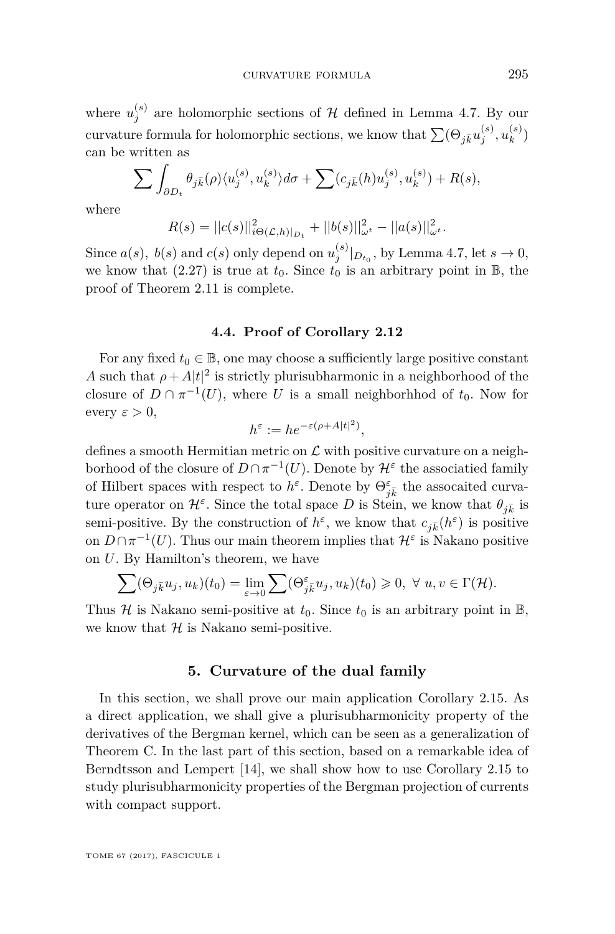where  $u_j^{(s)}$  are holomorphic sections of  $H$  defined in Lemma [4.7.](#page-26-0) By our curvature formula for holomorphic sections, we know that  $\sum (\Theta_{j\bar{k}}u^{(s)}_{j}, u^{(s)}_{k})$  $\binom{s}{k}$ can be written as

$$
\sum \int_{\partial D_t} \theta_{j\bar{k}}(\rho) \langle u_j^{(s)}, u_k^{(s)} \rangle d\sigma + \sum (c_{j\bar{k}}(h) u_j^{(s)}, u_k^{(s)}) + R(s),
$$

where

$$
R(s) = ||c(s)||_{i\Theta(\mathcal{L},h)|_{D_t}}^2 + ||b(s)||_{\omega^t}^2 - ||a(s)||_{\omega^t}^2.
$$

Since  $a(s)$ ,  $b(s)$  and  $c(s)$  only depend on  $u_j^{(s)}|_{D_{t_0}}$ , by Lemma [4.7,](#page-26-0) let  $s \to 0$ , we know that  $(2.27)$  is true at  $t_0$ . Since  $t_0$  is an arbitrary point in  $\mathbb{B}$ , the proof of Theorem [2.11](#page-14-0) is complete.

#### **4.4. Proof of Corollary [2.12](#page-15-1)**

For any fixed  $t_0 \in \mathbb{B}$ , one may choose a sufficiently large positive constant *A* such that  $\rho + A|t|^2$  is strictly plurisubharmonic in a neighborhood of the closure of  $D \cap \pi^{-1}(U)$ , where *U* is a small neighborhhod of  $t_0$ . Now for every  $\varepsilon > 0$ ,

$$
h^{\varepsilon} := he^{-\varepsilon(\rho + A|t|^2)},
$$

defines a smooth Hermitian metric on  $\mathcal L$  with positive curvature on a neighborhood of the closure of  $D \cap \pi^{-1}(U)$ . Denote by  $\mathcal{H}^{\varepsilon}$  the associatied family of Hilbert spaces with respect to  $h^{\varepsilon}$ . Denote by  $\Theta_{j\overline{k}}^{\varepsilon}$  the assocaited curvature operator on  $\mathcal{H}^{\varepsilon}$ . Since the total space D is Stein, we know that  $\theta_{j\bar{k}}$  is semi-positive. By the construction of  $h^{\varepsilon}$ , we know that  $c_{j\bar{k}}(h^{\varepsilon})$  is positive on  $D \cap \pi^{-1}(U)$ . Thus our main theorem implies that  $\mathcal{H}^{\varepsilon}$  is Nakano positive on *U*. By Hamilton's theorem, we have

$$
\sum (\Theta_{j\bar{k}} u_j, u_k)(t_0) = \lim_{\varepsilon \to 0} \sum (\Theta_{j\bar{k}}^{\varepsilon} u_j, u_k)(t_0) \geq 0, \ \forall \ u, v \in \Gamma(\mathcal{H}).
$$

Thus  $H$  is Nakano semi-positive at  $t_0$ . Since  $t_0$  is an arbitrary point in  $\mathbb{B}$ , we know that  $H$  is Nakano semi-positive.

#### **5. Curvature of the dual family**

<span id="page-27-0"></span>In this section, we shall prove our main application Corollary [2.15.](#page-16-1) As a direct application, we shall give a plurisubharmonicity property of the derivatives of the Bergman kernel, which can be seen as a generalization of Theorem [C.](#page-2-1) In the last part of this section, based on a remarkable idea of Berndtsson and Lempert [\[14\]](#page-43-10), we shall show how to use Corollary [2.15](#page-16-1) to study plurisubharmonicity properties of the Bergman projection of currents with compact support.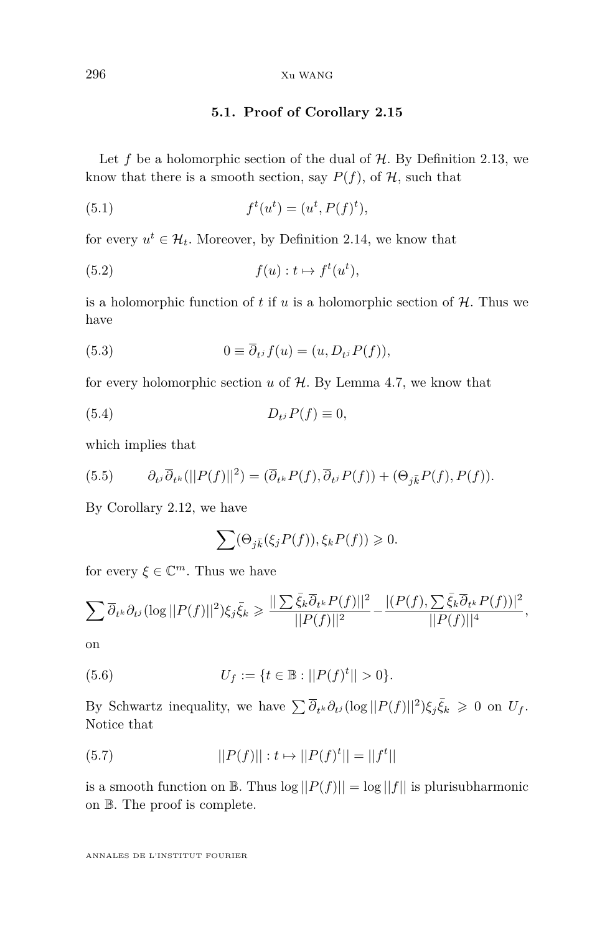#### **5.1. Proof of Corollary [2.15](#page-16-1)**

Let  $f$  be a holomorphic section of the dual of  $H$ . By Definition [2.13,](#page-15-2) we know that there is a smooth section, say  $P(f)$ , of  $H$ , such that

(5.1) 
$$
f^t(u^t) = (u^t, P(f)^t),
$$

for every  $u^t \in \mathcal{H}_t$ . Moreover, by Definition [2.14,](#page-15-0) we know that

(5.2) 
$$
f(u): t \mapsto f^t(u^t),
$$

is a holomorphic function of  $t$  if  $u$  is a holomorphic section of  $H$ . Thus we have

(5.3) 
$$
0 \equiv \overline{\partial}_{t} f(u) = (u, D_{t} P(f)),
$$

for every holomorphic section  $u$  of  $H$ . By Lemma [4.7,](#page-26-0) we know that

$$
(5.4) \t\t D_{t} P(f) \equiv 0,
$$

which implies that

(5.5) 
$$
\partial_{t^j}\overline{\partial}_{t^k}(\vert\vert P(f)\vert\vert^2)=(\overline{\partial}_{t^k}P(f),\overline{\partial}_{t^j}P(f))+(\Theta_{j\overline{k}}P(f),P(f)).
$$

By Corollary [2.12,](#page-15-1) we have

<span id="page-28-0"></span>
$$
\sum (\Theta_{j\bar k}(\xi_jP(f)),\xi_kP(f))\geqslant 0.
$$

for every  $\xi \in \mathbb{C}^m$ . Thus we have

$$
\sum \overline{\partial}_{t^k} \partial_{t^j} (\log ||P(f)||^2) \xi_j \overline{\xi}_k \ge \frac{||\sum \overline{\xi}_k \overline{\partial}_{t^k} P(f)||^2}{||P(f)||^2} - \frac{|(P(f), \sum \overline{\xi}_k \overline{\partial}_{t^k} P(f))|^2}{||P(f)||^4},
$$

on

(5.6) 
$$
U_f := \{ t \in \mathbb{B} : ||P(f)^t|| > 0 \}.
$$

By Schwartz inequality, we have  $\sum \overline{\partial}_{t^k} \partial_{t^j} (\log ||P(f)||^2) \xi_j \overline{\xi}_k \geq 0$  on  $U_f$ . Notice that

(5.7) 
$$
||P(f)||: t \mapsto ||P(f)^t|| = ||f^t||
$$

is a smooth function on  $\mathbb{B}$ . Thus  $\log ||P(f)|| = \log ||f||$  is plurisubharmonic on B. The proof is complete.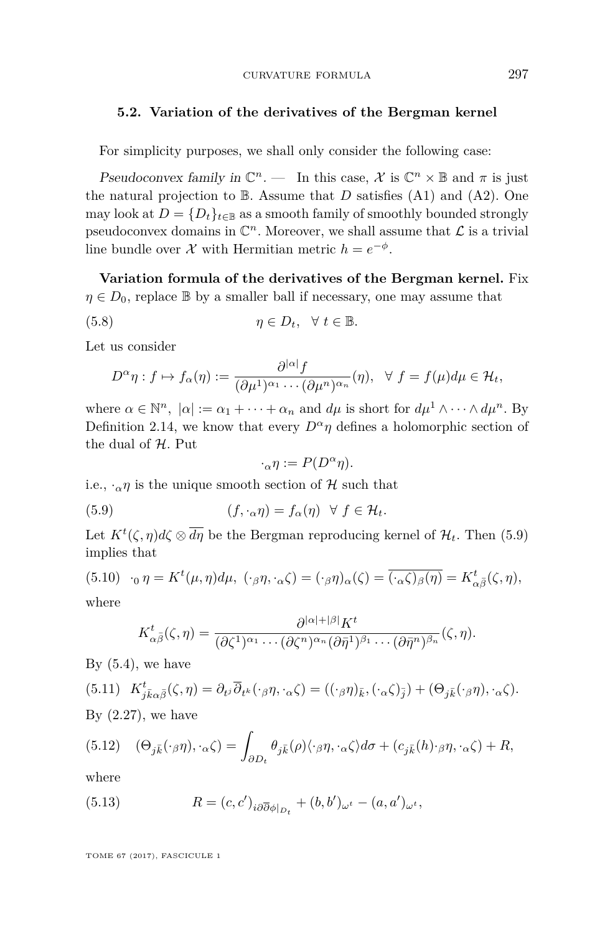#### <span id="page-29-0"></span>**5.2. Variation of the derivatives of the Bergman kernel**

For simplicity purposes, we shall only consider the following case:

Pseudoconvex family in  $\mathbb{C}^n$ . — In this case,  $\mathcal X$  is  $\mathbb{C}^n \times \mathbb{B}$  and  $\pi$  is just the natural projection to  $\mathbb B$ . Assume that *D* satisfies [\(A1\)](#page-6-0) and [\(A2\)](#page-8-1). One may look at  $D = \{D_t\}_{t \in \mathbb{R}}$  as a smooth family of smoothly bounded strongly pseudoconvex domains in  $\mathbb{C}^n$ . Moreover, we shall assume that  $\mathcal L$  is a trivial line bundle over  $\mathcal X$  with Hermitian metric  $h = e^{-\phi}$ .

**Variation formula of the derivatives of the Bergman kernel.** Fix  $\eta \in D_0$ , replace B by a smaller ball if necessary, one may assume that

(5.8) 
$$
\eta \in D_t, \quad \forall \ t \in \mathbb{B}.
$$

Let us consider

$$
D^{\alpha}\eta: f \mapsto f_{\alpha}(\eta) := \frac{\partial^{|\alpha|} f}{(\partial \mu^{1})^{\alpha_{1}} \cdots (\partial \mu^{n})^{\alpha_{n}}}(\eta), \ \ \forall \ f = f(\mu) d\mu \in \mathcal{H}_{t},
$$

where  $\alpha \in \mathbb{N}^n$ ,  $|\alpha| := \alpha_1 + \cdots + \alpha_n$  and  $d\mu$  is short for  $d\mu^1 \wedge \cdots \wedge d\mu^n$ . By Definition [2.14,](#page-15-0) we know that every  $D^{\alpha}\eta$  defines a holomorphic section of the dual of  $H$ . Put

<span id="page-29-1"></span>
$$
\cdot_{\alpha}\eta:=P(D^{\alpha}\eta).
$$

i.e.,  $\cdot_{\alpha} \eta$  is the unique smooth section of H such that

(5.9) 
$$
(f, \cdot_{\alpha}\eta) = f_{\alpha}(\eta) \quad \forall \ f \in \mathcal{H}_{t}.
$$

Let  $K^t(\zeta, \eta)d\zeta \otimes \overline{d\eta}$  be the Bergman reproducing kernel of  $\mathcal{H}_t$ . Then [\(5.9\)](#page-29-1) implies that

(5.10) 
$$
\cdot_0 \eta = K^t(\mu, \eta) d\mu
$$
,  $(\cdot_{\beta} \eta, \cdot_{\alpha} \zeta) = (\cdot_{\beta} \eta)_{\alpha} (\zeta) = \overline{(\cdot_{\alpha} \zeta)_{\beta} (\eta)} = K^t_{\alpha \overline{\beta}} (\zeta, \eta)$ ,  
where

$$
K_{\alpha\bar{\beta}}^{t}(\zeta,\eta)=\frac{\partial^{|\alpha|+|\beta|}K^{t}}{(\partial\zeta^{1})^{\alpha_{1}}\cdots(\partial\zeta^{n})^{\alpha_{n}}(\partial\bar{\eta}^{1})^{\beta_{1}}\cdots(\partial\bar{\eta}^{n})^{\beta_{n}}}(\zeta,\eta).
$$

By  $(5.4)$ , we have

(5.11) 
$$
K_{j\bar{k}\alpha\bar{\beta}}^{t}(\zeta,\eta) = \partial_{t^{j}}\overline{\partial}_{t^{k}}(\cdot_{\beta}\eta,\cdot_{\alpha}\zeta) = ((\cdot_{\beta}\eta)_{\bar{k}}, (\cdot_{\alpha}\zeta)_{\bar{j}}) + (\Theta_{j\bar{k}}(\cdot_{\beta}\eta), \cdot_{\alpha}\zeta).
$$
  
By (2.27), we have

(5.12) 
$$
(\Theta_{j\bar{k}}(\cdot_{\beta}\eta), \cdot_{\alpha}\zeta) = \int_{\partial D_t} \theta_{j\bar{k}}(\rho) \langle \cdot_{\beta}\eta, \cdot_{\alpha}\zeta \rangle d\sigma + (c_{j\bar{k}}(h) \cdot_{\beta}\eta, \cdot_{\alpha}\zeta) + R,
$$

where

(5.13) 
$$
R = (c, c')_{i\partial \overline{\partial} \phi|_{D_t}} + (b, b')_{\omega^t} - (a, a')_{\omega^t},
$$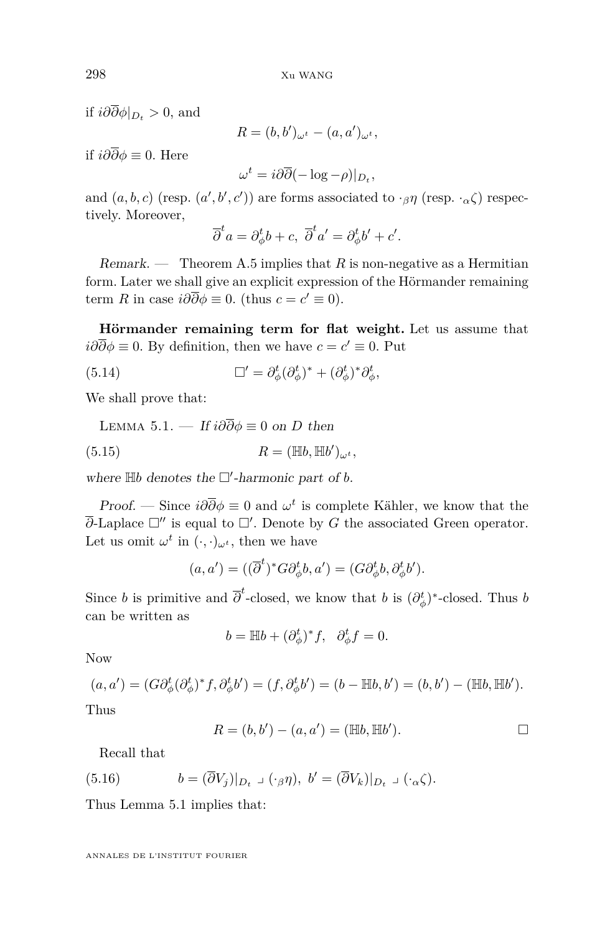if  $i\partial\overline{\partial}\phi|_{D_t} > 0$ , and

$$
R = (b, b')_{\omega^t} - (a, a')_{\omega^t},
$$

if *i∂∂φ* ≡ 0. Here

$$
\omega^t = i\partial\overline{\partial}(-\log - \rho)|_{D_t},
$$

and  $(a, b, c)$  (resp.  $(a', b', c')$ ) are forms associated to  $\cdot_{\beta} \eta$  (resp.  $\cdot_{\alpha} \zeta$ ) respectively. Moreover,

$$
\overline{\partial}^t a = \partial_{\phi}^t b + c, \overline{\partial}^t a' = \partial_{\phi}^t b' + c'.
$$

Remark. — Theorem [A.5](#page-42-0) implies that  $R$  is non-negative as a Hermitian form. Later we shall give an explicit expression of the Hörmander remaining term *R* in case  $i\partial\overline{\partial}\phi \equiv 0$ . (thus  $c = c' \equiv 0$ ).

**Hörmander remaining term for flat weight.** Let us assume that  $i\partial\overline{\partial}\phi \equiv 0$ . By definition, then we have  $c = c' \equiv 0$ . Put

(5.14) 
$$
\Box' = \partial_{\phi}^{t} (\partial_{\phi}^{t})^* + (\partial_{\phi}^{t})^* \partial_{\phi}^{t},
$$

We shall prove that:

<span id="page-30-0"></span>LEMMA 5.1. — If 
$$
i\partial\overline{\partial}\phi \equiv 0
$$
 on *D* then  
(5.15) 
$$
R = (\mathbb{H}b, \mathbb{H}b')_{\omega^t},
$$

where  $\mathbb{H}b$  denotes the  $\square'$ -harmonic part of *b*.

Proof. — Since  $i\partial\overline{\partial}\phi \equiv 0$  and  $\omega^t$  is complete Kähler, we know that the  $\overline{\partial}$ -Laplace  $\square''$  is equal to  $\square'$ . Denote by *G* the associated Green operator. Let us omit  $\omega^t$  in  $(\cdot, \cdot)_{\omega^t}$ , then we have

$$
(a, a') = ((\overline{\partial}^t)^* G \partial_{\phi}^t b, a') = (G \partial_{\phi}^t b, \partial_{\phi}^t b').
$$

Since *b* is primitive and  $\overline{\partial}^t$ -closed, we know that *b* is  $(\partial^t_{\phi})^*$ -closed. Thus *b* can be written as

$$
b = \mathbb{H}b + (\partial_{\phi}^t)^* f, \quad \partial_{\phi}^t f = 0.
$$

Now

$$
(a, a') = (G \partial_{\phi}^{t} (\partial_{\phi}^{t})^{*} f, \partial_{\phi}^{t} b') = (f, \partial_{\phi}^{t} b') = (b - \mathbb{H}b, b') = (b, b') - (\mathbb{H}b, \mathbb{H}b').
$$

Thus

$$
R = (b, b') - (a, a') = (\mathbb{H}b, \mathbb{H}b'). \square
$$

Recall that

(5.16) 
$$
b = (\overline{\partial}V_j)|_{D_t} \cup (\cdot_\beta \eta), \ b' = (\overline{\partial}V_k)|_{D_t} \cup (\cdot_\alpha \zeta).
$$

Thus Lemma [5.1](#page-30-0) implies that: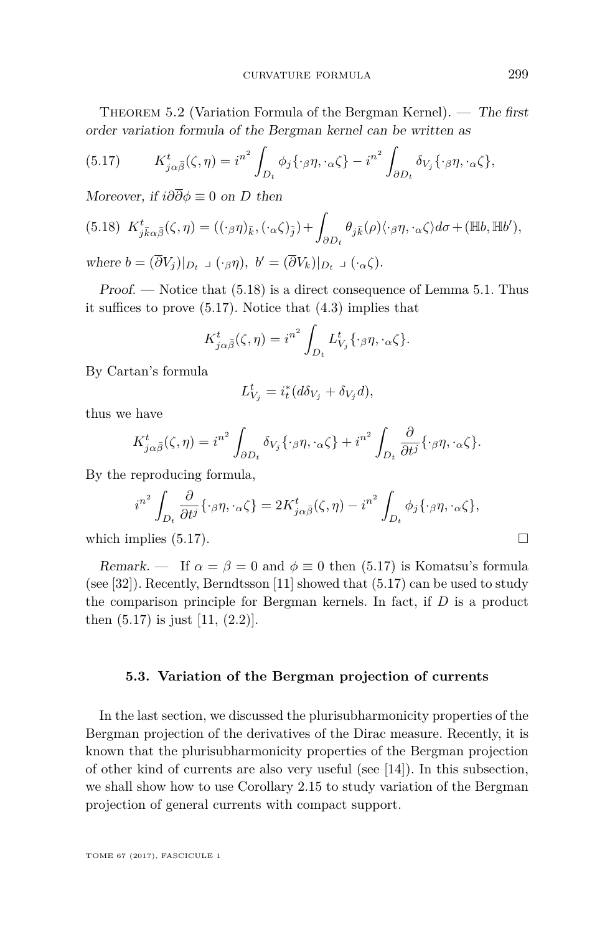<span id="page-31-0"></span>THEOREM 5.2 (Variation Formula of the Bergman Kernel). — The first order variation formula of the Bergman kernel can be written as

<span id="page-31-2"></span>(5.17) 
$$
K_{j\alpha\bar{\beta}}^{t}(\zeta,\eta) = i^{n^{2}} \int_{D_{t}} \phi_{j}\{\cdot_{\beta}\eta,\cdot_{\alpha}\zeta\} - i^{n^{2}} \int_{\partial D_{t}} \delta_{V_{j}}\{\cdot_{\beta}\eta,\cdot_{\alpha}\zeta\},
$$

Moreover, if  $i\partial\overline{\partial}\phi \equiv 0$  on *D* then

<span id="page-31-1"></span>(5.18) 
$$
K_{j\bar{k}\alpha\bar{\beta}}^{t}(\zeta,\eta) = ((\cdot_{\beta}\eta)_{\bar{k}}, (\cdot_{\alpha}\zeta)_{\bar{j}}) + \int_{\partial D_{t}} \theta_{j\bar{k}}(\rho) \langle \cdot_{\beta}\eta, \cdot_{\alpha}\zeta \rangle d\sigma + (\mathbb{H}b, \mathbb{H}b'),
$$
  
where  $b = (\overline{\partial}V_{j})|_{D_{t}} \supset (\cdot_{\beta}\eta), \ b' = (\overline{\partial}V_{k})|_{D_{t}} \supset (\cdot_{\alpha}\zeta).$ 

 $Proof.$  — Notice that  $(5.18)$  is a direct consequence of Lemma [5.1.](#page-30-0) Thus it suffices to prove [\(5.17\)](#page-31-2). Notice that [\(4.3\)](#page-20-3) implies that

$$
K_{j\alpha\bar{\beta}}^{t}(\zeta,\eta)=i^{n^{2}}\int_{D_{t}}L_{V_{j}}^{t}\left\{\cdot_{\beta}\eta,\cdot_{\alpha}\zeta\right\}.
$$

By Cartan's formula

$$
L_{V_j}^t = i_t^*(d\delta_{V_j} + \delta_{V_j}d),
$$

thus we have

$$
K_{j\alpha\bar{\beta}}^{t}(\zeta,\eta) = i^{n^{2}} \int_{\partial D_{t}} \delta_{V_{j}} \{\cdot_{\beta}\eta,\cdot_{\alpha}\zeta\} + i^{n^{2}} \int_{D_{t}} \frac{\partial}{\partial t^{j}} \{\cdot_{\beta}\eta,\cdot_{\alpha}\zeta\}.
$$

By the reproducing formula,

$$
i^{n^2} \int_{D_t} \frac{\partial}{\partial t^j} \{\cdot_{\beta}\eta, \cdot_{\alpha}\zeta\} = 2K^t_{j\alpha\bar{\beta}}(\zeta, \eta) - i^{n^2} \int_{D_t} \phi_j \{\cdot_{\beta}\eta, \cdot_{\alpha}\zeta\},\,
$$

which implies  $(5.17)$ .

Remark. — If  $\alpha = \beta = 0$  and  $\phi \equiv 0$  then [\(5.17\)](#page-31-2) is Komatsu's formula (see [\[32\]](#page-44-18)). Recently, Berndtsson [\[11\]](#page-43-16) showed that [\(5.17\)](#page-31-2) can be used to study the comparison principle for Bergman kernels. In fact, if *D* is a product then [\(5.17\)](#page-31-2) is just [\[11,](#page-43-16) (2*.*2)].

#### **5.3. Variation of the Bergman projection of currents**

In the last section, we discussed the plurisubharmonicity properties of the Bergman projection of the derivatives of the Dirac measure. Recently, it is known that the plurisubharmonicity properties of the Bergman projection of other kind of currents are also very useful (see [\[14\]](#page-43-10)). In this subsection, we shall show how to use Corollary [2.15](#page-16-1) to study variation of the Bergman projection of general currents with compact support.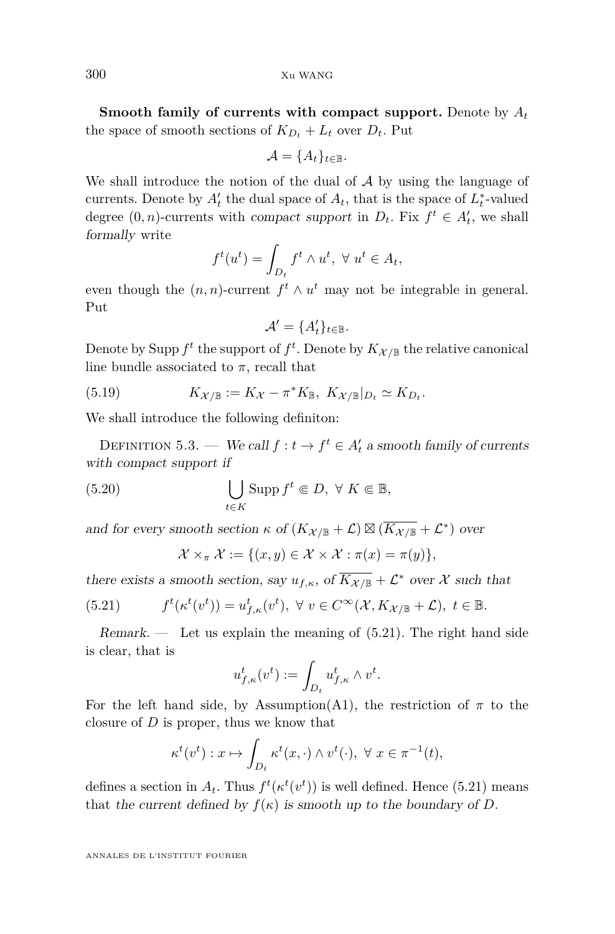**Smooth family of currents with compact support.** Denote by *A<sup>t</sup>* the space of smooth sections of  $K_{D_t} + L_t$  over  $D_t$ . Put

$$
\mathcal{A} = \{A_t\}_{t \in \mathbb{B}}.
$$

We shall introduce the notion of the dual of  $A$  by using the language of currents. Denote by  $A'_t$  the dual space of  $A_t$ , that is the space of  $L_t^*$ -valued degree  $(0, n)$ -currents with compact support in  $D_t$ . Fix  $f^t \in A'_t$ , we shall formally write

$$
f^t(u^t) = \int_{D_t} f^t \wedge u^t, \ \forall \ u^t \in A_t,
$$

even though the  $(n, n)$ -current  $f^t \wedge u^t$  may not be integrable in general. Put

$$
\mathcal{A}' = \{A'_t\}_{t \in \mathbb{B}}.
$$

Denote by Supp  $f^t$  the support of  $f^t$ . Denote by  $K_{\mathcal{X}/\mathbb{B}}$  the relative canonical line bundle associated to  $\pi$ , recall that

(5.19) 
$$
K_{\mathcal{X}/\mathbb{B}} := K_{\mathcal{X}} - \pi^* K_{\mathbb{B}}, \ K_{\mathcal{X}/\mathbb{B}}|_{D_t} \simeq K_{D_t}.
$$

We shall introduce the following definiton:

DEFINITION 5.3. — We call  $f: t \to f^t \in A_t'$  a smooth family of currents with compact support if

(5.20) 
$$
\bigcup_{t \in K} \text{Supp } f^t \in D, \ \forall \ K \in \mathbb{B},
$$

and for every smooth section  $\kappa$  of  $(K_{\mathcal{X}/\mathbb{B}} + \mathcal{L}) \boxtimes (\overline{K_{\mathcal{X}/\mathbb{B}}} + \mathcal{L}^*)$  over

<span id="page-32-1"></span><span id="page-32-0"></span>
$$
\mathcal{X} \times_{\pi} \mathcal{X} := \{ (x, y) \in \mathcal{X} \times \mathcal{X} : \pi(x) = \pi(y) \},
$$

there exists a smooth section, say  $u_{f,\kappa}$ , of  $\overline{K_{\mathcal{X}/\mathbb{B}}} + \mathcal{L}^*$  over X such that

(5.21) 
$$
f^t(\kappa^t(v^t)) = u^t_{f,\kappa}(v^t), \ \forall \ v \in C^\infty(\mathcal{X}, K_{\mathcal{X}/\mathbb{B}} + \mathcal{L}), \ t \in \mathbb{B}.
$$

 $Remark.$  Let us explain the meaning of  $(5.21)$ . The right hand side is clear, that is

$$
u_{f,\kappa}^t(v^t) := \int_{D_t} u_{f,\kappa}^t \wedge v^t.
$$

For the left hand side, by Assumption[\(A1\)](#page-6-0), the restriction of  $\pi$  to the closure of *D* is proper, thus we know that

$$
\kappa^t(v^t) : x \mapsto \int_{D_t} \kappa^t(x, \cdot) \wedge v^t(\cdot), \ \forall \ x \in \pi^{-1}(t),
$$

defines a section in  $A_t$ . Thus  $f^t(\kappa^t(v^t))$  is well defined. Hence [\(5.21\)](#page-32-0) means that the current defined by  $f(\kappa)$  is smooth up to the boundary of *D*.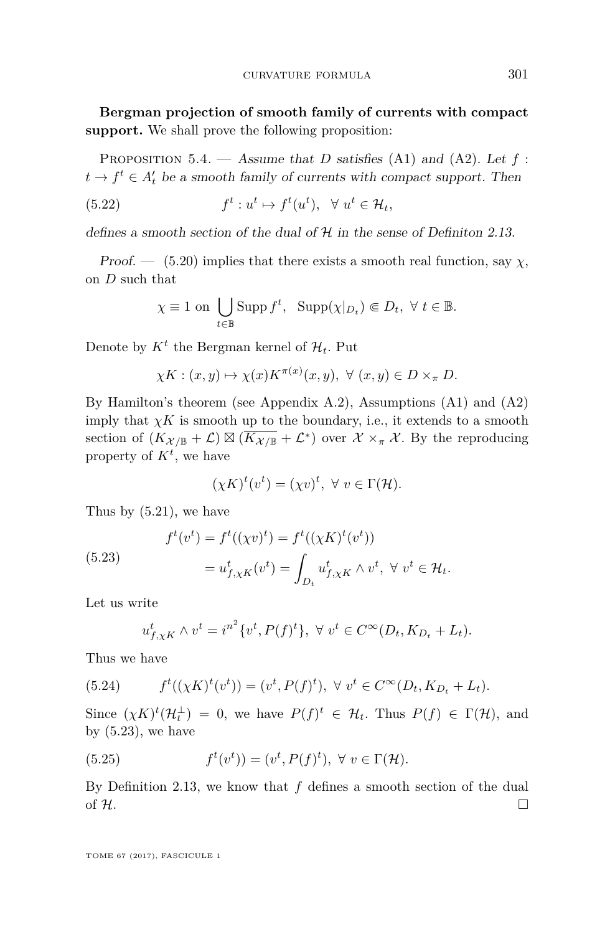**Bergman projection of smooth family of currents with compact support.** We shall prove the following proposition:

Proposition 5.4. — Assume that *D* satisfies [\(A1\)](#page-6-0) and [\(A2\)](#page-8-1). Let *f* :  $t \to f^t \in A_t'$  be a smooth family of currents with compact support. Then

(5.22) 
$$
f^t: u^t \mapsto f^t(u^t), \ \forall u^t \in \mathcal{H}_t,
$$

defines a smooth section of the dual of  $H$  in the sense of Definiton [2.13.](#page-15-2)

Proof. — [\(5.20\)](#page-32-1) implies that there exists a smooth real function, say  $\chi$ , on *D* such that

$$
\chi \equiv 1 \text{ on } \bigcup_{t \in \mathbb{B}} \text{Supp } f^t, \text{ } \text{Supp}(\chi|_{D_t}) \Subset D_t, \ \forall \ t \in \mathbb{B}.
$$

Denote by  $K^t$  the Bergman kernel of  $\mathcal{H}_t$ . Put

$$
\chi K: (x, y) \mapsto \chi(x) K^{\pi(x)}(x, y), \ \forall \ (x, y) \in D \times_{\pi} D.
$$

By Hamilton's theorem (see Appendix [A.2\)](#page-41-1), Assumptions [\(A1\)](#page-6-0) and [\(A2\)](#page-8-1) imply that  $\chi K$  is smooth up to the boundary, i.e., it extends to a smooth section of  $(K_{\mathcal{X}/\mathbb{B}} + \mathcal{L}) \boxtimes (\overline{K_{\mathcal{X}/\mathbb{B}}} + \mathcal{L}^*)$  over  $\mathcal{X} \times_{\pi} \mathcal{X}$ . By the reproducing property of  $K^t$ , we have

$$
(\chi K)^t(v^t) = (\chi v)^t, \ \forall \ v \in \Gamma(\mathcal{H}).
$$

Thus by [\(5.21\)](#page-32-0), we have

<span id="page-33-0"></span>(5.23)  

$$
f^t(v^t) = f^t((\chi v)^t) = f^t((\chi K)^t(v^t))
$$

$$
= u^t_{f,\chi K}(v^t) = \int_{D_t} u^t_{f,\chi K} \wedge v^t, \ \forall \ v^t \in \mathcal{H}_t.
$$

Let us write

$$
u_{f,\chi K}^t \wedge v^t = i^{n^2} \{v^t, P(f)^t\}, \ \forall \ v^t \in C^{\infty}(D_t, K_{D_t} + L_t).
$$

Thus we have

(5.24) 
$$
f^{t}((\chi K)^{t}(v^{t})) = (v^{t}, P(f)^{t}), \ \forall \ v^{t} \in C^{\infty}(D_{t}, K_{D_{t}} + L_{t}).
$$

Since  $(\chi K)^t(\mathcal{H}_t^{\perp}) = 0$ , we have  $P(f)^t \in \mathcal{H}_t$ . Thus  $P(f) \in \Gamma(\mathcal{H})$ , and by  $(5.23)$ , we have

<span id="page-33-1"></span>(5.25) 
$$
f^t(v^t)) = (v^t, P(f)^t), \ \forall \ v \in \Gamma(\mathcal{H}).
$$

By Definition [2.13,](#page-15-2) we know that *f* defines a smooth section of the dual of H.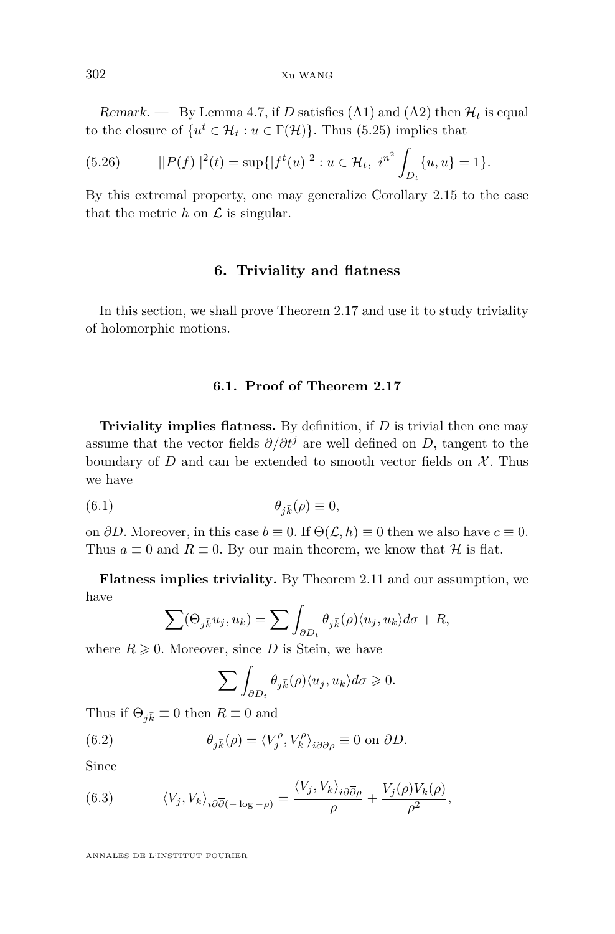Remark. — By Lemma [4.7,](#page-26-0) if *D* satisfies [\(A1\)](#page-6-0) and [\(A2\)](#page-8-1) then  $\mathcal{H}_t$  is equal to the closure of  $\{u^t \in \mathcal{H}_t : u \in \Gamma(\mathcal{H})\}$ . Thus [\(5.25\)](#page-33-1) implies that

(5.26) 
$$
||P(f)||^{2}(t) = \sup\{|f^{t}(u)|^{2} : u \in \mathcal{H}_{t}, i^{n^{2}} \int_{D_{t}} \{u, u\} = 1\}.
$$

By this extremal property, one may generalize Corollary [2.15](#page-16-1) to the case that the metric  $h$  on  $\mathcal L$  is singular.

#### **6. Triviality and flatness**

<span id="page-34-0"></span>In this section, we shall prove Theorem [2.17](#page-16-2) and use it to study triviality of holomorphic motions.

#### **6.1. Proof of Theorem [2.17](#page-16-2)**

**Triviality implies flatness.** By definition, if *D* is trivial then one may assume that the vector fields  $\partial/\partial t^j$  are well defined on *D*, tangent to the boundary of  $D$  and can be extended to smooth vector fields on  $\mathcal{X}$ . Thus we have

(6.1) 
$$
\theta_{j\bar{k}}(\rho) \equiv 0,
$$

on  $\partial D$ . Moreover, in this case  $b \equiv 0$ . If  $\Theta(\mathcal{L}, h) \equiv 0$  then we also have  $c \equiv 0$ . Thus  $a \equiv 0$  and  $R \equiv 0$ . By our main theorem, we know that  $H$  is flat.

**Flatness implies triviality.** By Theorem [2.11](#page-14-0) and our assumption, we have

$$
\sum (\Theta_{j\bar{k}} u_j, u_k) = \sum \int_{\partial D_t} \theta_{j\bar{k}}(\rho) \langle u_j, u_k \rangle d\sigma + R,
$$

where  $R \geqslant 0$ . Moreover, since *D* is Stein, we have

<span id="page-34-2"></span>
$$
\sum \int_{\partial D_t} \theta_{j\bar{k}}(\rho) \langle u_j, u_k \rangle d\sigma \geq 0.
$$

Thus if  $\Theta_{i\bar{k}} \equiv 0$  then  $R \equiv 0$  and

(6.2) 
$$
\theta_{j\bar{k}}(\rho) = \langle V_j^{\rho}, V_k^{\rho} \rangle_{i\partial\overline{\partial}\rho} \equiv 0 \text{ on } \partial D.
$$

Since

<span id="page-34-1"></span>(6.3) 
$$
\langle V_j, V_k \rangle_{i \partial \overline{\partial} (-\log - \rho)} = \frac{\langle V_j, V_k \rangle_{i \partial \overline{\partial} \rho}}{-\rho} + \frac{V_j(\rho) \overline{V_k(\rho)}}{\rho^2},
$$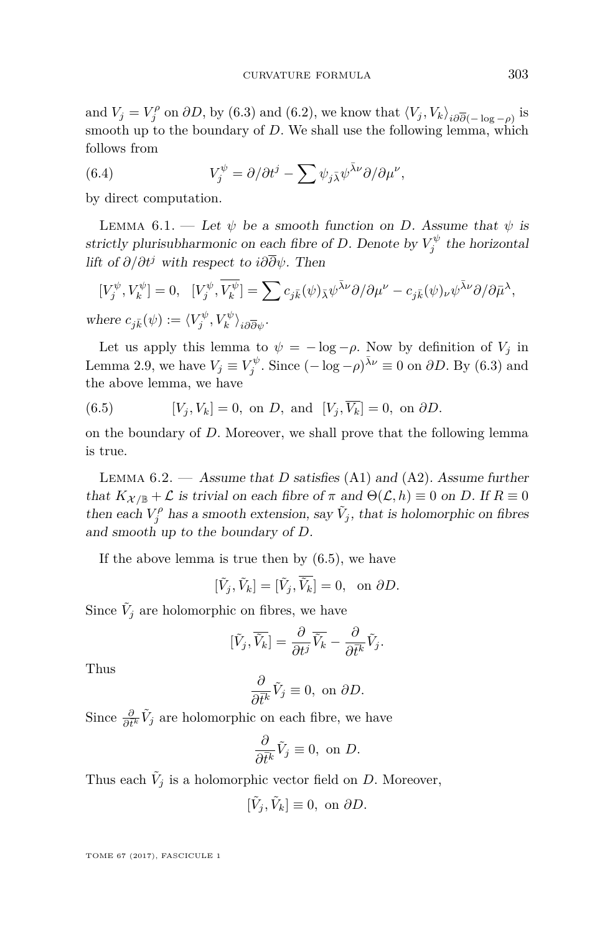and  $V_j = V_j^{\rho}$  on  $\partial D$ , by [\(6.3\)](#page-34-1) and [\(6.2\)](#page-34-2), we know that  $\langle V_j, V_k \rangle_{i \partial \overline{\partial} (-\log - \rho)}$  is smooth up to the boundary of *D*. We shall use the following lemma, which follows from

(6.4) 
$$
V_j^{\psi} = \partial/\partial t^j - \sum \psi_{j\bar{\lambda}} \psi^{\bar{\lambda}\nu} \partial/\partial \mu^{\nu},
$$

by direct computation.

LEMMA 6.1. — Let  $\psi$  be a smooth function on *D*. Assume that  $\psi$  is strictly plurisubharmonic on each fibre of *D*. Denote by  $V_j^{\psi}$  the horizontal lift of *∂/∂t<sup>j</sup>* with respect to *i∂∂ψ*. Then

$$
\begin{split} & [V_j^\psi, V_k^\psi] = 0, \ \ [V_j^\psi, \overline{V_k^\psi}] = \sum c_{j\bar k}(\psi)_{\bar \lambda} \psi^{\bar \lambda \nu} \partial / \partial \mu^\nu - c_{j\bar k}(\psi)_\nu \psi^{\bar \lambda \nu} \partial / \partial \bar \mu^\lambda, \\ & \text{where } c_{j\bar k}(\psi) := \langle V_j^\psi, V_k^\psi \rangle_{i \partial \overline \partial \psi}. \end{split}
$$

Let us apply this lemma to  $\psi = -\log -\rho$ . Now by definition of  $V_j$  in Lemma [2.9,](#page-13-2) we have  $V_j \equiv V_j^{\psi}$ . Since  $(-\log - \rho)^{\bar{\lambda}\nu} \equiv 0$  on  $\partial D$ . By [\(6.3\)](#page-34-1) and the above lemma, we have

<span id="page-35-0"></span>(6.5) 
$$
[V_j, V_k] = 0, \text{ on } D, \text{ and } [V_j, \overline{V_k}] = 0, \text{ on } \partial D.
$$

on the boundary of *D*. Moreover, we shall prove that the following lemma is true.

<span id="page-35-1"></span>Lemma 6.2. — Assume that *D* satisfies [\(A1\)](#page-6-0) and [\(A2\)](#page-8-1). Assume further that  $K_{\mathcal{X}/\mathbb{B}} + \mathcal{L}$  is trivial on each fibre of  $\pi$  and  $\Theta(\mathcal{L}, h) \equiv 0$  on *D*. If  $R \equiv 0$ then each  $V_j^{\rho}$  has a smooth extension, say  $\tilde{V}_j$ , that is holomorphic on fibres and smooth up to the boundary of *D*.

If the above lemma is true then by  $(6.5)$ , we have

$$
[\tilde{V}_j, \tilde{V}_k] = [\tilde{V}_j, \overline{\tilde{V}_k}] = 0, \text{ on } \partial D.
$$

Since  $\tilde{V}_j$  are holomorphic on fibres, we have

$$
[\tilde{V}_j,\overline{\tilde{V}_k}]=\frac{\partial}{\partial t^j}\overline{\tilde{V}_k}-\frac{\partial}{\partial \overline{t}^k}\tilde{V}_j.
$$

Thus

$$
\frac{\partial}{\partial \bar{t}^k} \tilde{V}_j \equiv 0, \text{ on } \partial D.
$$

Since  $\frac{\partial}{\partial t^k} \tilde{V}_j$  are holomorphic on each fibre, we have

$$
\frac{\partial}{\partial \bar{t}^k} \tilde{V}_j \equiv 0, \text{ on } D.
$$

Thus each  $\tilde{V}_j$  is a holomorphic vector field on *D*. Moreover,

$$
[\tilde{V}_j, \tilde{V}_k] \equiv 0, \text{ on } \partial D.
$$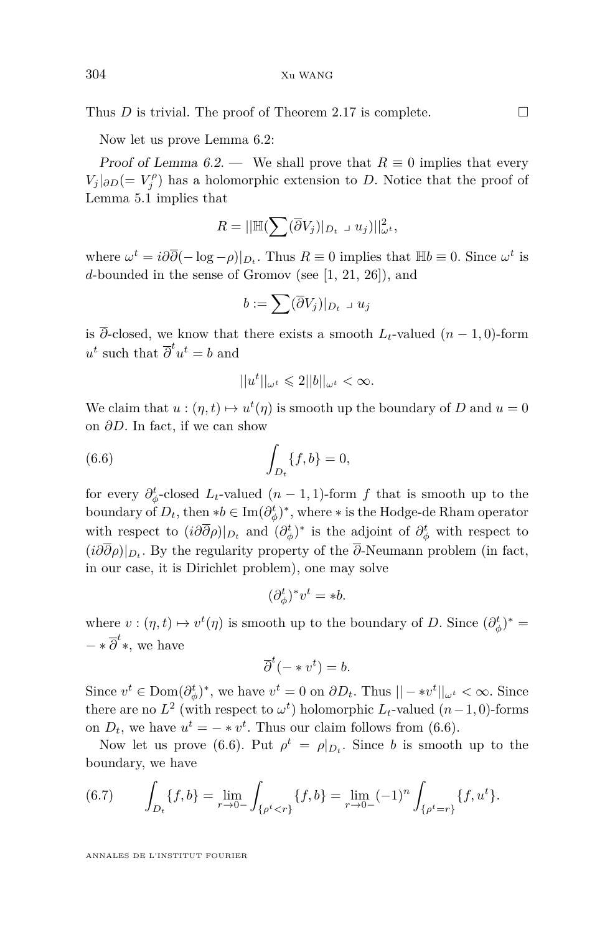Thus *D* is trivial. The proof of Theorem [2.17](#page-16-2) is complete.  $\Box$ 

Now let us prove Lemma [6.2:](#page-35-1)

Proof of Lemma [6.2.](#page-35-1) — We shall prove that  $R \equiv 0$  implies that every  $V_j|_{\partial D}$ (=  $V_j^{\rho}$ ) has a holomorphic extension to *D*. Notice that the proof of Lemma [5.1](#page-30-0) implies that

$$
R = ||\mathbb{H}(\sum (\overline{\partial}V_j)|_{D_t} \cup u_j)||_{\omega^t}^2,
$$

where  $\omega^t = i\partial\overline{\partial}(-\log - \rho)|_{D_t}$ . Thus  $R \equiv 0$  implies that  $\mathbb{H}b \equiv 0$ . Since  $\omega^t$  is *d*-bounded in the sense of Gromov (see [\[1,](#page-43-17) [21,](#page-44-19) [26\]](#page-44-20)), and

$$
b := \sum (\overline{\partial} V_j)|_{D_t} \cup u_j
$$

is  $\overline{\partial}$ -closed, we know that there exists a smooth *L*<sub>t</sub>-valued (*n* − 1*,* 0)-form  $u^t$  such that  $\overline{\partial}^t u^t = b$  and

<span id="page-36-0"></span>
$$
||u^t||_{\omega^t}\leq 2||b||_{\omega^t}<\infty.
$$

We claim that  $u:(\eta,t)\mapsto u^t(\eta)$  is smooth up the boundary of *D* and  $u=0$ on *∂D*. In fact, if we can show

(6.6) 
$$
\int_{D_t} \{f, b\} = 0,
$$

for every  $\partial_{\phi}^t$ -closed  $L_t$ -valued  $(n-1,1)$ -form  $f$  that is smooth up to the boundary of  $D_t$ , then  $* b \in \text{Im}(\partial_{\phi}^t)^*$ , where  $*$  is the Hodge-de Rham operator with respect to  $(i\partial\overline{\partial}\rho)|_{D_t}$  and  $(\partial^t_{\phi})^*$  is the adjoint of  $\partial^t_{\phi}$  with respect to  $(i\partial\partial\rho)|_{D_t}$ . By the regularity property of the  $\partial$ -Neumann problem (in fact, in our case, it is Dirichlet problem), one may solve

$$
(\partial_{\phi}^{t})^* v^t = *b.
$$

where  $v:(\eta,t)\mapsto v^t(\eta)$  is smooth up to the boundary of *D*. Since  $(\partial_{\phi}^t)^*$  =  $-\ast \overline{\partial}^t$ <sup>\*</sup>, we have

$$
\overline{\partial}^t(- * v^t) = b.
$$

Since  $v^t \in \text{Dom}(\partial_{\phi}^t)^*$ , we have  $v^t = 0$  on  $\partial D_t$ . Thus  $|| - * v^t||_{\omega^t} < \infty$ . Since there are no  $L^2$  (with respect to  $\omega^t$ ) holomorphic  $L_t$ -valued  $(n-1,0)$ -forms on  $D_t$ , we have  $u^t = - * v^t$ . Thus our claim follows from [\(6.6\)](#page-36-0).

Now let us prove [\(6.6\)](#page-36-0). Put  $\rho^t = \rho|_{D_t}$ . Since *b* is smooth up to the boundary, we have

<span id="page-36-1"></span>(6.7) 
$$
\int_{D_t} \{f, b\} = \lim_{r \to 0^-} \int_{\{\rho^t < r\}} \{f, b\} = \lim_{r \to 0^-} (-1)^n \int_{\{\rho^t = r\}} \{f, u^t\}.
$$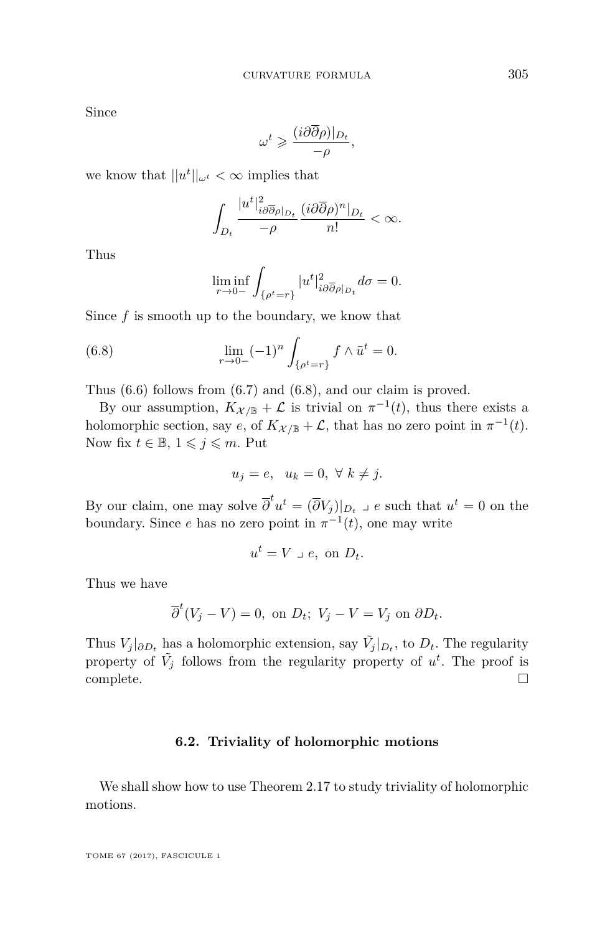Since

$$
\omega^t \geqslant \frac{(i \partial \overline{\partial} \rho)|_{D_t}}{-\rho},
$$

we know that  $||u^t||_{\omega^t} < \infty$  implies that

$$
\int_{D_t} \frac{|u^t|^2_{i\partial \overline{\partial}\rho|_{D_t}}}{-\rho} \frac{(i\partial \overline{\partial}\rho)^n|_{D_t}}{n!} < \infty.
$$

Thus

<span id="page-37-0"></span>
$$
\liminf_{r \to 0-} \int_{\{\rho^t = r\}} |u^t|^2_{i\partial \overline{\partial} \rho|_{D_t}} d\sigma = 0.
$$

Since *f* is smooth up to the boundary, we know that

(6.8) 
$$
\lim_{r \to 0-} (-1)^n \int_{\{\rho^t = r\}} f \wedge \bar{u}^t = 0.
$$

Thus [\(6.6\)](#page-36-0) follows from [\(6.7\)](#page-36-1) and [\(6.8\)](#page-37-0), and our claim is proved.

By our assumption,  $K_{\mathcal{X}/\mathbb{B}} + \mathcal{L}$  is trivial on  $\pi^{-1}(t)$ , thus there exists a holomorphic section, say *e*, of  $K_{\mathcal{X}/\mathbb{B}} + \mathcal{L}$ , that has no zero point in  $\pi^{-1}(t)$ . Now fix  $t \in \mathbb{B}$ ,  $1 \leqslant j \leqslant m$ . Put

$$
u_j = e, \quad u_k = 0, \ \forall \ k \neq j.
$$

By our claim, one may solve  $\overline{\partial}^t u^t = (\overline{\partial} V_j)|_{D_t}$   $\supset e$  such that  $u^t = 0$  on the boundary. Since *e* has no zero point in  $\pi^{-1}(t)$ , one may write

$$
u^t = V \perp e, \text{ on } D_t.
$$

Thus we have

$$
\overline{\partial}^t(V_j - V) = 0, \text{ on } D_t; \ V_j - V = V_j \text{ on } \partial D_t.
$$

Thus  $V_j|_{\partial D_t}$  has a holomorphic extension, say  $\tilde{V}_j|_{D_t}$ , to  $D_t$ . The regularity property of  $\tilde{V}_j$  follows from the regularity property of  $u^t$ . The proof is  $\Box$ complete.  $\Box$ 

#### **6.2. Triviality of holomorphic motions**

We shall show how to use Theorem [2.17](#page-16-2) to study triviality of holomorphic motions.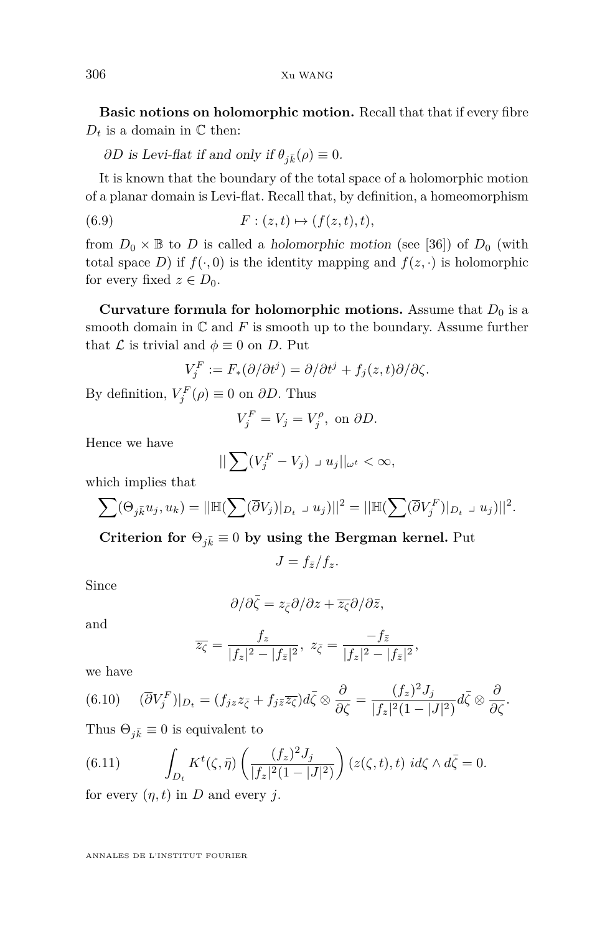**Basic notions on holomorphic motion.** Recall that that if every fibre  $D_t$  is a domain in  $\mathbb C$  then:

*∂D* is Levi-flat if and only if  $θ_{i\bar{k}}(ρ) ≡ 0$ .

It is known that the boundary of the total space of a holomorphic motion of a planar domain is Levi-flat. Recall that, by definition, a homeomorphism

$$
(6.9) \t\t\t F: (z,t) \mapsto (f(z,t),t),
$$

from  $D_0 \times \mathbb{B}$  to *D* is called a *holomorphic motion* (see [\[36\]](#page-44-21)) of  $D_0$  (with total space *D*) if  $f(\cdot, 0)$  is the identity mapping and  $f(z, \cdot)$  is holomorphic for every fixed  $z \in D_0$ .

**Curvature formula for holomorphic motions.** Assume that  $D_0$  is a smooth domain in  $\mathbb C$  and  $F$  is smooth up to the boundary. Assume further that  $\mathcal L$  is trivial and  $\phi \equiv 0$  on *D*. Put

$$
V_j^F := F_*(\partial/\partial t^j) = \partial/\partial t^j + f_j(z, t)\partial/\partial \zeta.
$$

By definition,  $V_j^F(\rho) \equiv 0$  on  $\partial D$ . Thus

$$
V_j^F = V_j = V_j^{\rho}, \text{ on } \partial D.
$$

Hence we have

$$
||\sum (V_j^F - V_j) \supset u_j||_{\omega^t} < \infty,
$$

which implies that

$$
\sum (\Theta_{j\bar{k}} u_j, u_k) = ||\mathbb{H}(\sum (\overline{\partial} V_j)|_{D_t} \cup u_j)||^2 = ||\mathbb{H}(\sum (\overline{\partial} V_j^F)|_{D_t} \cup u_j)||^2.
$$

**Criterion for**  $\Theta_{j\bar{k}} \equiv 0$  by using the Bergman kernel. Put

$$
J = f_{\bar{z}}/f_z.
$$

Since

$$
\partial/\partial\bar{\zeta}=z_{\bar{\zeta}}\partial/\partial z+\overline{z_{\zeta}}\partial/\partial\bar{z},
$$

and

$$
\overline{z_{\zeta}} = \frac{f_z}{|f_z|^2 - |f_{\bar{z}}|^2}, \ z_{\bar{\zeta}} = \frac{-f_{\bar{z}}}{|f_z|^2 - |f_{\bar{z}}|^2},
$$

we have

$$
(6.10) \quad (\overline{\partial}V_j^F)|_{D_t} = (f_{jz}z_{\overline{\zeta}} + f_{j\overline{z}}\overline{z_{\zeta}})d\overline{\zeta} \otimes \frac{\partial}{\partial \zeta} = \frac{(f_z)^2 J_j}{|f_z|^2 (1-|J|^2)}d\overline{\zeta} \otimes \frac{\partial}{\partial \zeta}.
$$

Thus  $\Theta_{i\bar{k}} \equiv 0$  is equivalent to

<span id="page-38-0"></span>(6.11) 
$$
\int_{D_t} K^t(\zeta, \bar{\eta}) \left( \frac{(f_z)^2 J_j}{|f_z|^2 (1 - |J|^2)} \right) (z(\zeta, t), t) i d\zeta \wedge d\bar{\zeta} = 0.
$$

for every  $(\eta, t)$  in *D* and every *j*.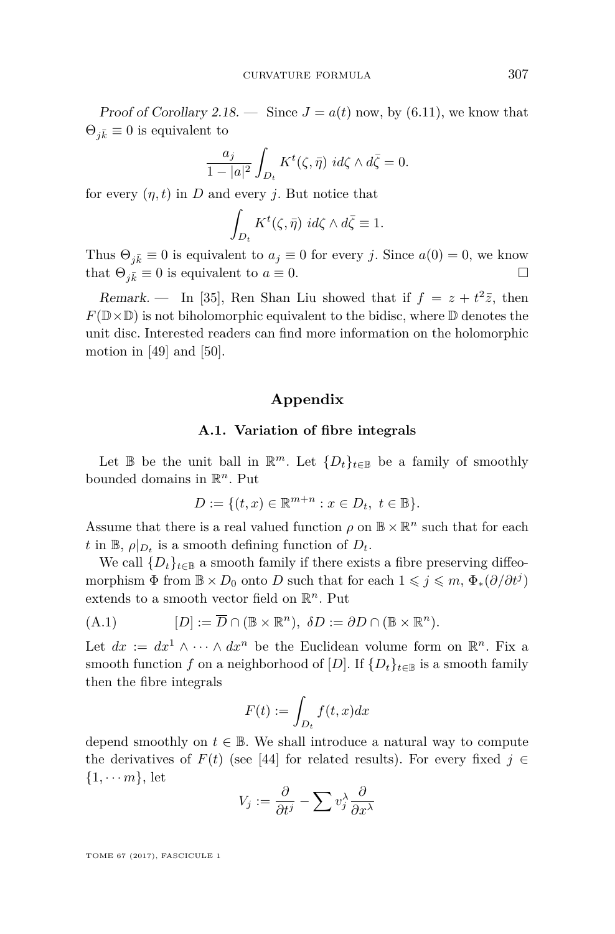Proof of Corollary [2.18.](#page-16-3) — Since  $J = a(t)$  now, by [\(6.11\)](#page-38-0), we know that  $\Theta_{i\bar{k}} \equiv 0$  is equivalent to

$$
\frac{a_j}{1-|a|^2} \int_{D_t} K^t(\zeta, \bar{\eta}) \, d\zeta \wedge d\bar{\zeta} = 0.
$$

for every  $(\eta, t)$  in *D* and every *j*. But notice that

$$
\int_{D_t} K^t(\zeta, \bar{\eta}) \, id\zeta \wedge d\bar{\zeta} \equiv 1.
$$

Thus  $\Theta_{j\bar{k}} \equiv 0$  is equivalent to  $a_j \equiv 0$  for every *j*. Since  $a(0) = 0$ , we know that  $\Theta_{i\bar{k}} \equiv 0$  is equivalent to  $a \equiv 0$ .

Remark. — In [\[35\]](#page-44-22), Ren Shan Liu showed that if  $f = z + t^2 \overline{z}$ , then  $F(\mathbb{D}\times\mathbb{D})$  is not biholomorphic equivalent to the bidisc, where  $\mathbb D$  denotes the unit disc. Interested readers can find more information on the holomorphic motion in  $[49]$  and  $[50]$ .

#### **Appendix**

#### **A.1. Variation of fibre integrals**

Let  $\mathbb{B}$  be the unit ball in  $\mathbb{R}^m$ . Let  $\{D_t\}_{t\in\mathbb{B}}$  be a family of smoothly bounded domains in R *<sup>n</sup>*. Put

$$
D := \{ (t, x) \in \mathbb{R}^{m+n} : x \in D_t, \ t \in \mathbb{B} \}.
$$

Assume that there is a real valued function  $\rho$  on  $\mathbb{B} \times \mathbb{R}^n$  such that for each *t* in  $\mathbb{B}$ ,  $\rho|_{D_t}$  is a smooth defining function of  $D_t$ .

We call  $\{D_t\}_{t\in\mathbb{B}}$  a smooth family if there exists a fibre preserving diffeomorphism  $\Phi$  from  $\mathbb{B} \times D_0$  onto *D* such that for each  $1 \leqslant j \leqslant m$ ,  $\Phi_*(\partial/\partial t^j)$ extends to a smooth vector field on R *<sup>n</sup>*. Put

(A.1) 
$$
[D] := \overline{D} \cap (\mathbb{B} \times \mathbb{R}^n), \ \delta D := \partial D \cap (\mathbb{B} \times \mathbb{R}^n).
$$

Let  $dx := dx^1 \wedge \cdots \wedge dx^n$  be the Euclidean volume form on  $\mathbb{R}^n$ . Fix a smooth function *f* on a neighborhood of [*D*]. If  $\{D_t\}_{t\in\mathbb{B}}$  is a smooth family then the fibre integrals

$$
F(t) := \int_{D_t} f(t, x) dx
$$

depend smoothly on  $t \in \mathbb{B}$ . We shall introduce a natural way to compute the derivatives of  $F(t)$  (see [\[44\]](#page-44-8) for related results). For every fixed  $j \in$  $\{1, \cdots m\}$ , let

$$
V_j := \frac{\partial}{\partial t^j} - \sum v_j^{\lambda} \frac{\partial}{\partial x^{\lambda}}
$$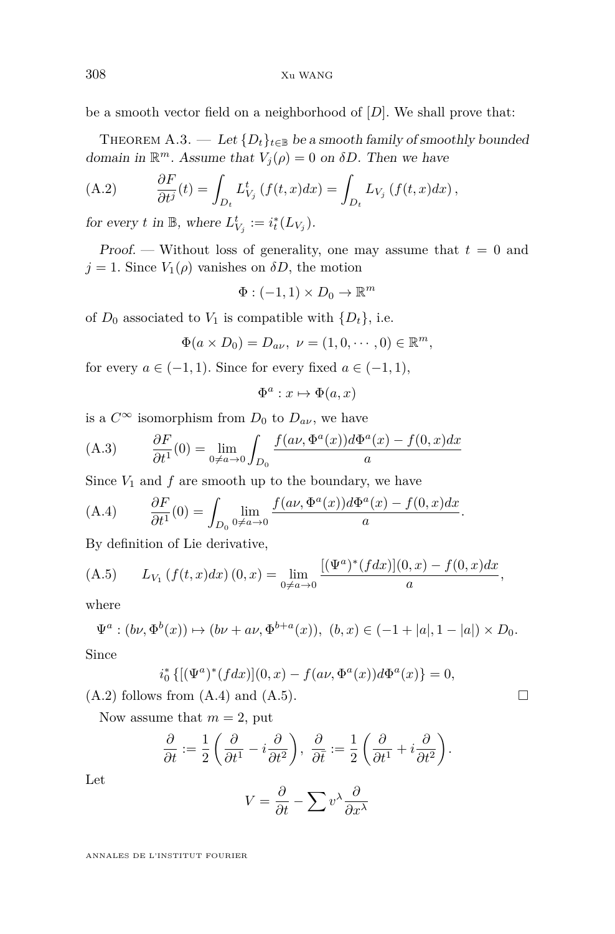be a smooth vector field on a neighborhood of [*D*]. We shall prove that:

<span id="page-40-3"></span>THEOREM A.3. — Let  ${D_t}_{t \in \mathbb{B}}$  be a smooth family of smoothly bounded domain in  $\mathbb{R}^m$ . Assume that  $V_j(\rho) = 0$  on  $\delta D$ . Then we have

<span id="page-40-0"></span>(A.2) 
$$
\frac{\partial F}{\partial t^j}(t) = \int_{D_t} L_{V_j}^t \left( f(t, x) dx \right) = \int_{D_t} L_{V_j} \left( f(t, x) dx \right),
$$

for every *t* in  $\mathbb{B}$ , where  $L_{V_j}^t := i_t^*(L_{V_j})$ .

Proof. — Without loss of generality, one may assume that  $t = 0$  and  $j = 1$ . Since  $V_1(\rho)$  vanishes on  $\delta D$ , the motion

$$
\Phi: (-1,1) \times D_0 \to \mathbb{R}^m
$$

of  $D_0$  associated to  $V_1$  is compatible with  $\{D_t\}$ , i.e.

$$
\Phi(a \times D_0) = D_{a\nu}, \ \nu = (1, 0, \cdots, 0) \in \mathbb{R}^m,
$$

for every  $a \in (-1,1)$ . Since for every fixed  $a \in (-1,1)$ ,

$$
\Phi^a: x \mapsto \Phi(a, x)
$$

is a  $C^{\infty}$  isomorphism from  $D_0$  to  $D_{a\nu}$ , we have

(A.3) 
$$
\frac{\partial F}{\partial t^1}(0) = \lim_{0 \neq a \to 0} \int_{D_0} \frac{f(a\nu, \Phi^a(x))d\Phi^a(x) - f(0, x)dx}{a}
$$

Since  $V_1$  and  $f$  are smooth up to the boundary, we have

<span id="page-40-1"></span>(A.4) 
$$
\frac{\partial F}{\partial t^1}(0) = \int_{D_0} \lim_{0 \neq a \to 0} \frac{f(a\nu, \Phi^a(x))d\Phi^a(x) - f(0, x)dx}{a}.
$$

By definition of Lie derivative,

<span id="page-40-2"></span>(A.5) 
$$
L_{V_1}(f(t,x)dx)(0,x) = \lim_{0 \neq a \to 0} \frac{[(\Psi^a)^*(fdx)](0,x) - f(0,x)dx}{a},
$$

where

$$
\Psi^a : (b\nu, \Phi^b(x)) \mapsto (b\nu + a\nu, \Phi^{b+a}(x)), (b, x) \in (-1 + |a|, 1 - |a|) \times D_0.
$$

Since

$$
i_0^* \{ [(\Psi^a)^*(f dx)](0, x) - f(a\nu, \Phi^a(x))d\Phi^a(x) \} = 0,
$$

 $(A.2)$  follows from  $(A.4)$  and  $(A.5)$ .

Now assume that  $m = 2$ , put

$$
\frac{\partial}{\partial t} := \frac{1}{2} \left( \frac{\partial}{\partial t^1} - i \frac{\partial}{\partial t^2} \right), \frac{\partial}{\partial \overline{t}} := \frac{1}{2} \left( \frac{\partial}{\partial t^1} + i \frac{\partial}{\partial t^2} \right).
$$

Let

$$
V = \frac{\partial}{\partial t} - \sum v^{\lambda} \frac{\partial}{\partial x^{\lambda}}
$$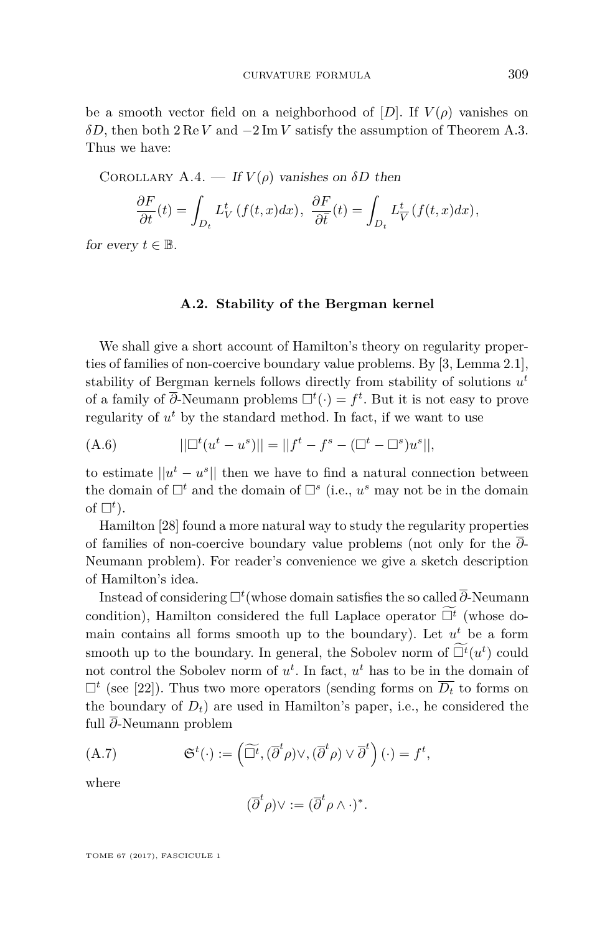be a smooth vector field on a neighborhood of  $[D]$ . If  $V(\rho)$  vanishes on *δD*, then both 2 Re *V* and −2 Im *V* satisfy the assumption of Theorem [A.3.](#page-40-3) Thus we have:

<span id="page-41-0"></span>COROLLARY A.4. — If  $V(\rho)$  vanishes on  $\delta D$  then

$$
\frac{\partial F}{\partial t}(t) = \int_{D_t} L_V^t(f(t, x) dx), \ \frac{\partial F}{\partial \overline{t}}(t) = \int_{D_t} L_V^t(f(t, x) dx),
$$

for every  $t \in \mathbb{B}$ .

#### **A.2. Stability of the Bergman kernel**

<span id="page-41-1"></span>We shall give a short account of Hamilton's theory on regularity properties of families of non-coercive boundary value problems. By [\[3,](#page-43-0) Lemma 2.1], stability of Bergman kernels follows directly from stability of solutions *u t* of a family of  $\overline{\partial}$ -Neumann problems  $\Box^t(\cdot) = f^t$ . But it is not easy to prove regularity of  $u^t$  by the standard method. In fact, if we want to use

<span id="page-41-2"></span>(A.6) 
$$
||\Box^{t}(u^{t} - u^{s})|| = ||f^{t} - f^{s} - (\Box^{t} - \Box^{s})u^{s}||,
$$

to estimate  $||u^t - u^s||$  then we have to find a natural connection between the domain of  $\Box^t$  and the domain of  $\Box^s$  (i.e.,  $u^s$  may not be in the domain of  $\Box^t$ ).

Hamilton [\[28\]](#page-44-11) found a more natural way to study the regularity properties of families of non-coercive boundary value problems (not only for the *∂*- Neumann problem). For reader's convenience we give a sketch description of Hamilton's idea.

Instead of considering  $\Box^t$  (whose domain satisfies the so called  $\overline{\partial}$ -Neumann condition), Hamilton considered the full Laplace operator  $\widetilde{\Box}^t$  (whose domain contains all forms smooth up to the boundary). Let  $u^t$  be a form smooth up to the boundary. In general, the Sobolev norm of  $\widetilde{\Box}^t(u^t)$  could not control the Sobolev norm of  $u^t$ . In fact,  $u^t$  has to be in the domain of  $\Box^t$  (see [\[22\]](#page-44-23)). Thus two more operators (sending forms on  $\overline{D_t}$  to forms on the boundary of  $D_t$ ) are used in Hamilton's paper, i.e., he considered the full *∂*-Neumann problem

(A.7) 
$$
\mathfrak{S}^{t}(\cdot) := \left(\widetilde{\Box}^{t}, (\overline{\partial}^{t} \rho) \vee, (\overline{\partial}^{t} \rho) \vee \overline{\partial}^{t}\right)(\cdot) = f^{t},
$$

where

$$
(\overline{\partial}^t \rho) \vee := (\overline{\partial}^t \rho \wedge \cdot)^*.
$$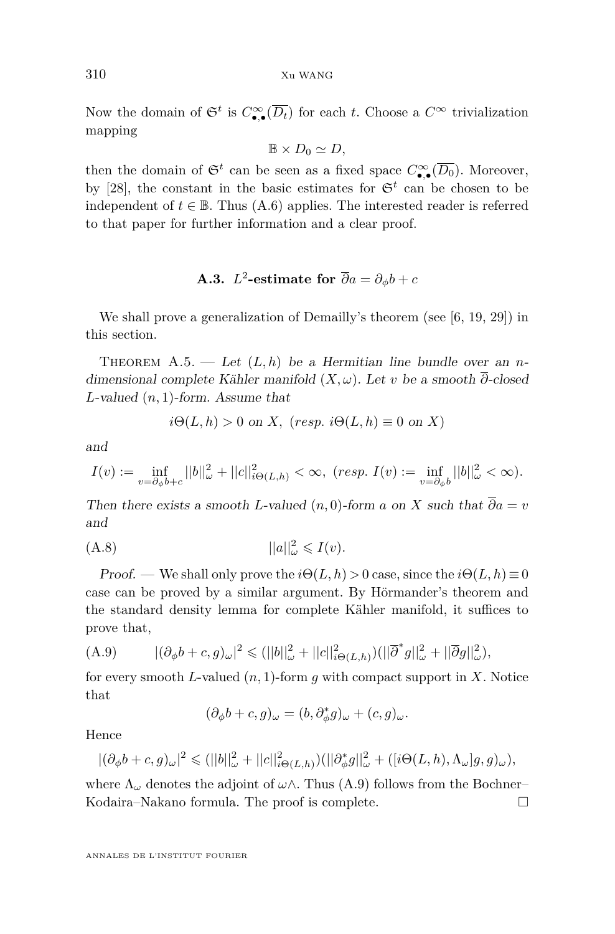Now the domain of  $\mathfrak{S}^t$  is  $C_{\bullet,\bullet}^{\infty}(\overline{D_t})$  for each *t*. Choose a  $C^{\infty}$  trivialization mapping

$$
\mathbb{B} \times D_0 \simeq D,
$$

then the domain of  $\mathfrak{S}^t$  can be seen as a fixed space  $C_{\bullet,\bullet}^{\infty}(\overline{D_0})$ . Moreover, by [\[28\]](#page-44-11), the constant in the basic estimates for  $\mathfrak{S}^t$  can be chosen to be independent of  $t \in \mathbb{B}$ . Thus [\(A.6\)](#page-41-2) applies. The interested reader is referred to that paper for further information and a clear proof.

## **A.3.**  $L^2$ -estimate for  $\overline{\partial}a = \partial_{\phi}b + c$

We shall prove a generalization of Demailly's theorem (see [\[6,](#page-43-18) [19,](#page-43-19) [29\]](#page-44-3)) in this section.

<span id="page-42-0"></span>THEOREM  $A.5.$  — Let  $(L, h)$  be a Hermitian line bundle over an *n*dimensional complete Kähler manifold (*X, ω*). Let *v* be a smooth *∂*-closed *L*-valued (*n,* 1)-form. Assume that

$$
i\Theta(L, h) > 0
$$
 on X,  $(resp. i\Theta(L, h) \equiv 0$  on X)

and

$$
I(v) := \inf_{v = \partial_{\phi} b + c} ||b||_{\omega}^2 + ||c||_{i\Theta(L,h)}^2 < \infty, \ (resp. \ I(v) := \inf_{v = \partial_{\phi} b} ||b||_{\omega}^2 < \infty).
$$

Then there exists a smooth *L*-valued  $(n,0)$ -form *a* on *X* such that  $\overline{\partial}a = v$ and

$$
||a||_{\omega}^2 \leqslant I(v).
$$

Proof. — We shall only prove the  $i\Theta(L, h) > 0$  case, since the  $i\Theta(L, h) \equiv 0$ case can be proved by a similar argument. By Hörmander's theorem and the standard density lemma for complete Kähler manifold, it suffices to prove that,

<span id="page-42-1"></span>(A.9) 
$$
|(\partial_{\phi}b + c, g)_{\omega}|^{2} \leq (||b||_{\omega}^{2} + ||c||_{i\Theta(L,h)}^{2})(||\overline{\partial}^{*}g||_{\omega}^{2} + ||\overline{\partial}g||_{\omega}^{2}),
$$

for every smooth *L*-valued (*n,* 1)-form *g* with compact support in *X*. Notice that

$$
(\partial_{\phi}b+c,g)_{\omega}=(b,\partial_{\phi}^*g)_{\omega}+(c,g)_{\omega}.
$$

Hence

$$
|(\partial_{\phi}b+c,g)_{\omega}|^2 \leq (||b||_{\omega}^2+||c||_{i\Theta(L,h)}^2)(||\partial_{\phi}^*g||_{\omega}^2+([i\Theta(L,h),\Lambda_{\omega}]g,g)_{\omega}),
$$

where  $\Lambda_{\omega}$  denotes the adjoint of  $\omega \wedge$ . Thus [\(A.9\)](#page-42-1) follows from the Bochner– Kodaira–Nakano formula. The proof is complete.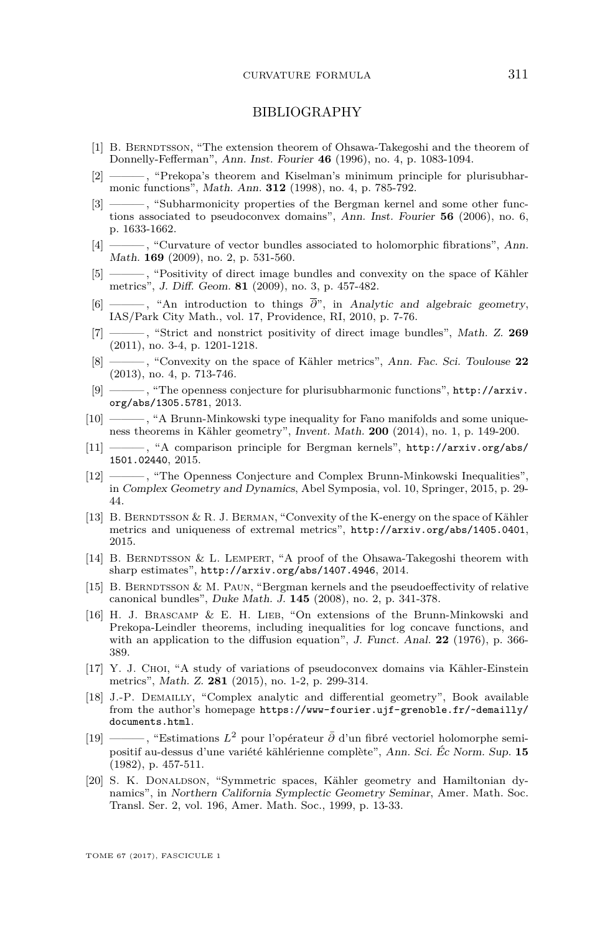#### BIBLIOGRAPHY

- <span id="page-43-17"></span>[1] B. BERNDTSSON, "The extension theorem of Ohsawa-Takegoshi and the theorem of Donnelly-Fefferman", Ann. Inst. Fourier **46** (1996), no. 4, p. 1083-1094.
- <span id="page-43-3"></span>[2] ——— , "Prekopa's theorem and Kiselman's minimum principle for plurisubharmonic functions", Math. Ann. **312** (1998), no. 4, p. 785-792.
- <span id="page-43-0"></span>[3] ——— , "Subharmonicity properties of the Bergman kernel and some other functions associated to pseudoconvex domains", Ann. Inst. Fourier **56** (2006), no. 6, p. 1633-1662.
- <span id="page-43-4"></span>[4] ———, "Curvature of vector bundles associated to holomorphic fibrations", Ann. Math. **169** (2009), no. 2, p. 531-560.
- <span id="page-43-6"></span>[5] ——— , "Positivity of direct image bundles and convexity on the space of Kähler metrics", J. Diff. Geom. **81** (2009), no. 3, p. 457-482.
- <span id="page-43-18"></span>[6] ——— , "An introduction to things *∂*", in Analytic and algebraic geometry, IAS/Park City Math., vol. 17, Providence, RI, 2010, p. 7-76.
- <span id="page-43-13"></span>[7] ——— , "Strict and nonstrict positivity of direct image bundles", Math. Z. **269** (2011), no. 3-4, p. 1201-1218.
- <span id="page-43-1"></span>[8] ——— , "Convexity on the space of Kähler metrics", Ann. Fac. Sci. Toulouse **22** (2013), no. 4, p. 713-746.
- <span id="page-43-7"></span>[9] ——— , "The openness conjecture for plurisubharmonic functions", [http://arxiv.](http://arxiv.org/abs/1305.5781) [org/abs/1305.5781](http://arxiv.org/abs/1305.5781), 2013.
- <span id="page-43-8"></span>[10]  $\frac{10}{10}$ , "A Brunn-Minkowski type inequality for Fano manifolds and some uniqueness theorems in Kähler geometry", Invent. Math. **200** (2014), no. 1, p. 149-200.
- <span id="page-43-16"></span>[11] ——— , "A comparison principle for Bergman kernels", [http://arxiv.org/abs/](http://arxiv.org/abs/1501.02440) [1501.02440](http://arxiv.org/abs/1501.02440), 2015.
- <span id="page-43-5"></span>[12] ——— , "The Openness Conjecture and Complex Brunn-Minkowski Inequalities", in Complex Geometry and Dynamics, Abel Symposia, vol. 10, Springer, 2015, p. 29- 44.
- <span id="page-43-9"></span>[13] B. BERNDTSSON & R. J. BERMAN, "Convexity of the K-energy on the space of Kähler metrics and uniqueness of extremal metrics", <http://arxiv.org/abs/1405.0401>, 2015.
- <span id="page-43-10"></span>[14] B. BERNDTSSON & L. LEMPERT, "A proof of the Ohsawa-Takegoshi theorem with sharp estimates", <http://arxiv.org/abs/1407.4946>, 2014.
- <span id="page-43-11"></span>[15] B. BERNDTSSON & M. PAUN, "Bergman kernels and the pseudoeffectivity of relative canonical bundles", Duke Math. J. **145** (2008), no. 2, p. 341-378.
- <span id="page-43-2"></span>[16] H. J. Brascamp & E. H. Lieb, "On extensions of the Brunn-Minkowski and Prekopa-Leindler theorems, including inequalities for log concave functions, and with an application to the diffusion equation", J. Funct. Anal. **22** (1976), p. 366- 389.
- <span id="page-43-15"></span>[17] Y. J. Choi, "A study of variations of pseudoconvex domains via Kähler-Einstein metrics", Math. Z. **281** (2015), no. 1-2, p. 299-314.
- <span id="page-43-12"></span>[18] J.-P. DEMAILLY, "Complex analytic and differential geometry", Book available from the author's homepage [https://www-fourier.ujf-grenoble.fr/~demailly/](https://www-fourier.ujf-grenoble.fr/~demailly/documents.html) [documents.html](https://www-fourier.ujf-grenoble.fr/~demailly/documents.html).
- <span id="page-43-19"></span>[19] ——— , "Estimations *L*<sup>2</sup> pour l'opérateur *∂*¯ d'un fibré vectoriel holomorphe semipositif au-dessus d'une variété kählérienne complète", Ann. Sci. Éc Norm. Sup. **15** (1982), p. 457-511.
- <span id="page-43-14"></span>[20] S. K. DONALDSON, "Symmetric spaces, Kähler geometry and Hamiltonian dynamics", in Northern California Symplectic Geometry Seminar, Amer. Math. Soc. Transl. Ser. 2, vol. 196, Amer. Math. Soc., 1999, p. 13-33.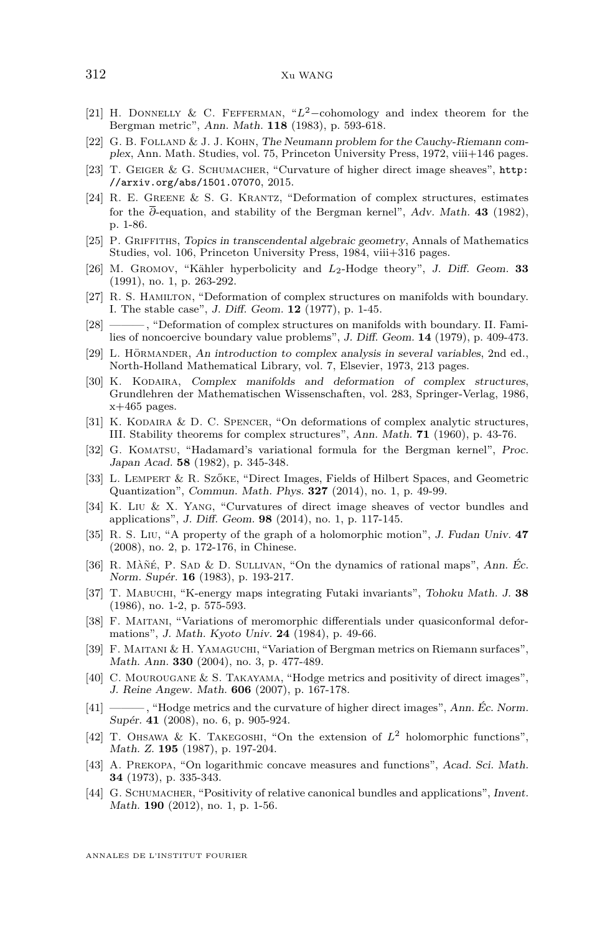- <span id="page-44-19"></span>[21] H. Donnelly & C. Fefferman, "*L*2−cohomology and index theorem for the Bergman metric", Ann. Math. **118** (1983), p. 593-618.
- <span id="page-44-23"></span>[22] G. B. Folland & J. J. Kohn, The Neumann problem for the Cauchy-Riemann complex, Ann. Math. Studies, vol. 75, Princeton University Press, 1972, viii+146 pages.
- <span id="page-44-4"></span>[23] T. GEIGER & G. SCHUMACHER, "Curvature of higher direct image sheaves", [http:](http://arxiv.org/abs/1501.07070) [//arxiv.org/abs/1501.07070](http://arxiv.org/abs/1501.07070), 2015.
- <span id="page-44-16"></span>[24] R. E. Greene & S. G. Krantz, "Deformation of complex structures, estimates for the *∂*-equation, and stability of the Bergman kernel", Adv. Math. **43** (1982), p. 1-86.
- <span id="page-44-15"></span>[25] P. Griffiths, Topics in transcendental algebraic geometry, Annals of Mathematics Studies, vol. 106, Princeton University Press, 1984, viii+316 pages.
- <span id="page-44-20"></span>[26] M. Gromov, "Kähler hyperbolicity and *L*2-Hodge theory", J. Diff. Geom. **33** (1991), no. 1, p. 263-292.
- <span id="page-44-17"></span>[27] R. S. HAMILTON, "Deformation of complex structures on manifolds with boundary. I. The stable case", J. Diff. Geom. **12** (1977), p. 1-45.
- <span id="page-44-11"></span>[28] ———, "Deformation of complex structures on manifolds with boundary. II. Families of noncoercive boundary value problems", J. Diff. Geom. **14** (1979), p. 409-473.
- <span id="page-44-3"></span>[29] L. Hörmander, An introduction to complex analysis in several variables, 2nd ed., North-Holland Mathematical Library, vol. 7, Elsevier, 1973, 213 pages.
- <span id="page-44-14"></span>[30] K. KODAIRA, Complex manifolds and deformation of complex structures, Grundlehren der Mathematischen Wissenschaften, vol. 283, Springer-Verlag, 1986,  $x+465$  pages.
- <span id="page-44-10"></span>[31] K. KODAIRA & D. C. SPENCER, "On deformations of complex analytic structures, III. Stability theorems for complex structures", Ann. Math. **71** (1960), p. 43-76.
- <span id="page-44-18"></span>[32] G. KOMATSU, "Hadamard's variational formula for the Bergman kernel", Proc. Japan Acad. **58** (1982), p. 345-348.
- <span id="page-44-9"></span>[33] L. Lempert & R. Szőke, "Direct Images, Fields of Hilbert Spaces, and Geometric Quantization", Commun. Math. Phys. **327** (2014), no. 1, p. 49-99.
- <span id="page-44-7"></span>[34] K. Liu & X. Yang, "Curvatures of direct image sheaves of vector bundles and applications", J. Diff. Geom. **98** (2014), no. 1, p. 117-145.
- <span id="page-44-22"></span>[35] R. S. Liu, "A property of the graph of a holomorphic motion", J. Fudan Univ. **47** (2008), no. 2, p. 172-176, in Chinese.
- <span id="page-44-21"></span>[36] R. Màñé, P. Sad & D. Sullivan, "On the dynamics of rational maps", Ann. Éc. Norm. Supér. **16** (1983), p. 193-217.
- <span id="page-44-12"></span>[37] T. Mabuchi, "K-energy maps integrating Futaki invariants", Tohoku Math. J. **38** (1986), no. 1-2, p. 575-593.
- <span id="page-44-1"></span>[38] F. MAITANI, "Variations of meromorphic differentials under quasiconformal deformations", J. Math. Kyoto Univ. **24** (1984), p. 49-66.
- <span id="page-44-2"></span>[39] F. MAITANI & H. YAMAGUCHI, "Variation of Bergman metrics on Riemann surfaces", Math. Ann. **330** (2004), no. 3, p. 477-489.
- <span id="page-44-5"></span>[40] C. Mourougane & S. Takayama, "Hodge metrics and positivity of direct images", J. Reine Angew. Math. **606** (2007), p. 167-178.
- <span id="page-44-6"></span>[41] ——— , "Hodge metrics and the curvature of higher direct images", Ann. Éc. Norm. Supér. **41** (2008), no. 6, p. 905-924.
- <span id="page-44-13"></span>[42] T. OHSAWA & K. TAKEGOSHI, "On the extension of  $L^2$  holomorphic functions", Math. Z. **195** (1987), p. 197-204.
- <span id="page-44-0"></span>[43] A. Prekopa, "On logarithmic concave measures and functions", Acad. Sci. Math. **34** (1973), p. 335-343.
- <span id="page-44-8"></span>[44] G. Schumacher, "Positivity of relative canonical bundles and applications", Invent. Math. **190** (2012), no. 1, p. 1-56.